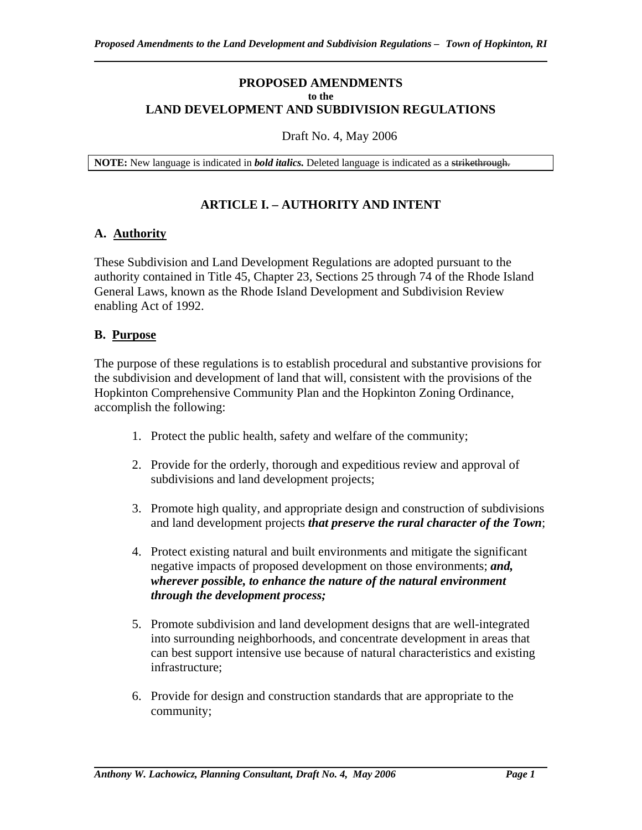#### **PROPOSED AMENDMENTS to the LAND DEVELOPMENT AND SUBDIVISION REGULATIONS**

#### Draft No. 4, May 2006

**NOTE:** New language is indicated in *bold italics.* Deleted language is indicated as a strikethrough.

#### **ARTICLE I. – AUTHORITY AND INTENT**

#### **A. Authority**

These Subdivision and Land Development Regulations are adopted pursuant to the authority contained in Title 45, Chapter 23, Sections 25 through 74 of the Rhode Island General Laws, known as the Rhode Island Development and Subdivision Review enabling Act of 1992.

#### **B. Purpose**

The purpose of these regulations is to establish procedural and substantive provisions for the subdivision and development of land that will, consistent with the provisions of the Hopkinton Comprehensive Community Plan and the Hopkinton Zoning Ordinance, accomplish the following:

- 1. Protect the public health, safety and welfare of the community;
- 2. Provide for the orderly, thorough and expeditious review and approval of subdivisions and land development projects;
- 3. Promote high quality, and appropriate design and construction of subdivisions and land development projects *that preserve the rural character of the Town*;
- 4. Protect existing natural and built environments and mitigate the significant negative impacts of proposed development on those environments; *and, wherever possible, to enhance the nature of the natural environment through the development process;*
- 5. Promote subdivision and land development designs that are well-integrated into surrounding neighborhoods, and concentrate development in areas that can best support intensive use because of natural characteristics and existing infrastructure;
- 6. Provide for design and construction standards that are appropriate to the community;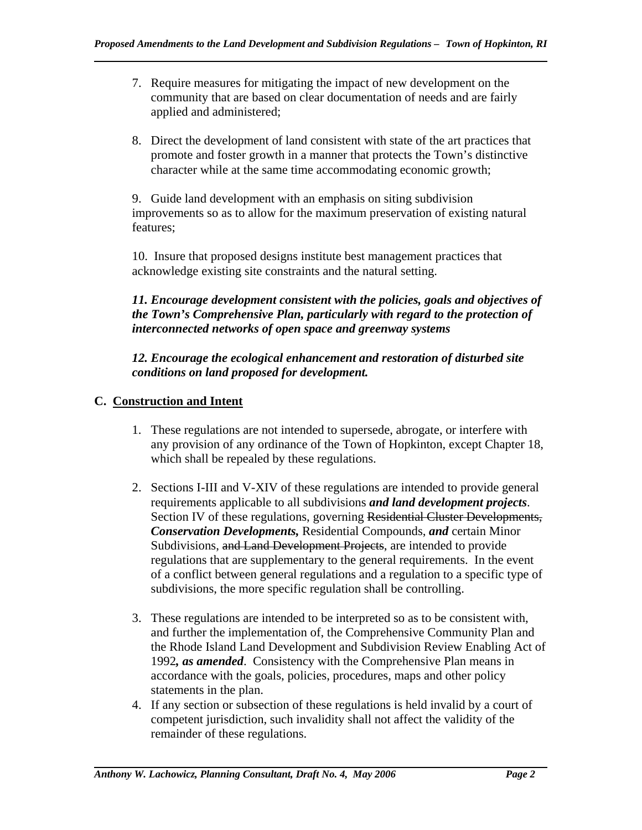- 7. Require measures for mitigating the impact of new development on the community that are based on clear documentation of needs and are fairly applied and administered;
- 8. Direct the development of land consistent with state of the art practices that promote and foster growth in a manner that protects the Town's distinctive character while at the same time accommodating economic growth;

9. Guide land development with an emphasis on siting subdivision improvements so as to allow for the maximum preservation of existing natural features;

10. Insure that proposed designs institute best management practices that acknowledge existing site constraints and the natural setting.

## *11. Encourage development consistent with the policies, goals and objectives of the Town's Comprehensive Plan, particularly with regard to the protection of interconnected networks of open space and greenway systems*

*12. Encourage the ecological enhancement and restoration of disturbed site conditions on land proposed for development.* 

# **C. Construction and Intent**

- 1. These regulations are not intended to supersede, abrogate, or interfere with any provision of any ordinance of the Town of Hopkinton, except Chapter 18, which shall be repealed by these regulations.
- 2. Sections I-III and V-XIV of these regulations are intended to provide general requirements applicable to all subdivisions *and land development projects*. Section IV of these regulations, governing Residential Cluster Developments, *Conservation Developments,* Residential Compounds, *and* certain Minor Subdivisions, and Land Development Projects, are intended to provide regulations that are supplementary to the general requirements. In the event of a conflict between general regulations and a regulation to a specific type of subdivisions, the more specific regulation shall be controlling.
- 3. These regulations are intended to be interpreted so as to be consistent with, and further the implementation of, the Comprehensive Community Plan and the Rhode Island Land Development and Subdivision Review Enabling Act of 1992*, as amended*. Consistency with the Comprehensive Plan means in accordance with the goals, policies, procedures, maps and other policy statements in the plan.
- 4. If any section or subsection of these regulations is held invalid by a court of competent jurisdiction, such invalidity shall not affect the validity of the remainder of these regulations.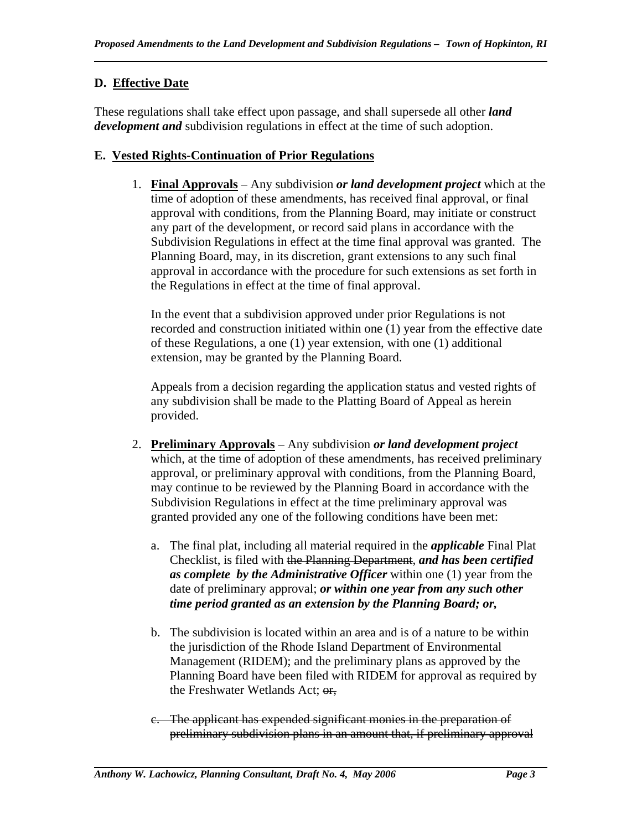# **D. Effective Date**

These regulations shall take effect upon passage, and shall supersede all other *land development and* subdivision regulations in effect at the time of such adoption.

## **E. Vested Rights-Continuation of Prior Regulations**

1. **Final Approvals** – Any subdivision *or land development project* which at the time of adoption of these amendments, has received final approval, or final approval with conditions, from the Planning Board, may initiate or construct any part of the development, or record said plans in accordance with the Subdivision Regulations in effect at the time final approval was granted. The Planning Board, may, in its discretion, grant extensions to any such final approval in accordance with the procedure for such extensions as set forth in the Regulations in effect at the time of final approval.

In the event that a subdivision approved under prior Regulations is not recorded and construction initiated within one (1) year from the effective date of these Regulations, a one (1) year extension, with one (1) additional extension, may be granted by the Planning Board.

Appeals from a decision regarding the application status and vested rights of any subdivision shall be made to the Platting Board of Appeal as herein provided.

- 2. **Preliminary Approvals** Any subdivision *or land development project*  which, at the time of adoption of these amendments, has received preliminary approval, or preliminary approval with conditions, from the Planning Board, may continue to be reviewed by the Planning Board in accordance with the Subdivision Regulations in effect at the time preliminary approval was granted provided any one of the following conditions have been met:
	- a. The final plat, including all material required in the *applicable* Final Plat Checklist, is filed with the Planning Department, *and has been certified as complete by the Administrative Officer* within one (1) year from the date of preliminary approval; *or within one year from any such other time period granted as an extension by the Planning Board; or,*
	- b. The subdivision is located within an area and is of a nature to be within the jurisdiction of the Rhode Island Department of Environmental Management (RIDEM); and the preliminary plans as approved by the Planning Board have been filed with RIDEM for approval as required by the Freshwater Wetlands Act; or,
	- c. The applicant has expended significant monies in the preparation of preliminary subdivision plans in an amount that, if preliminary approval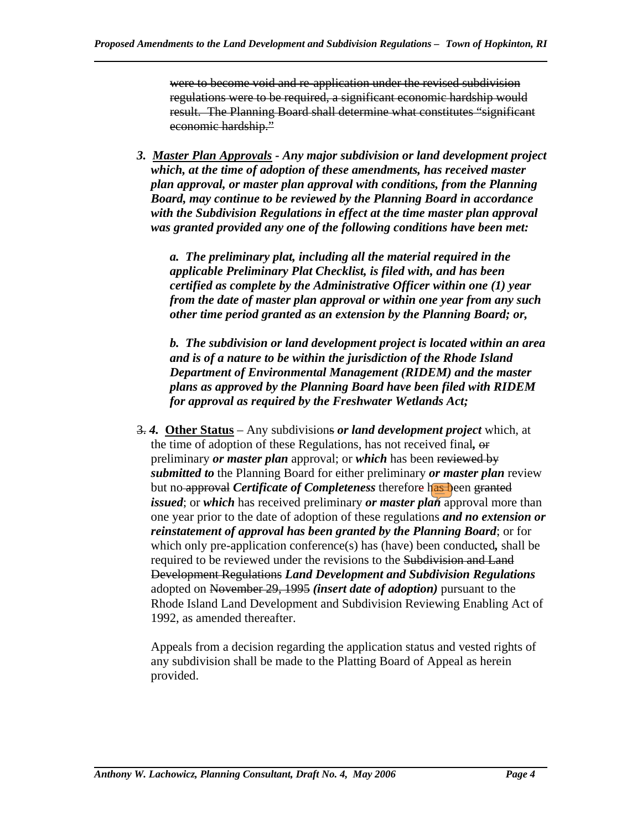were to become void and re-application under the revised subdivision regulations were to be required, a significant economic hardship would result. The Planning Board shall determine what constitutes "significant economic hardship."

*3. Master Plan Approvals - Any major subdivision or land development project which, at the time of adoption of these amendments, has received master plan approval, or master plan approval with conditions, from the Planning Board, may continue to be reviewed by the Planning Board in accordance with the Subdivision Regulations in effect at the time master plan approval was granted provided any one of the following conditions have been met:* 

*a. The preliminary plat, including all the material required in the applicable Preliminary Plat Checklist, is filed with, and has been certified as complete by the Administrative Officer within one (1) year from the date of master plan approval or within one year from any such other time period granted as an extension by the Planning Board; or,* 

*b. The subdivision or land development project is located within an area and is of a nature to be within the jurisdiction of the Rhode Island Department of Environmental Management (RIDEM) and the master plans as approved by the Planning Board have been filed with RIDEM for approval as required by the Freshwater Wetlands Act;* 

3. *4.* **Other Status** – Any subdivisions *or land development project* which, at the time of adoption of these Regulations, has not received final*,* or preliminary *or master plan* approval; or *which* has been reviewed by *submitted to* the Planning Board for either preliminary *or master plan* review but no approval *Certificate of Completeness* therefore has been granted *issued*; or *which* has received preliminary *or master plan* approval more than one year prior to the date of adoption of these regulations *and no extension or reinstatement of approval has been granted by the Planning Board*; or for which only pre-application conference(s) has (have) been conducted*,* shall be required to be reviewed under the revisions to the Subdivision and Land Development Regulations *Land Development and Subdivision Regulations* adopted on November 29, 1995 *(insert date of adoption)* pursuant to the Rhode Island Land Development and Subdivision Reviewing Enabling Act of 1992, as amended thereafter.

Appeals from a decision regarding the application status and vested rights of any subdivision shall be made to the Platting Board of Appeal as herein provided.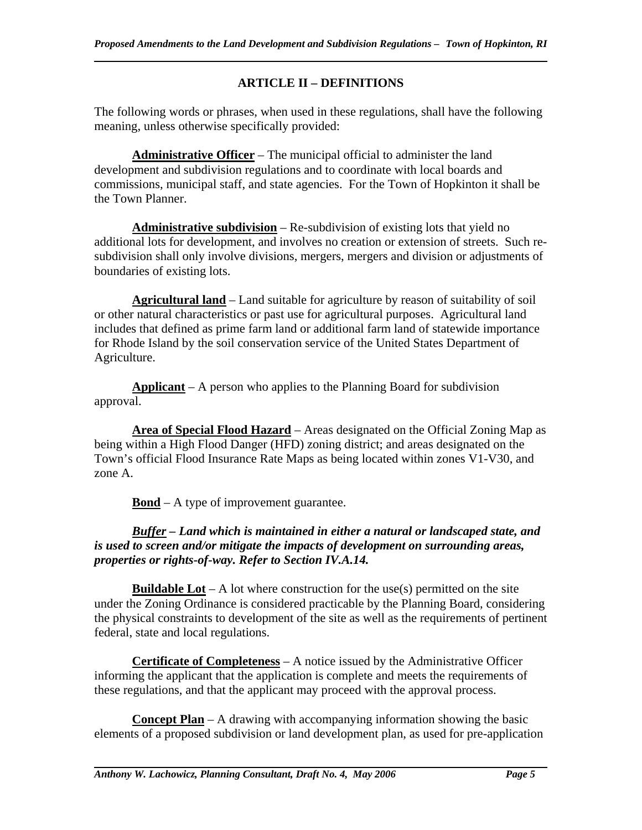# **ARTICLE II – DEFINITIONS**

The following words or phrases, when used in these regulations, shall have the following meaning, unless otherwise specifically provided:

**Administrative Officer** – The municipal official to administer the land development and subdivision regulations and to coordinate with local boards and commissions, municipal staff, and state agencies. For the Town of Hopkinton it shall be the Town Planner.

**Administrative subdivision** – Re-subdivision of existing lots that yield no additional lots for development, and involves no creation or extension of streets. Such resubdivision shall only involve divisions, mergers, mergers and division or adjustments of boundaries of existing lots.

**Agricultural land** – Land suitable for agriculture by reason of suitability of soil or other natural characteristics or past use for agricultural purposes. Agricultural land includes that defined as prime farm land or additional farm land of statewide importance for Rhode Island by the soil conservation service of the United States Department of Agriculture.

**Applicant** – A person who applies to the Planning Board for subdivision approval.

**Area of Special Flood Hazard** – Areas designated on the Official Zoning Map as being within a High Flood Danger (HFD) zoning district; and areas designated on the Town's official Flood Insurance Rate Maps as being located within zones V1-V30, and zone A.

**Bond** – A type of improvement guarantee.

### *Buffer – Land which is maintained in either a natural or landscaped state, and is used to screen and/or mitigate the impacts of development on surrounding areas, properties or rights-of-way. Refer to Section IV.A.14.*

**Buildable Lot** – A lot where construction for the use(s) permitted on the site under the Zoning Ordinance is considered practicable by the Planning Board, considering the physical constraints to development of the site as well as the requirements of pertinent federal, state and local regulations.

**Certificate of Completeness** – A notice issued by the Administrative Officer informing the applicant that the application is complete and meets the requirements of these regulations, and that the applicant may proceed with the approval process.

**Concept Plan** – A drawing with accompanying information showing the basic elements of a proposed subdivision or land development plan, as used for pre-application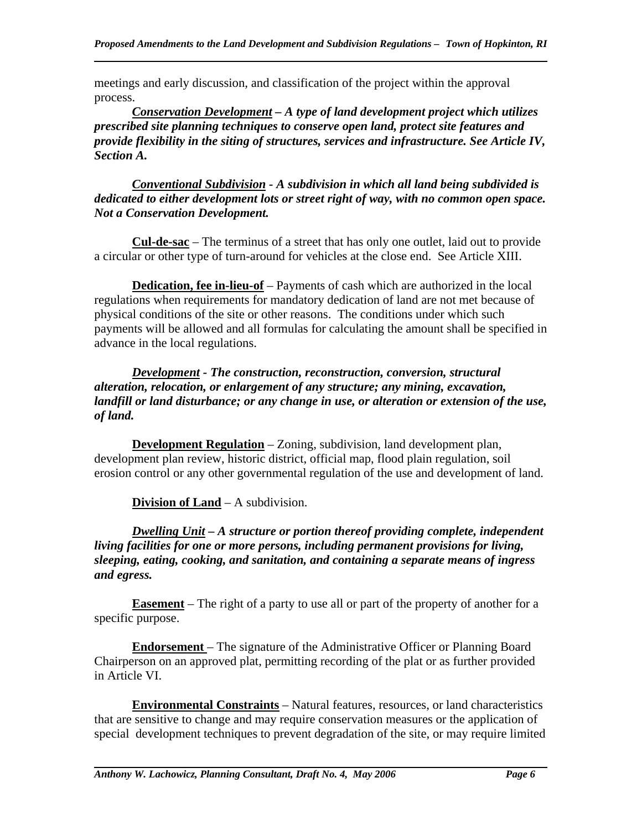meetings and early discussion, and classification of the project within the approval process.

*Conservation Development – A type of land development project which utilizes prescribed site planning techniques to conserve open land, protect site features and provide flexibility in the siting of structures, services and infrastructure. See Article IV, Section A.* 

*Conventional Subdivision - A subdivision in which all land being subdivided is dedicated to either development lots or street right of way, with no common open space. Not a Conservation Development.* 

**Cul-de-sac** – The terminus of a street that has only one outlet, laid out to provide a circular or other type of turn-around for vehicles at the close end. See Article XIII.

**Dedication, fee in-lieu-of** – Payments of cash which are authorized in the local regulations when requirements for mandatory dedication of land are not met because of physical conditions of the site or other reasons. The conditions under which such payments will be allowed and all formulas for calculating the amount shall be specified in advance in the local regulations.

*Development - The construction, reconstruction, conversion, structural alteration, relocation, or enlargement of any structure; any mining, excavation, landfill or land disturbance; or any change in use, or alteration or extension of the use, of land.* 

**Development Regulation** – Zoning, subdivision, land development plan, development plan review, historic district, official map, flood plain regulation, soil erosion control or any other governmental regulation of the use and development of land.

**Division of Land** – A subdivision.

*Dwelling Unit – A structure or portion thereof providing complete, independent living facilities for one or more persons, including permanent provisions for living, sleeping, eating, cooking, and sanitation, and containing a separate means of ingress and egress.* 

**Easement** – The right of a party to use all or part of the property of another for a specific purpose.

**Endorsement** – The signature of the Administrative Officer or Planning Board Chairperson on an approved plat, permitting recording of the plat or as further provided in Article VI.

**Environmental Constraints** – Natural features, resources, or land characteristics that are sensitive to change and may require conservation measures or the application of special development techniques to prevent degradation of the site, or may require limited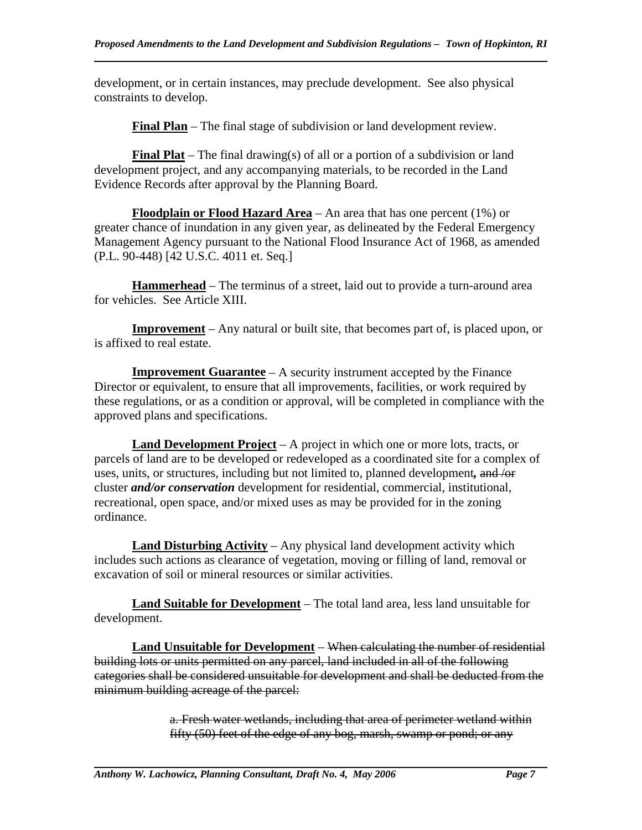development, or in certain instances, may preclude development. See also physical constraints to develop.

**Final Plan** – The final stage of subdivision or land development review.

**Final Plat** – The final drawing(s) of all or a portion of a subdivision or land development project, and any accompanying materials, to be recorded in the Land Evidence Records after approval by the Planning Board.

**Floodplain or Flood Hazard Area** – An area that has one percent (1%) or greater chance of inundation in any given year, as delineated by the Federal Emergency Management Agency pursuant to the National Flood Insurance Act of 1968, as amended (P.L. 90-448) [42 U.S.C. 4011 et. Seq.]

**Hammerhead** – The terminus of a street, laid out to provide a turn-around area for vehicles. See Article XIII.

**Improvement** – Any natural or built site, that becomes part of, is placed upon, or is affixed to real estate.

**Improvement Guarantee** – A security instrument accepted by the Finance Director or equivalent, to ensure that all improvements, facilities, or work required by these regulations, or as a condition or approval, will be completed in compliance with the approved plans and specifications.

**Land Development Project** – A project in which one or more lots, tracts, or parcels of land are to be developed or redeveloped as a coordinated site for a complex of uses, units, or structures, including but not limited to, planned development*,* and /or cluster *and/or conservation* development for residential, commercial, institutional, recreational, open space, and/or mixed uses as may be provided for in the zoning ordinance.

**Land Disturbing Activity** – Any physical land development activity which includes such actions as clearance of vegetation, moving or filling of land, removal or excavation of soil or mineral resources or similar activities.

**Land Suitable for Development** – The total land area, less land unsuitable for development.

**Land Unsuitable for Development** – When calculating the number of residential building lots or units permitted on any parcel, land included in all of the following categories shall be considered unsuitable for development and shall be deducted from the minimum building acreage of the parcel:

> a. Fresh water wetlands, including that area of perimeter wetland within fifty (50) feet of the edge of any bog, marsh, swamp or pond; or any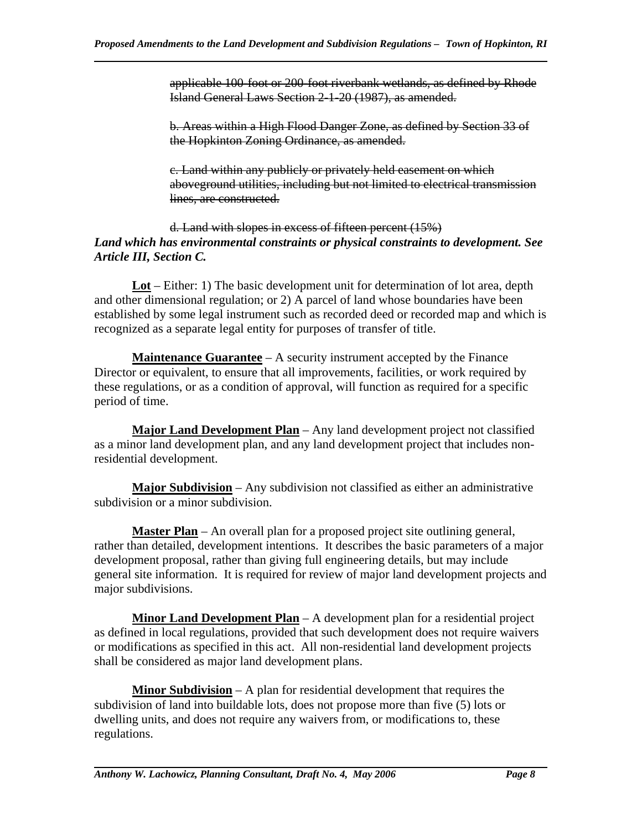applicable 100-foot or 200-foot riverbank wetlands, as defined by Rhode Island General Laws Section 2-1-20 (1987), as amended.

b. Areas within a High Flood Danger Zone, as defined by Section 33 of the Hopkinton Zoning Ordinance, as amended.

c. Land within any publicly or privately held easement on which aboveground utilities, including but not limited to electrical transmission lines, are constructed.

### d. Land with slopes in excess of fifteen percent (15%) *Land which has environmental constraints or physical constraints to development. See Article III, Section C.*

**Lot** – Either: 1) The basic development unit for determination of lot area, depth and other dimensional regulation; or 2) A parcel of land whose boundaries have been established by some legal instrument such as recorded deed or recorded map and which is recognized as a separate legal entity for purposes of transfer of title.

**Maintenance Guarantee** – A security instrument accepted by the Finance Director or equivalent, to ensure that all improvements, facilities, or work required by these regulations, or as a condition of approval, will function as required for a specific period of time.

**Major Land Development Plan** – Any land development project not classified as a minor land development plan, and any land development project that includes nonresidential development.

**Major Subdivision** – Any subdivision not classified as either an administrative subdivision or a minor subdivision.

**Master Plan** – An overall plan for a proposed project site outlining general, rather than detailed, development intentions. It describes the basic parameters of a major development proposal, rather than giving full engineering details, but may include general site information. It is required for review of major land development projects and major subdivisions.

**Minor Land Development Plan** – A development plan for a residential project as defined in local regulations, provided that such development does not require waivers or modifications as specified in this act. All non-residential land development projects shall be considered as major land development plans.

**Minor Subdivision** – A plan for residential development that requires the subdivision of land into buildable lots, does not propose more than five (5) lots or dwelling units, and does not require any waivers from, or modifications to, these regulations.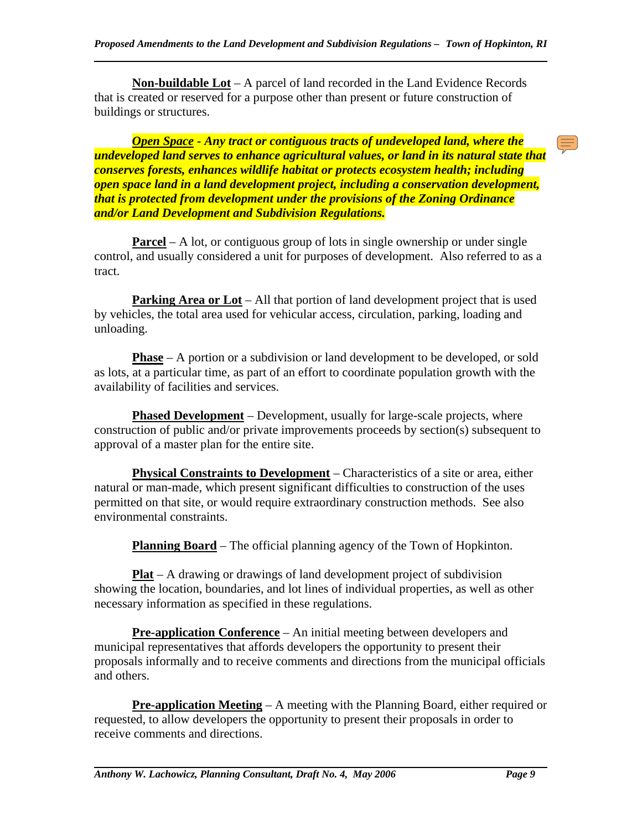**Non-buildable Lot** – A parcel of land recorded in the Land Evidence Records that is created or reserved for a purpose other than present or future construction of buildings or structures.

*Open Space - Any tract or contiguous tracts of undeveloped land, where the undeveloped land serves to enhance agricultural values, or land in its natural state that conserves forests, enhances wildlife habitat or protects ecosystem health; including open space land in a land development project, including a conservation development, that is protected from development under the provisions of the Zoning Ordinance and/or Land Development and Subdivision Regulations.* 

**Parcel** – A lot, or contiguous group of lots in single ownership or under single control, and usually considered a unit for purposes of development. Also referred to as a tract.

**Parking Area or Lot** – All that portion of land development project that is used by vehicles, the total area used for vehicular access, circulation, parking, loading and unloading.

**Phase** – A portion or a subdivision or land development to be developed, or sold as lots, at a particular time, as part of an effort to coordinate population growth with the availability of facilities and services.

**Phased Development** – Development, usually for large-scale projects, where construction of public and/or private improvements proceeds by section(s) subsequent to approval of a master plan for the entire site.

**Physical Constraints to Development** – Characteristics of a site or area, either natural or man-made, which present significant difficulties to construction of the uses permitted on that site, or would require extraordinary construction methods. See also environmental constraints.

**Planning Board** – The official planning agency of the Town of Hopkinton.

**Plat** – A drawing or drawings of land development project of subdivision showing the location, boundaries, and lot lines of individual properties, as well as other necessary information as specified in these regulations.

**Pre-application Conference** – An initial meeting between developers and municipal representatives that affords developers the opportunity to present their proposals informally and to receive comments and directions from the municipal officials and others.

**Pre-application Meeting** – A meeting with the Planning Board, either required or requested, to allow developers the opportunity to present their proposals in order to receive comments and directions.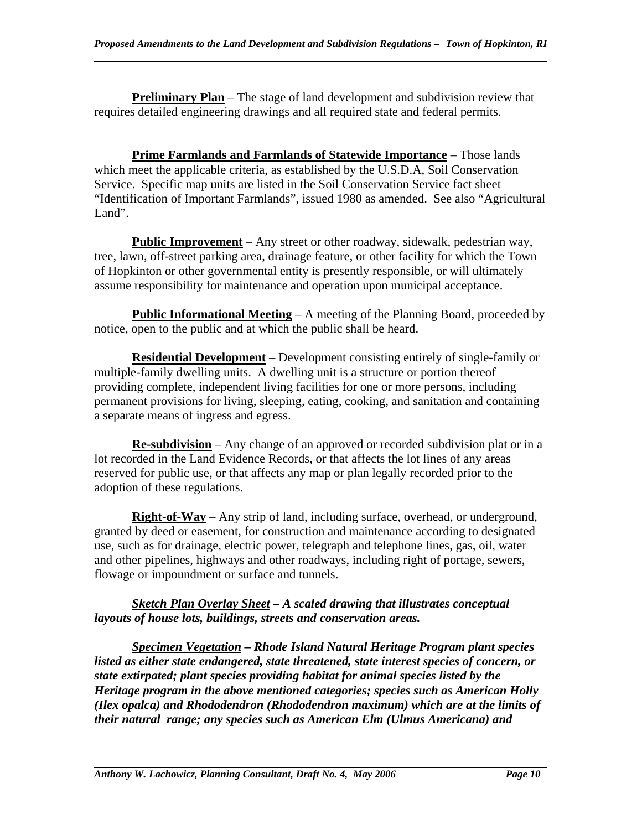**Preliminary Plan** – The stage of land development and subdivision review that requires detailed engineering drawings and all required state and federal permits.

**Prime Farmlands and Farmlands of Statewide Importance** – Those lands which meet the applicable criteria, as established by the U.S.D.A, Soil Conservation Service. Specific map units are listed in the Soil Conservation Service fact sheet "Identification of Important Farmlands", issued 1980 as amended. See also "Agricultural Land".

**Public Improvement** – Any street or other roadway, sidewalk, pedestrian way, tree, lawn, off-street parking area, drainage feature, or other facility for which the Town of Hopkinton or other governmental entity is presently responsible, or will ultimately assume responsibility for maintenance and operation upon municipal acceptance.

**Public Informational Meeting** – A meeting of the Planning Board, proceeded by notice, open to the public and at which the public shall be heard.

**Residential Development** – Development consisting entirely of single-family or multiple-family dwelling units. A dwelling unit is a structure or portion thereof providing complete, independent living facilities for one or more persons, including permanent provisions for living, sleeping, eating, cooking, and sanitation and containing a separate means of ingress and egress.

**Re-subdivision** – Any change of an approved or recorded subdivision plat or in a lot recorded in the Land Evidence Records, or that affects the lot lines of any areas reserved for public use, or that affects any map or plan legally recorded prior to the adoption of these regulations.

**Right-of-Way** – Any strip of land, including surface, overhead, or underground, granted by deed or easement, for construction and maintenance according to designated use, such as for drainage, electric power, telegraph and telephone lines, gas, oil, water and other pipelines, highways and other roadways, including right of portage, sewers, flowage or impoundment or surface and tunnels.

## *Sketch Plan Overlay Sheet – A scaled drawing that illustrates conceptual layouts of house lots, buildings, streets and conservation areas.*

*Specimen Vegetation – Rhode Island Natural Heritage Program plant species listed as either state endangered, state threatened, state interest species of concern, or state extirpated; plant species providing habitat for animal species listed by the Heritage program in the above mentioned categories; species such as American Holly (Ilex opalca) and Rhododendron (Rhododendron maximum) which are at the limits of their natural range; any species such as American Elm (Ulmus Americana) and*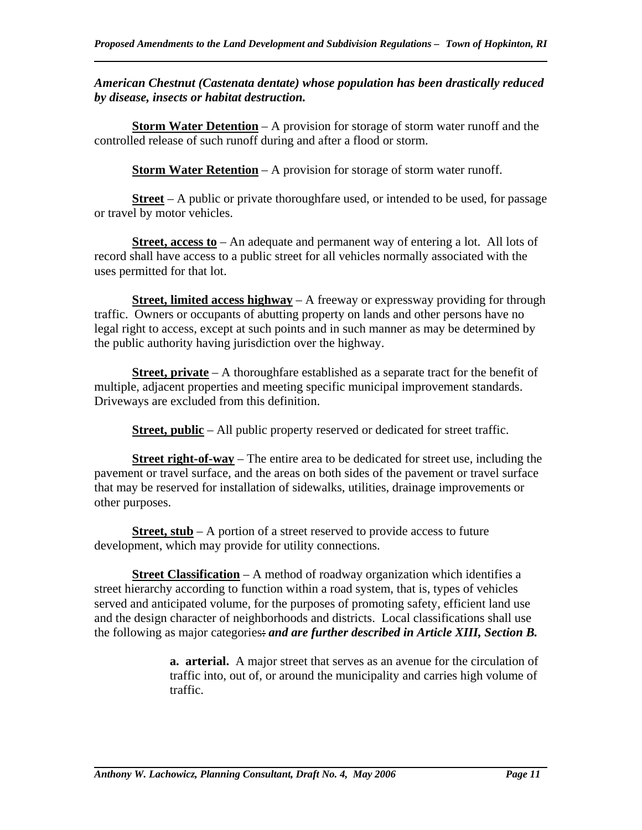### *American Chestnut (Castenata dentate) whose population has been drastically reduced by disease, insects or habitat destruction.*

**Storm Water Detention** – A provision for storage of storm water runoff and the controlled release of such runoff during and after a flood or storm.

**Storm Water Retention** – A provision for storage of storm water runoff.

**Street** – A public or private thoroughfare used, or intended to be used, for passage or travel by motor vehicles.

**Street, access to** – An adequate and permanent way of entering a lot. All lots of record shall have access to a public street for all vehicles normally associated with the uses permitted for that lot.

**Street, limited access highway** – A freeway or expressway providing for through traffic. Owners or occupants of abutting property on lands and other persons have no legal right to access, except at such points and in such manner as may be determined by the public authority having jurisdiction over the highway.

**Street, private** – A thoroughfare established as a separate tract for the benefit of multiple, adjacent properties and meeting specific municipal improvement standards. Driveways are excluded from this definition.

**Street, public** – All public property reserved or dedicated for street traffic.

**Street right-of-way** – The entire area to be dedicated for street use, including the pavement or travel surface, and the areas on both sides of the pavement or travel surface that may be reserved for installation of sidewalks, utilities, drainage improvements or other purposes.

**Street, stub** – A portion of a street reserved to provide access to future development, which may provide for utility connections.

**Street Classification** – A method of roadway organization which identifies a street hierarchy according to function within a road system, that is, types of vehicles served and anticipated volume, for the purposes of promoting safety, efficient land use and the design character of neighborhoods and districts. Local classifications shall use the following as major categories: *and are further described in Article XIII, Section B.* 

> **a. arterial.** A major street that serves as an avenue for the circulation of traffic into, out of, or around the municipality and carries high volume of traffic.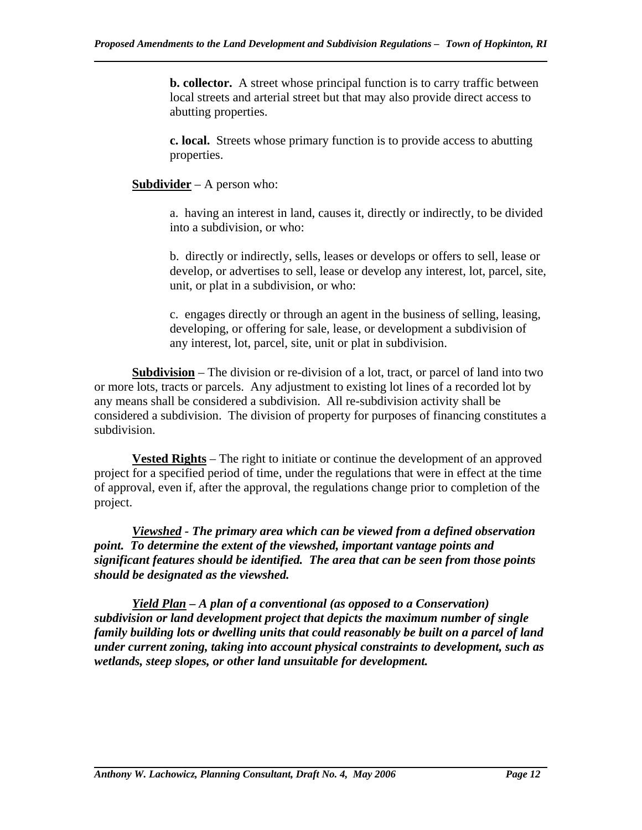**b. collector.** A street whose principal function is to carry traffic between local streets and arterial street but that may also provide direct access to abutting properties.

**c. local.** Streets whose primary function is to provide access to abutting properties.

**Subdivider** – A person who:

a. having an interest in land, causes it, directly or indirectly, to be divided into a subdivision, or who:

b. directly or indirectly, sells, leases or develops or offers to sell, lease or develop, or advertises to sell, lease or develop any interest, lot, parcel, site, unit, or plat in a subdivision, or who:

c. engages directly or through an agent in the business of selling, leasing, developing, or offering for sale, lease, or development a subdivision of any interest, lot, parcel, site, unit or plat in subdivision.

**Subdivision** – The division or re-division of a lot, tract, or parcel of land into two or more lots, tracts or parcels. Any adjustment to existing lot lines of a recorded lot by any means shall be considered a subdivision. All re-subdivision activity shall be considered a subdivision. The division of property for purposes of financing constitutes a subdivision.

**Vested Rights** – The right to initiate or continue the development of an approved project for a specified period of time, under the regulations that were in effect at the time of approval, even if, after the approval, the regulations change prior to completion of the project.

*Viewshed - The primary area which can be viewed from a defined observation point. To determine the extent of the viewshed, important vantage points and significant features should be identified. The area that can be seen from those points should be designated as the viewshed.* 

*Yield Plan – A plan of a conventional (as opposed to a Conservation) subdivision or land development project that depicts the maximum number of single family building lots or dwelling units that could reasonably be built on a parcel of land under current zoning, taking into account physical constraints to development, such as wetlands, steep slopes, or other land unsuitable for development.*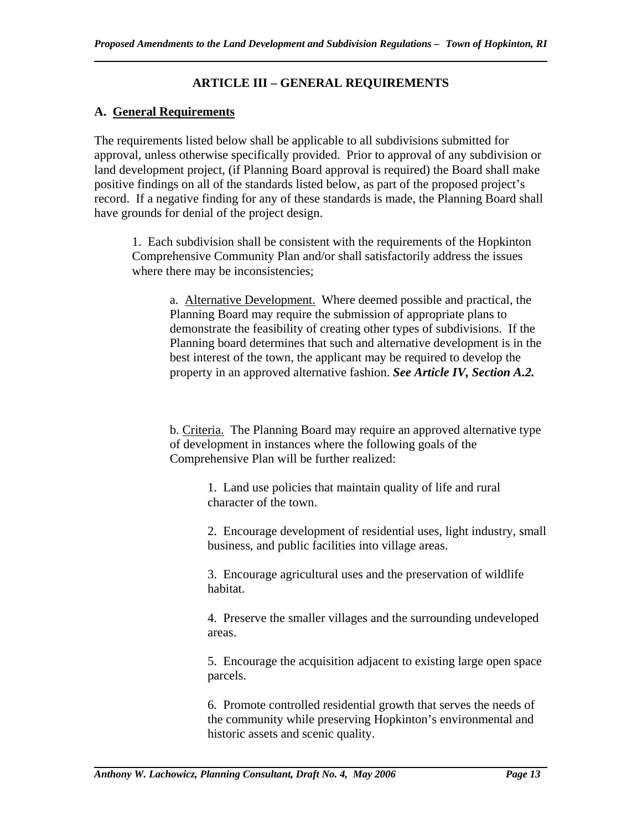# **ARTICLE III – GENERAL REQUIREMENTS**

## **A. General Requirements**

The requirements listed below shall be applicable to all subdivisions submitted for approval, unless otherwise specifically provided. Prior to approval of any subdivision or land development project, (if Planning Board approval is required) the Board shall make positive findings on all of the standards listed below, as part of the proposed project's record. If a negative finding for any of these standards is made, the Planning Board shall have grounds for denial of the project design.

1. Each subdivision shall be consistent with the requirements of the Hopkinton Comprehensive Community Plan and/or shall satisfactorily address the issues where there may be inconsistencies;

a. Alternative Development. Where deemed possible and practical, the Planning Board may require the submission of appropriate plans to demonstrate the feasibility of creating other types of subdivisions. If the Planning board determines that such and alternative development is in the best interest of the town, the applicant may be required to develop the property in an approved alternative fashion. *See Article IV, Section A.2.* 

b. Criteria. The Planning Board may require an approved alternative type of development in instances where the following goals of the Comprehensive Plan will be further realized:

> 1. Land use policies that maintain quality of life and rural character of the town.

2. Encourage development of residential uses, light industry, small business, and public facilities into village areas.

3. Encourage agricultural uses and the preservation of wildlife habitat.

4. Preserve the smaller villages and the surrounding undeveloped areas.

5. Encourage the acquisition adjacent to existing large open space parcels.

6. Promote controlled residential growth that serves the needs of the community while preserving Hopkinton's environmental and historic assets and scenic quality.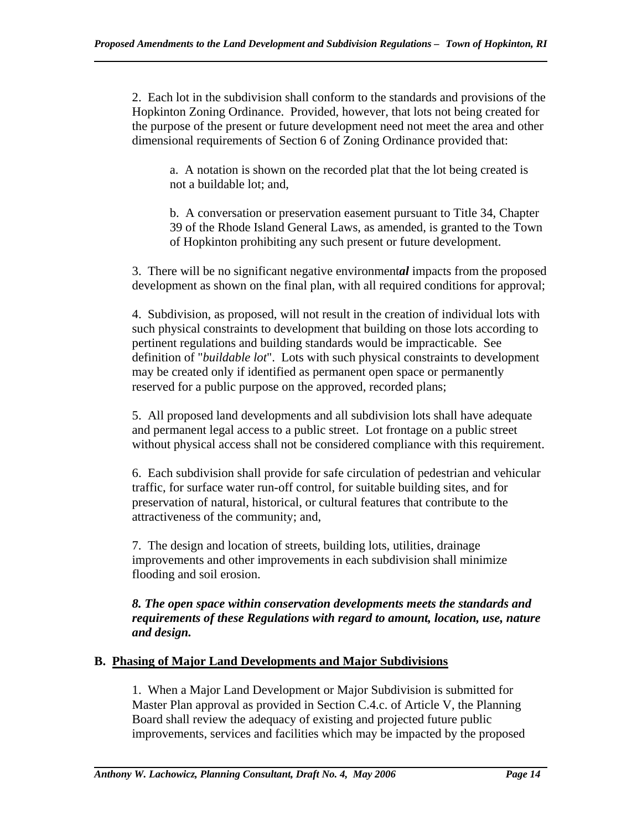2. Each lot in the subdivision shall conform to the standards and provisions of the Hopkinton Zoning Ordinance. Provided, however, that lots not being created for the purpose of the present or future development need not meet the area and other dimensional requirements of Section 6 of Zoning Ordinance provided that:

a. A notation is shown on the recorded plat that the lot being created is not a buildable lot; and,

b. A conversation or preservation easement pursuant to Title 34, Chapter 39 of the Rhode Island General Laws, as amended, is granted to the Town of Hopkinton prohibiting any such present or future development.

3. There will be no significant negative environment*al* impacts from the proposed development as shown on the final plan, with all required conditions for approval;

4. Subdivision, as proposed, will not result in the creation of individual lots with such physical constraints to development that building on those lots according to pertinent regulations and building standards would be impracticable. See definition of "*buildable lot*". Lots with such physical constraints to development may be created only if identified as permanent open space or permanently reserved for a public purpose on the approved, recorded plans;

5. All proposed land developments and all subdivision lots shall have adequate and permanent legal access to a public street. Lot frontage on a public street without physical access shall not be considered compliance with this requirement.

6. Each subdivision shall provide for safe circulation of pedestrian and vehicular traffic, for surface water run-off control, for suitable building sites, and for preservation of natural, historical, or cultural features that contribute to the attractiveness of the community; and,

7. The design and location of streets, building lots, utilities, drainage improvements and other improvements in each subdivision shall minimize flooding and soil erosion.

### *8. The open space within conservation developments meets the standards and requirements of these Regulations with regard to amount, location, use, nature and design.*

# **B. Phasing of Major Land Developments and Major Subdivisions**

1. When a Major Land Development or Major Subdivision is submitted for Master Plan approval as provided in Section C.4.c. of Article V, the Planning Board shall review the adequacy of existing and projected future public improvements, services and facilities which may be impacted by the proposed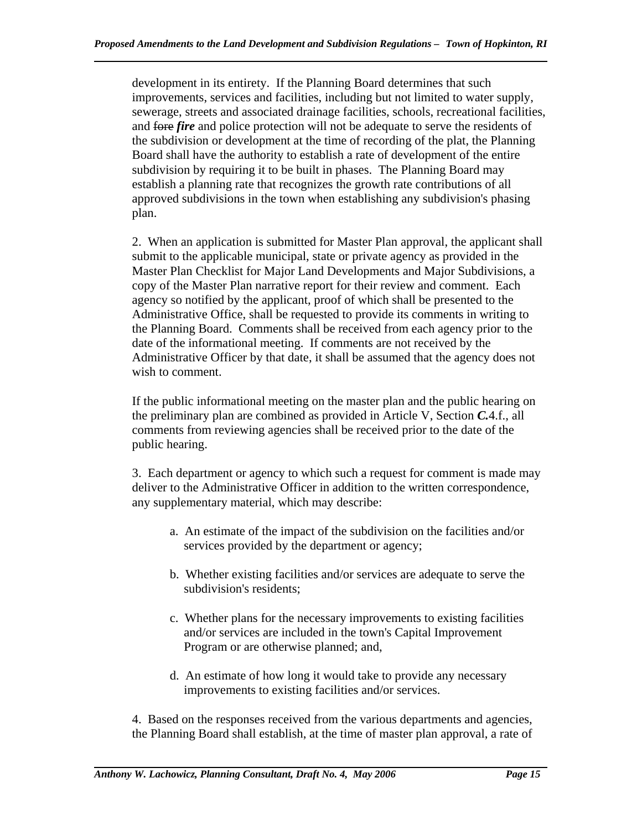development in its entirety. If the Planning Board determines that such improvements, services and facilities, including but not limited to water supply, sewerage, streets and associated drainage facilities, schools, recreational facilities, and fore *fire* and police protection will not be adequate to serve the residents of the subdivision or development at the time of recording of the plat, the Planning Board shall have the authority to establish a rate of development of the entire subdivision by requiring it to be built in phases. The Planning Board may establish a planning rate that recognizes the growth rate contributions of all approved subdivisions in the town when establishing any subdivision's phasing plan.

2. When an application is submitted for Master Plan approval, the applicant shall submit to the applicable municipal, state or private agency as provided in the Master Plan Checklist for Major Land Developments and Major Subdivisions, a copy of the Master Plan narrative report for their review and comment. Each agency so notified by the applicant, proof of which shall be presented to the Administrative Office, shall be requested to provide its comments in writing to the Planning Board. Comments shall be received from each agency prior to the date of the informational meeting. If comments are not received by the Administrative Officer by that date, it shall be assumed that the agency does not wish to comment.

If the public informational meeting on the master plan and the public hearing on the preliminary plan are combined as provided in Article V, Section *C.*4.f., all comments from reviewing agencies shall be received prior to the date of the public hearing.

3. Each department or agency to which such a request for comment is made may deliver to the Administrative Officer in addition to the written correspondence, any supplementary material, which may describe:

- a. An estimate of the impact of the subdivision on the facilities and/or services provided by the department or agency;
- b. Whether existing facilities and/or services are adequate to serve the subdivision's residents;
- c. Whether plans for the necessary improvements to existing facilities and/or services are included in the town's Capital Improvement Program or are otherwise planned; and,
- d. An estimate of how long it would take to provide any necessary improvements to existing facilities and/or services.

4. Based on the responses received from the various departments and agencies, the Planning Board shall establish, at the time of master plan approval, a rate of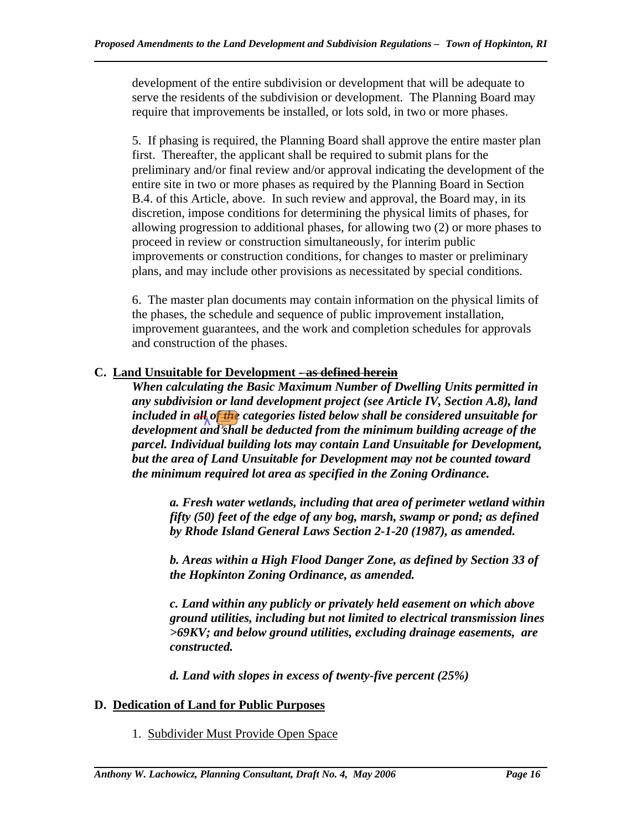development of the entire subdivision or development that will be adequate to serve the residents of the subdivision or development. The Planning Board may require that improvements be installed, or lots sold, in two or more phases.

5. If phasing is required, the Planning Board shall approve the entire master plan first. Thereafter, the applicant shall be required to submit plans for the preliminary and/or final review and/or approval indicating the development of the entire site in two or more phases as required by the Planning Board in Section B.4. of this Article, above. In such review and approval, the Board may, in its discretion, impose conditions for determining the physical limits of phases, for allowing progression to additional phases, for allowing two (2) or more phases to proceed in review or construction simultaneously, for interim public improvements or construction conditions, for changes to master or preliminary plans, and may include other provisions as necessitated by special conditions.

6. The master plan documents may contain information on the physical limits of the phases, the schedule and sequence of public improvement installation, improvement guarantees, and the work and completion schedules for approvals and construction of the phases.

## **C. Land Unsuitable for Development - as defined herein**

*When calculating the Basic Maximum Number of Dwelling Units permitted in any subdivision or land development project (see Article IV, Section A.8), land included in all of the categories listed below shall be considered unsuitable for development and shall be deducted from the minimum building acreage of the parcel. Individual building lots may contain Land Unsuitable for Development, but the area of Land Unsuitable for Development may not be counted toward the minimum required lot area as specified in the Zoning Ordinance.* 

*a. Fresh water wetlands, including that area of perimeter wetland within fifty (50) feet of the edge of any bog, marsh, swamp or pond; as defined by Rhode Island General Laws Section 2-1-20 (1987), as amended.* 

*b. Areas within a High Flood Danger Zone, as defined by Section 33 of the Hopkinton Zoning Ordinance, as amended.* 

*c. Land within any publicly or privately held easement on which above ground utilities, including but not limited to electrical transmission lines >69KV; and below ground utilities, excluding drainage easements, are constructed.* 

*d. Land with slopes in excess of twenty-five percent (25%)* 

### **D. Dedication of Land for Public Purposes**

1. Subdivider Must Provide Open Space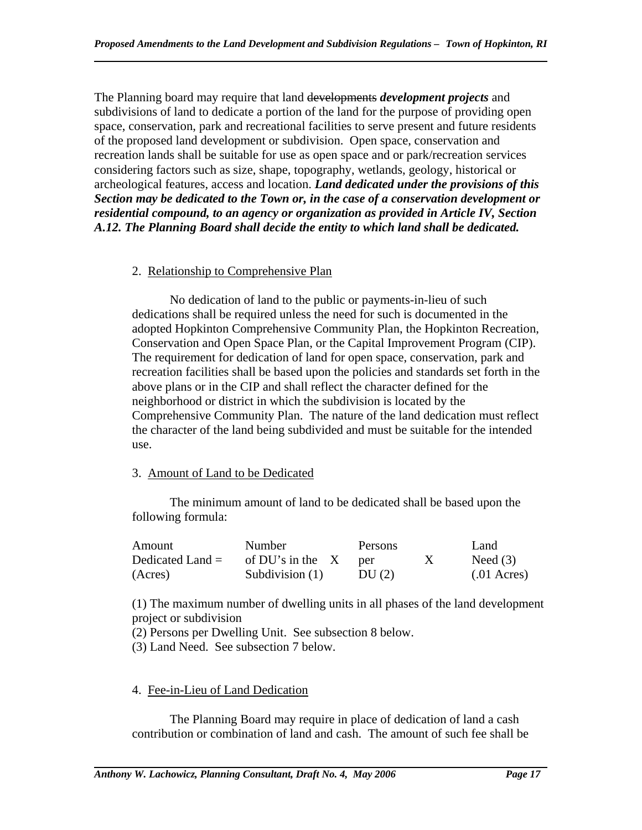The Planning board may require that land developments *development projects* and subdivisions of land to dedicate a portion of the land for the purpose of providing open space, conservation, park and recreational facilities to serve present and future residents of the proposed land development or subdivision. Open space, conservation and recreation lands shall be suitable for use as open space and or park/recreation services considering factors such as size, shape, topography, wetlands, geology, historical or archeological features, access and location. *Land dedicated under the provisions of this Section may be dedicated to the Town or, in the case of a conservation development or residential compound, to an agency or organization as provided in Article IV, Section A.12. The Planning Board shall decide the entity to which land shall be dedicated.* 

## 2. Relationship to Comprehensive Plan

 No dedication of land to the public or payments-in-lieu of such dedications shall be required unless the need for such is documented in the adopted Hopkinton Comprehensive Community Plan, the Hopkinton Recreation, Conservation and Open Space Plan, or the Capital Improvement Program (CIP). The requirement for dedication of land for open space, conservation, park and recreation facilities shall be based upon the policies and standards set forth in the above plans or in the CIP and shall reflect the character defined for the neighborhood or district in which the subdivision is located by the Comprehensive Community Plan. The nature of the land dedication must reflect the character of the land being subdivided and must be suitable for the intended use.

# 3. Amount of Land to be Dedicated

 The minimum amount of land to be dedicated shall be based upon the following formula:

| Amount             | Number             | Persons | Land                    |
|--------------------|--------------------|---------|-------------------------|
| Dedicated Land $=$ | of DU's in the $X$ | per     | Need $(3)$              |
| (Acres)            | Subdivision $(1)$  | DU(2)   | $(0.01 \text{ A}$ cres) |

(1) The maximum number of dwelling units in all phases of the land development project or subdivision

(2) Persons per Dwelling Unit. See subsection 8 below.

(3) Land Need. See subsection 7 below.

# 4. Fee-in-Lieu of Land Dedication

 The Planning Board may require in place of dedication of land a cash contribution or combination of land and cash. The amount of such fee shall be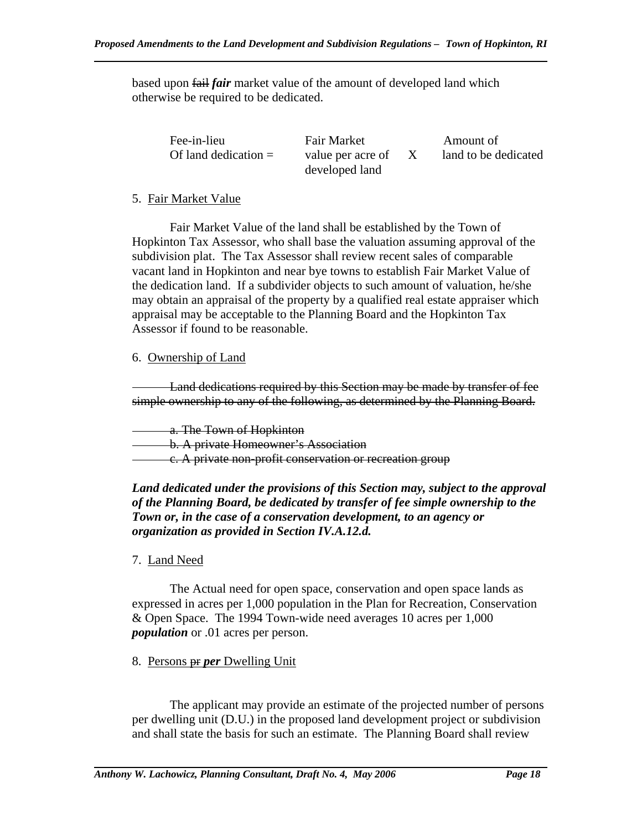based upon fail *fair* market value of the amount of developed land which otherwise be required to be dedicated.

| Fee-in-lieu<br>Of land dedication $=$ | <b>Fair Market</b><br>value per acre of<br>developed land |  | Amount of<br>land to be dedicated |
|---------------------------------------|-----------------------------------------------------------|--|-----------------------------------|
|---------------------------------------|-----------------------------------------------------------|--|-----------------------------------|

### 5. Fair Market Value

 Fair Market Value of the land shall be established by the Town of Hopkinton Tax Assessor, who shall base the valuation assuming approval of the subdivision plat. The Tax Assessor shall review recent sales of comparable vacant land in Hopkinton and near bye towns to establish Fair Market Value of the dedication land. If a subdivider objects to such amount of valuation, he/she may obtain an appraisal of the property by a qualified real estate appraiser which appraisal may be acceptable to the Planning Board and the Hopkinton Tax Assessor if found to be reasonable.

## 6. Ownership of Land

Land dedications required by this Section may be made by transfer of fee simple ownership to any of the following, as determined by the Planning Board.

a. The Town of Hopkinton

b. A private Homeowner's Association

c. A private non-profit conservation or recreation group

*Land dedicated under the provisions of this Section may, subject to the approval of the Planning Board, be dedicated by transfer of fee simple ownership to the Town or, in the case of a conservation development, to an agency or organization as provided in Section IV.A.12.d.* 

# 7. Land Need

The Actual need for open space, conservation and open space lands as expressed in acres per 1,000 population in the Plan for Recreation, Conservation & Open Space. The 1994 Town-wide need averages 10 acres per 1,000 *population* or .01 acres per person.

# 8. Persons pr *per* Dwelling Unit

The applicant may provide an estimate of the projected number of persons per dwelling unit (D.U.) in the proposed land development project or subdivision and shall state the basis for such an estimate. The Planning Board shall review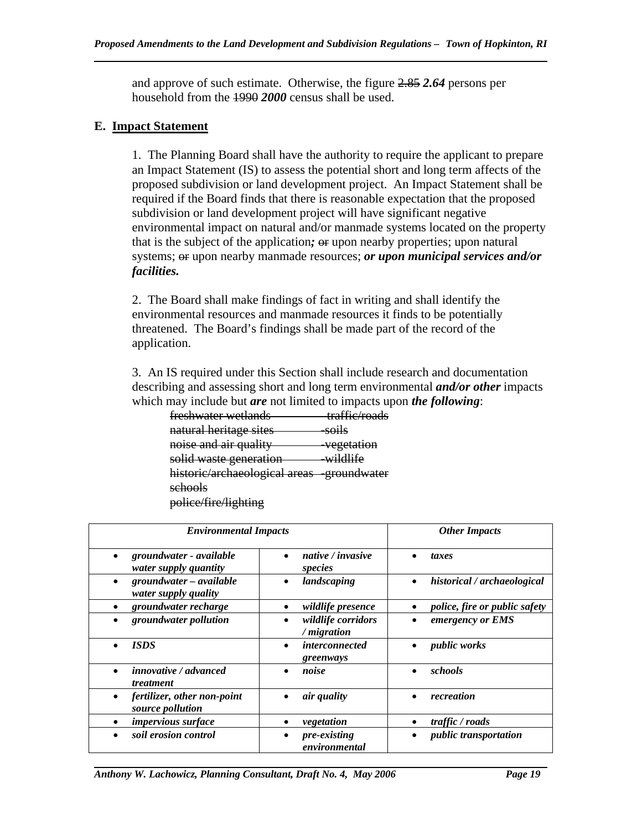and approve of such estimate. Otherwise, the figure 2.85 *2.64* persons per household from the 1990 *2000* census shall be used.

#### **E. Impact Statement**

 1. The Planning Board shall have the authority to require the applicant to prepare an Impact Statement (IS) to assess the potential short and long term affects of the proposed subdivision or land development project. An Impact Statement shall be required if the Board finds that there is reasonable expectation that the proposed subdivision or land development project will have significant negative environmental impact on natural and/or manmade systems located on the property that is the subject of the application; or upon nearby properties; upon natural systems; or upon nearby manmade resources; *or upon municipal services and/or facilities.* 

 2. The Board shall make findings of fact in writing and shall identify the environmental resources and manmade resources it finds to be potentially threatened. The Board's findings shall be made part of the record of the application.

 3. An IS required under this Section shall include research and documentation describing and assessing short and long term environmental *and/or other* impacts which may include but *are* not limited to impacts upon *the following*:

| freshwater wetlands                        | traffic/roads         |
|--------------------------------------------|-----------------------|
| natural heritage sites                     | soils                 |
| noise and air quality                      | <del>vegetation</del> |
| solid waste generation                     | wildlife              |
| historic/archaeological areas -groundwater |                       |
| schools                                    |                       |
| police/fire/lighting                       |                       |

| <b>Environmental Impacts</b>                                  | <b>Other Impacts</b>               |                                                   |
|---------------------------------------------------------------|------------------------------------|---------------------------------------------------|
| groundwater - available<br>$\bullet$<br>water supply quantity | native / invasive<br>species       | taxes                                             |
| groundwater - available<br>$\bullet$<br>water supply quality  | landscaping                        | historical / archaeological<br>$\bullet$          |
| groundwater recharge                                          | <i>wildlife presence</i>           | <i>police, fire or public safety</i><br>$\bullet$ |
| groundwater pollution                                         | wildlife corridors<br>/ migration  | emergency or EMS<br>$\bullet$                     |
| <b>ISDS</b>                                                   | <i>interconnected</i><br>greenways | public works                                      |
| <i>innovative / advanced</i><br>treatment                     | noise                              | schools<br>$\bullet$                              |
| fertilizer, other non-point<br>$\bullet$<br>source pollution  | air quality                        | recreation<br>$\bullet$                           |
| impervious surface                                            | vegetation                         | traffic / roads<br>٠                              |
| soil erosion control                                          | pre-existing<br>environmental      | <i>public transportation</i>                      |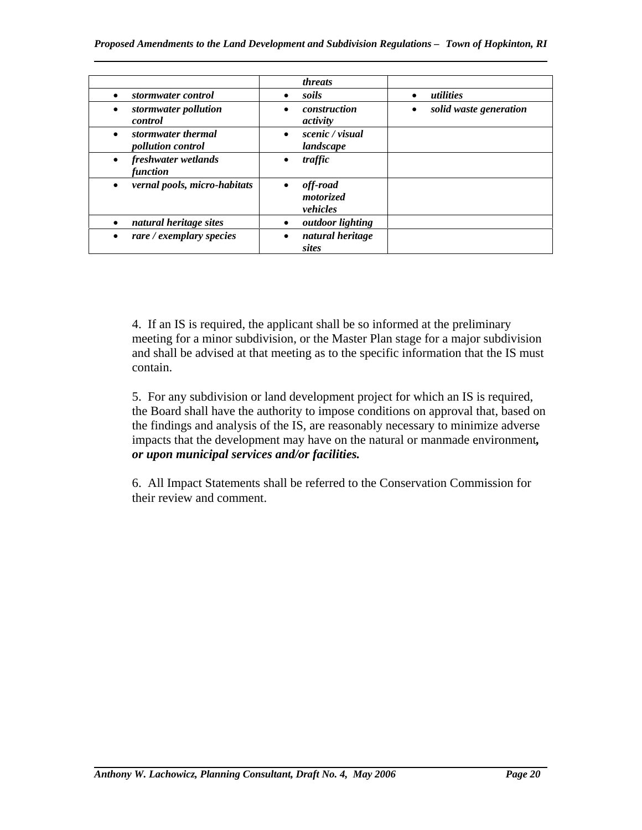|                                                             | <i>threats</i>                                        |                                     |
|-------------------------------------------------------------|-------------------------------------------------------|-------------------------------------|
| stormwater control<br>$\bullet$                             | soils<br>$\bullet$                                    | utilities<br>$\bullet$              |
| stormwater pollution<br>$\bullet$<br>control                | construction<br>$\bullet$<br>activity                 | solid waste generation<br>$\bullet$ |
| stormwater thermal<br>$\bullet$<br><i>pollution control</i> | scenic / visual<br>$\bullet$<br>landscape             |                                     |
| freshwater wetlands<br>$\bullet$<br>function                | traffic                                               |                                     |
| vernal pools, micro-habitats<br>$\bullet$                   | off-road<br>$\bullet$<br><i>motorized</i><br>vehicles |                                     |
| natural heritage sites<br>$\bullet$                         | <i>outdoor lighting</i><br>٠                          |                                     |
| rare / exemplary species                                    | natural heritage<br>sites                             |                                     |

 4. If an IS is required, the applicant shall be so informed at the preliminary meeting for a minor subdivision, or the Master Plan stage for a major subdivision and shall be advised at that meeting as to the specific information that the IS must contain.

 5. For any subdivision or land development project for which an IS is required, the Board shall have the authority to impose conditions on approval that, based on the findings and analysis of the IS, are reasonably necessary to minimize adverse impacts that the development may have on the natural or manmade environment*, or upon municipal services and/or facilities.*

 6. All Impact Statements shall be referred to the Conservation Commission for their review and comment.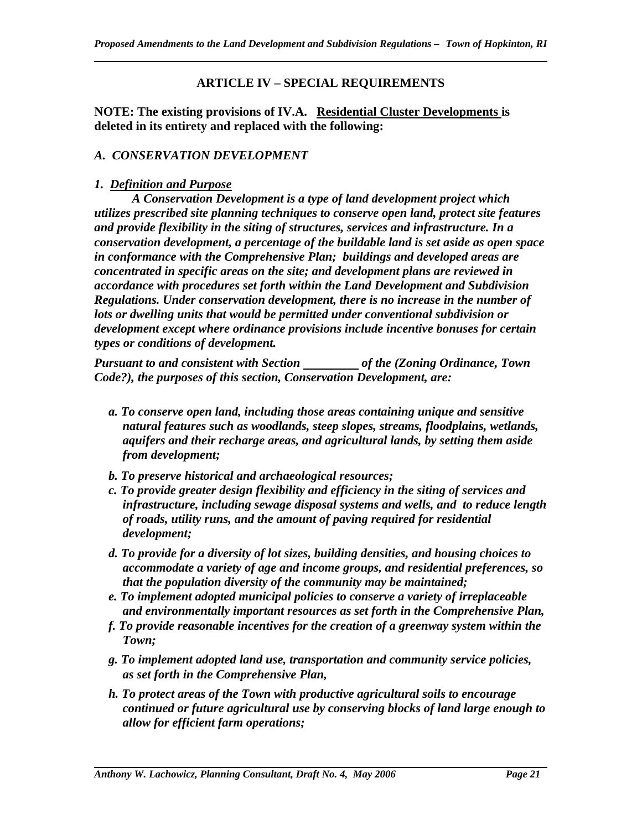### **ARTICLE IV – SPECIAL REQUIREMENTS**

**NOTE: The existing provisions of IV.A. Residential Cluster Developments is deleted in its entirety and replaced with the following:** 

#### *A. CONSERVATION DEVELOPMENT*

#### *1. Definition and Purpose*

*A Conservation Development is a type of land development project which utilizes prescribed site planning techniques to conserve open land, protect site features and provide flexibility in the siting of structures, services and infrastructure. In a conservation development, a percentage of the buildable land is set aside as open space in conformance with the Comprehensive Plan; buildings and developed areas are concentrated in specific areas on the site; and development plans are reviewed in accordance with procedures set forth within the Land Development and Subdivision Regulations. Under conservation development, there is no increase in the number of lots or dwelling units that would be permitted under conventional subdivision or development except where ordinance provisions include incentive bonuses for certain types or conditions of development.* 

*Pursuant to and consistent with Section* \_\_\_\_\_\_\_\_\_ of the (Zoning Ordinance, Town *Code?), the purposes of this section, Conservation Development, are:* 

- *a. To conserve open land, including those areas containing unique and sensitive natural features such as woodlands, steep slopes, streams, floodplains, wetlands, aquifers and their recharge areas, and agricultural lands, by setting them aside from development;*
- *b. To preserve historical and archaeological resources;*
- *c. To provide greater design flexibility and efficiency in the siting of services and infrastructure, including sewage disposal systems and wells, and to reduce length of roads, utility runs, and the amount of paving required for residential development;*
- *d. To provide for a diversity of lot sizes, building densities, and housing choices to accommodate a variety of age and income groups, and residential preferences, so that the population diversity of the community may be maintained;*
- *e. To implement adopted municipal policies to conserve a variety of irreplaceable and environmentally important resources as set forth in the Comprehensive Plan,*
- *f. To provide reasonable incentives for the creation of a greenway system within the Town;*
- *g. To implement adopted land use, transportation and community service policies, as set forth in the Comprehensive Plan,*
- *h. To protect areas of the Town with productive agricultural soils to encourage continued or future agricultural use by conserving blocks of land large enough to allow for efficient farm operations;*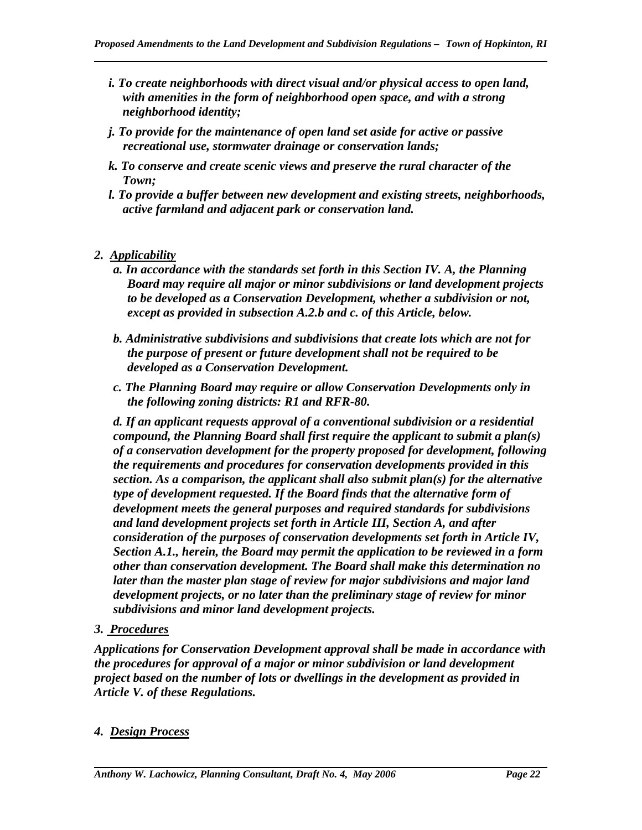- *i. To create neighborhoods with direct visual and/or physical access to open land, with amenities in the form of neighborhood open space, and with a strong neighborhood identity;*
- *j. To provide for the maintenance of open land set aside for active or passive recreational use, stormwater drainage or conservation lands;*
- *k. To conserve and create scenic views and preserve the rural character of the Town;*
- *l. To provide a buffer between new development and existing streets, neighborhoods, active farmland and adjacent park or conservation land.*
- *2. Applicability*

- *a. In accordance with the standards set forth in this Section IV. A, the Planning Board may require all major or minor subdivisions or land development projects to be developed as a Conservation Development, whether a subdivision or not, except as provided in subsection A.2.b and c. of this Article, below.*
- *b. Administrative subdivisions and subdivisions that create lots which are not for the purpose of present or future development shall not be required to be developed as a Conservation Development.*
- *c. The Planning Board may require or allow Conservation Developments only in the following zoning districts: R1 and RFR-80.*

*d. If an applicant requests approval of a conventional subdivision or a residential compound, the Planning Board shall first require the applicant to submit a plan(s) of a conservation development for the property proposed for development, following the requirements and procedures for conservation developments provided in this section. As a comparison, the applicant shall also submit plan(s) for the alternative type of development requested. If the Board finds that the alternative form of development meets the general purposes and required standards for subdivisions and land development projects set forth in Article III, Section A, and after consideration of the purposes of conservation developments set forth in Article IV, Section A.1., herein, the Board may permit the application to be reviewed in a form other than conservation development. The Board shall make this determination no later than the master plan stage of review for major subdivisions and major land development projects, or no later than the preliminary stage of review for minor subdivisions and minor land development projects.* 

*3. Procedures*

*Applications for Conservation Development approval shall be made in accordance with the procedures for approval of a major or minor subdivision or land development project based on the number of lots or dwellings in the development as provided in Article V. of these Regulations.* 

# *4. Design Process*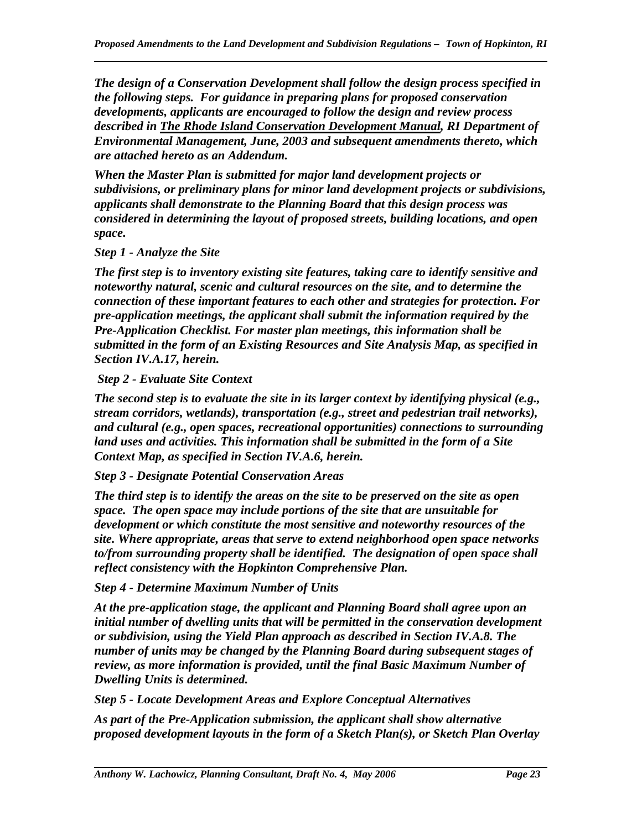*The design of a Conservation Development shall follow the design process specified in the following steps. For guidance in preparing plans for proposed conservation developments, applicants are encouraged to follow the design and review process described in The Rhode Island Conservation Development Manual, RI Department of Environmental Management, June, 2003 and subsequent amendments thereto, which are attached hereto as an Addendum.* 

*When the Master Plan is submitted for major land development projects or subdivisions, or preliminary plans for minor land development projects or subdivisions, applicants shall demonstrate to the Planning Board that this design process was considered in determining the layout of proposed streets, building locations, and open space.* 

#### *Step 1 - Analyze the Site*

*The first step is to inventory existing site features, taking care to identify sensitive and noteworthy natural, scenic and cultural resources on the site, and to determine the connection of these important features to each other and strategies for protection. For pre-application meetings, the applicant shall submit the information required by the Pre-Application Checklist. For master plan meetings, this information shall be submitted in the form of an Existing Resources and Site Analysis Map, as specified in Section IV.A.17, herein.* 

#### *Step 2 - Evaluate Site Context*

*The second step is to evaluate the site in its larger context by identifying physical (e.g., stream corridors, wetlands), transportation (e.g., street and pedestrian trail networks), and cultural (e.g., open spaces, recreational opportunities) connections to surrounding land uses and activities. This information shall be submitted in the form of a Site Context Map, as specified in Section IV.A.6, herein.* 

### *Step 3 - Designate Potential Conservation Areas*

*The third step is to identify the areas on the site to be preserved on the site as open space. The open space may include portions of the site that are unsuitable for development or which constitute the most sensitive and noteworthy resources of the site. Where appropriate, areas that serve to extend neighborhood open space networks to/from surrounding property shall be identified. The designation of open space shall reflect consistency with the Hopkinton Comprehensive Plan.* 

*Step 4 - Determine Maximum Number of Units* 

*At the pre-application stage, the applicant and Planning Board shall agree upon an initial number of dwelling units that will be permitted in the conservation development or subdivision, using the Yield Plan approach as described in Section IV.A.8. The number of units may be changed by the Planning Board during subsequent stages of review, as more information is provided, until the final Basic Maximum Number of Dwelling Units is determined.* 

*Step 5 - Locate Development Areas and Explore Conceptual Alternatives* 

*As part of the Pre-Application submission, the applicant shall show alternative proposed development layouts in the form of a Sketch Plan(s), or Sketch Plan Overlay*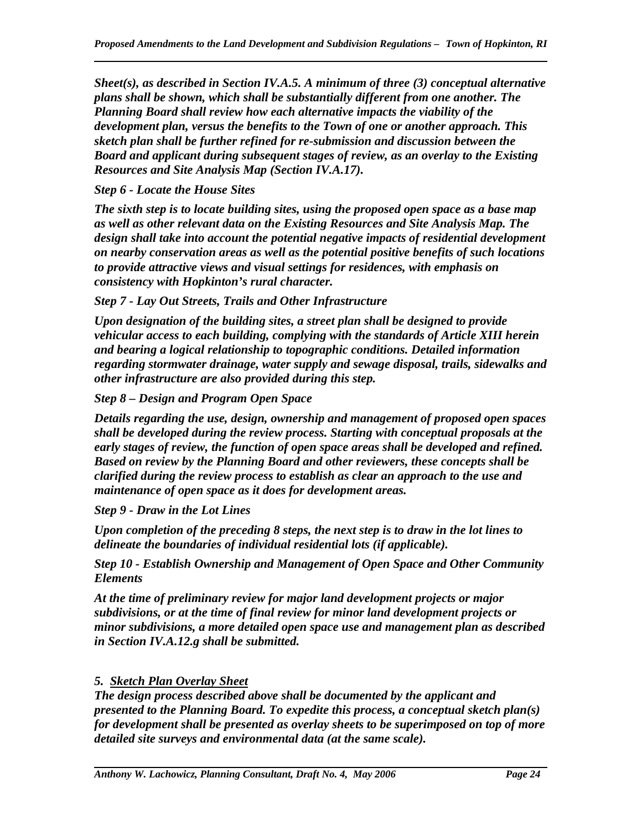*Sheet(s), as described in Section IV.A.5. A minimum of three (3) conceptual alternative plans shall be shown, which shall be substantially different from one another. The Planning Board shall review how each alternative impacts the viability of the development plan, versus the benefits to the Town of one or another approach. This sketch plan shall be further refined for re-submission and discussion between the Board and applicant during subsequent stages of review, as an overlay to the Existing Resources and Site Analysis Map (Section IV.A.17).* 

*Step 6 - Locate the House Sites* 

*The sixth step is to locate building sites, using the proposed open space as a base map as well as other relevant data on the Existing Resources and Site Analysis Map. The design shall take into account the potential negative impacts of residential development on nearby conservation areas as well as the potential positive benefits of such locations to provide attractive views and visual settings for residences, with emphasis on consistency with Hopkinton's rural character.* 

*Step 7 - Lay Out Streets, Trails and Other Infrastructure* 

*Upon designation of the building sites, a street plan shall be designed to provide vehicular access to each building, complying with the standards of Article XIII herein and bearing a logical relationship to topographic conditions. Detailed information regarding stormwater drainage, water supply and sewage disposal, trails, sidewalks and other infrastructure are also provided during this step.* 

*Step 8 – Design and Program Open Space* 

*Details regarding the use, design, ownership and management of proposed open spaces shall be developed during the review process. Starting with conceptual proposals at the early stages of review, the function of open space areas shall be developed and refined. Based on review by the Planning Board and other reviewers, these concepts shall be clarified during the review process to establish as clear an approach to the use and maintenance of open space as it does for development areas.* 

*Step 9 - Draw in the Lot Lines* 

*Upon completion of the preceding 8 steps, the next step is to draw in the lot lines to delineate the boundaries of individual residential lots (if applicable).* 

*Step 10 - Establish Ownership and Management of Open Space and Other Community Elements* 

*At the time of preliminary review for major land development projects or major subdivisions, or at the time of final review for minor land development projects or minor subdivisions, a more detailed open space use and management plan as described in Section IV.A.12.g shall be submitted.* 

### *5. Sketch Plan Overlay Sheet*

*The design process described above shall be documented by the applicant and presented to the Planning Board. To expedite this process, a conceptual sketch plan(s) for development shall be presented as overlay sheets to be superimposed on top of more detailed site surveys and environmental data (at the same scale).*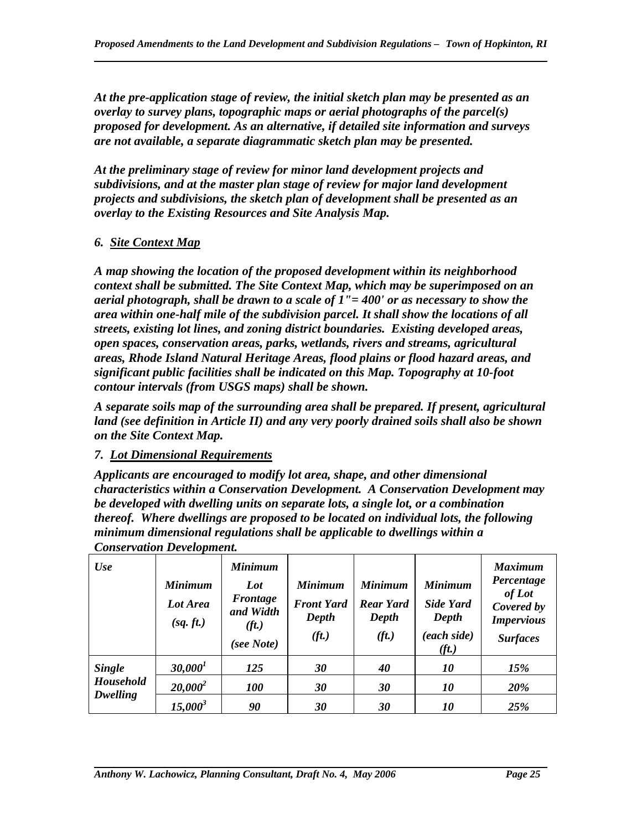*At the pre-application stage of review, the initial sketch plan may be presented as an overlay to survey plans, topographic maps or aerial photographs of the parcel(s) proposed for development. As an alternative, if detailed site information and surveys are not available, a separate diagrammatic sketch plan may be presented.* 

*At the preliminary stage of review for minor land development projects and subdivisions, and at the master plan stage of review for major land development projects and subdivisions, the sketch plan of development shall be presented as an overlay to the Existing Resources and Site Analysis Map.* 

# *6. Site Context Map*

*A map showing the location of the proposed development within its neighborhood context shall be submitted. The Site Context Map, which may be superimposed on an aerial photograph, shall be drawn to a scale of 1"= 400' or as necessary to show the area within one-half mile of the subdivision parcel. It shall show the locations of all streets, existing lot lines, and zoning district boundaries. Existing developed areas, open spaces, conservation areas, parks, wetlands, rivers and streams, agricultural areas, Rhode Island Natural Heritage Areas, flood plains or flood hazard areas, and significant public facilities shall be indicated on this Map. Topography at 10-foot contour intervals (from USGS maps) shall be shown.* 

*A separate soils map of the surrounding area shall be prepared. If present, agricultural land (see definition in Article II) and any very poorly drained soils shall also be shown on the Site Context Map.* 

# *7. Lot Dimensional Requirements*

*Applicants are encouraged to modify lot area, shape, and other dimensional characteristics within a Conservation Development. A Conservation Development may be developed with dwelling units on separate lots, a single lot, or a combination thereof. Where dwellings are proposed to be located on individual lots, the following minimum dimensional regulations shall be applicable to dwellings within a Conservation Development.* 

| Use              | <b>Minimum</b><br>Lot Area<br>(sq. ft.) | <b>Minimum</b><br>Lot<br>Frontage<br>and Width<br>(f <sub>t</sub> )<br>(see Note) | <b>Minimum</b><br><b>Front Yard</b><br>Depth<br>(ft.) | <b>Minimum</b><br><b>Rear Yard</b><br>Depth<br>(f <sub>t</sub> ) | <b>Minimum</b><br>Side Yard<br>Depth<br>(each side)<br>(f <sub>t</sub> ) | <b>Maximum</b><br>Percentage<br>of Lot<br>Covered by<br><b>Impervious</b><br><b>Surfaces</b> |
|------------------|-----------------------------------------|-----------------------------------------------------------------------------------|-------------------------------------------------------|------------------------------------------------------------------|--------------------------------------------------------------------------|----------------------------------------------------------------------------------------------|
| <b>Single</b>    | 30,000 <sup>1</sup>                     | 125                                                                               | 30                                                    | 40                                                               | 10                                                                       | 15%                                                                                          |
| <b>Household</b> | $20,000^2$                              | <i>100</i>                                                                        | 30                                                    | 30                                                               | <i>10</i>                                                                | <b>20%</b>                                                                                   |
| Dwelling         | $15,000^3$                              | 90                                                                                | 30                                                    | 30                                                               | 10                                                                       | 25%                                                                                          |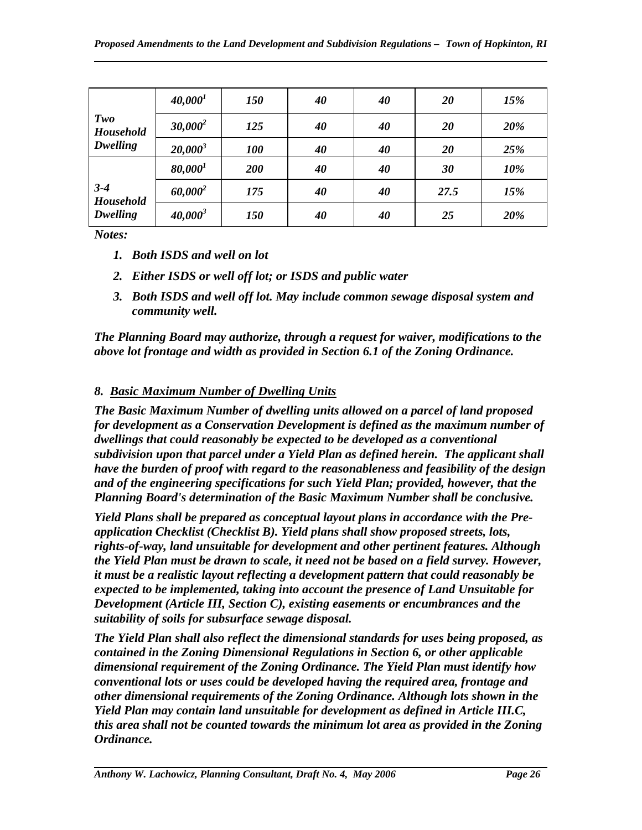|                                  | 40,000 <sup>1</sup> | 150        | 40 | 40 | 20   | 15% |
|----------------------------------|---------------------|------------|----|----|------|-----|
| Two<br>Household<br>Dwelling     | $30,000^2$          | 125        | 40 | 40 | 20   | 20% |
|                                  | $20,000^3$          | <b>100</b> | 40 | 40 | 20   | 25% |
|                                  | 80,000 <sup>1</sup> | 200        | 40 | 40 | 30   | 10% |
| $3 - 4$<br>Household<br>Dwelling | $60,000^2$          | 175        | 40 | 40 | 27.5 | 15% |
|                                  | $40,000^3$          | 150        | 40 | 40 | 25   | 20% |

*Notes:* 

- *1. Both ISDS and well on lot*
- *2. Either ISDS or well off lot; or ISDS and public water*
- *3. Both ISDS and well off lot. May include common sewage disposal system and community well.*

*The Planning Board may authorize, through a request for waiver, modifications to the above lot frontage and width as provided in Section 6.1 of the Zoning Ordinance.* 

# *8. Basic Maximum Number of Dwelling Units*

*The Basic Maximum Number of dwelling units allowed on a parcel of land proposed for development as a Conservation Development is defined as the maximum number of dwellings that could reasonably be expected to be developed as a conventional subdivision upon that parcel under a Yield Plan as defined herein. The applicant shall have the burden of proof with regard to the reasonableness and feasibility of the design and of the engineering specifications for such Yield Plan; provided, however, that the Planning Board's determination of the Basic Maximum Number shall be conclusive.* 

*Yield Plans shall be prepared as conceptual layout plans in accordance with the Preapplication Checklist (Checklist B). Yield plans shall show proposed streets, lots, rights-of-way, land unsuitable for development and other pertinent features. Although the Yield Plan must be drawn to scale, it need not be based on a field survey. However, it must be a realistic layout reflecting a development pattern that could reasonably be expected to be implemented, taking into account the presence of Land Unsuitable for Development (Article III, Section C), existing easements or encumbrances and the suitability of soils for subsurface sewage disposal.* 

*The Yield Plan shall also reflect the dimensional standards for uses being proposed, as contained in the Zoning Dimensional Regulations in Section 6, or other applicable dimensional requirement of the Zoning Ordinance. The Yield Plan must identify how conventional lots or uses could be developed having the required area, frontage and other dimensional requirements of the Zoning Ordinance. Although lots shown in the Yield Plan may contain land unsuitable for development as defined in Article III.C, this area shall not be counted towards the minimum lot area as provided in the Zoning Ordinance.*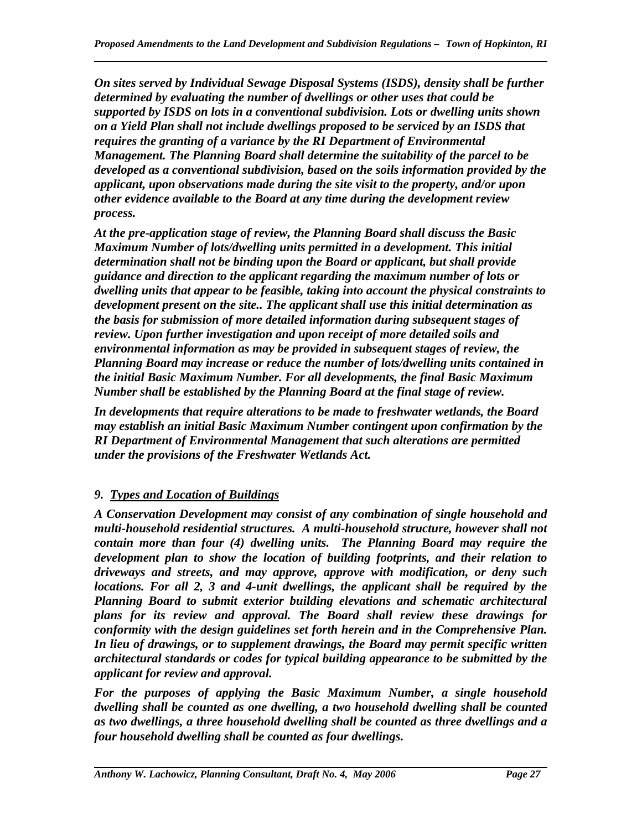*On sites served by Individual Sewage Disposal Systems (ISDS), density shall be further determined by evaluating the number of dwellings or other uses that could be supported by ISDS on lots in a conventional subdivision. Lots or dwelling units shown on a Yield Plan shall not include dwellings proposed to be serviced by an ISDS that requires the granting of a variance by the RI Department of Environmental Management. The Planning Board shall determine the suitability of the parcel to be developed as a conventional subdivision, based on the soils information provided by the applicant, upon observations made during the site visit to the property, and/or upon other evidence available to the Board at any time during the development review process.* 

*At the pre-application stage of review, the Planning Board shall discuss the Basic Maximum Number of lots/dwelling units permitted in a development. This initial determination shall not be binding upon the Board or applicant, but shall provide guidance and direction to the applicant regarding the maximum number of lots or dwelling units that appear to be feasible, taking into account the physical constraints to development present on the site.. The applicant shall use this initial determination as the basis for submission of more detailed information during subsequent stages of review. Upon further investigation and upon receipt of more detailed soils and environmental information as may be provided in subsequent stages of review, the Planning Board may increase or reduce the number of lots/dwelling units contained in the initial Basic Maximum Number. For all developments, the final Basic Maximum Number shall be established by the Planning Board at the final stage of review.* 

*In developments that require alterations to be made to freshwater wetlands, the Board may establish an initial Basic Maximum Number contingent upon confirmation by the RI Department of Environmental Management that such alterations are permitted under the provisions of the Freshwater Wetlands Act.* 

# *9. Types and Location of Buildings*

*A Conservation Development may consist of any combination of single household and multi-household residential structures. A multi-household structure, however shall not contain more than four (4) dwelling units. The Planning Board may require the development plan to show the location of building footprints, and their relation to driveways and streets, and may approve, approve with modification, or deny such locations. For all 2, 3 and 4-unit dwellings, the applicant shall be required by the Planning Board to submit exterior building elevations and schematic architectural plans for its review and approval. The Board shall review these drawings for conformity with the design guidelines set forth herein and in the Comprehensive Plan. In lieu of drawings, or to supplement drawings, the Board may permit specific written architectural standards or codes for typical building appearance to be submitted by the applicant for review and approval.* 

*For the purposes of applying the Basic Maximum Number, a single household dwelling shall be counted as one dwelling, a two household dwelling shall be counted as two dwellings, a three household dwelling shall be counted as three dwellings and a four household dwelling shall be counted as four dwellings.*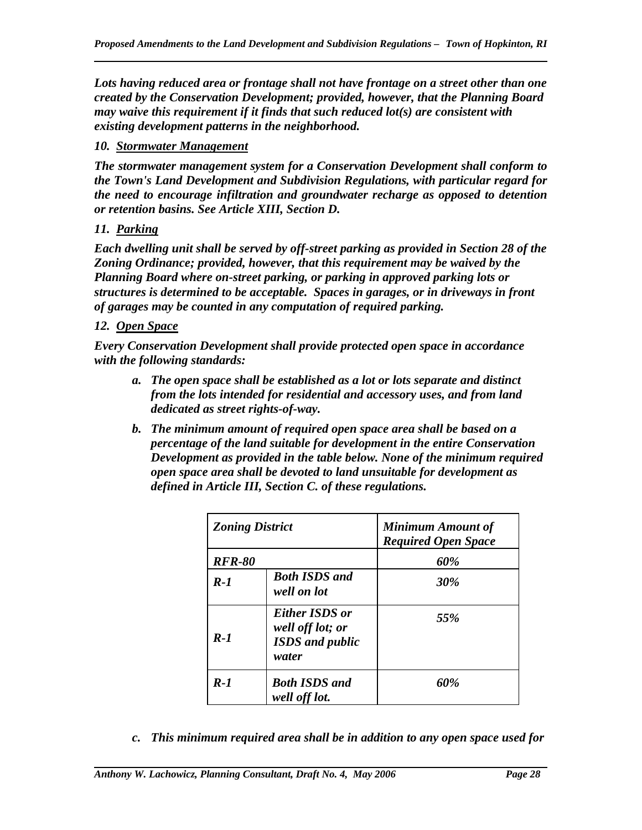*Lots having reduced area or frontage shall not have frontage on a street other than one created by the Conservation Development; provided, however, that the Planning Board may waive this requirement if it finds that such reduced lot(s) are consistent with existing development patterns in the neighborhood.* 

#### *10. Stormwater Management*

*The stormwater management system for a Conservation Development shall conform to the Town's Land Development and Subdivision Regulations, with particular regard for the need to encourage infiltration and groundwater recharge as opposed to detention or retention basins. See Article XIII, Section D.* 

### *11. Parking*

*Each dwelling unit shall be served by off-street parking as provided in Section 28 of the Zoning Ordinance; provided, however, that this requirement may be waived by the Planning Board where on-street parking, or parking in approved parking lots or structures is determined to be acceptable. Spaces in garages, or in driveways in front of garages may be counted in any computation of required parking.* 

#### *12. Open Space*

*Every Conservation Development shall provide protected open space in accordance with the following standards:* 

- *a. The open space shall be established as a lot or lots separate and distinct from the lots intended for residential and accessory uses, and from land dedicated as street rights-of-way.*
- *b. The minimum amount of required open space area shall be based on a percentage of the land suitable for development in the entire Conservation Development as provided in the table below. None of the minimum required open space area shall be devoted to land unsuitable for development as defined in Article III, Section C. of these regulations.*

| <b>Zoning District</b> |                                                                              | <b>Minimum Amount of</b><br><b>Required Open Space</b> |
|------------------------|------------------------------------------------------------------------------|--------------------------------------------------------|
| <b>RFR-80</b>          |                                                                              | 60%                                                    |
| $R-1$                  | <b>Both ISDS and</b><br>well on lot                                          | 30%                                                    |
| $R-1$                  | <b>Either ISDS or</b><br>well off lot; or<br><b>ISDS</b> and public<br>water | 55%                                                    |
| $R-1$                  | <b>Both ISDS and</b><br>well off lot.                                        | 60%                                                    |

*c. This minimum required area shall be in addition to any open space used for*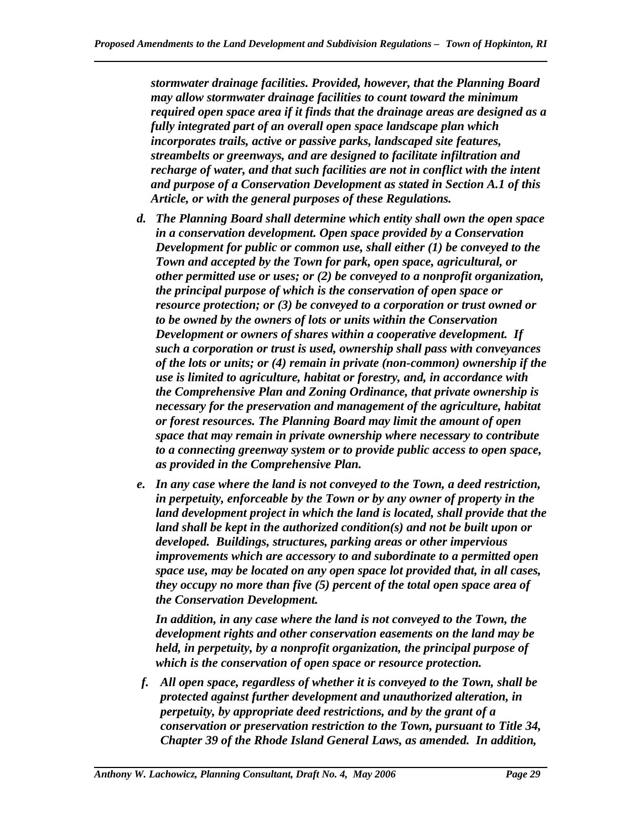*stormwater drainage facilities. Provided, however, that the Planning Board may allow stormwater drainage facilities to count toward the minimum required open space area if it finds that the drainage areas are designed as a fully integrated part of an overall open space landscape plan which incorporates trails, active or passive parks, landscaped site features, streambelts or greenways, and are designed to facilitate infiltration and recharge of water, and that such facilities are not in conflict with the intent and purpose of a Conservation Development as stated in Section A.1 of this Article, or with the general purposes of these Regulations.* 

- *d. The Planning Board shall determine which entity shall own the open space in a conservation development. Open space provided by a Conservation Development for public or common use, shall either (1) be conveyed to the Town and accepted by the Town for park, open space, agricultural, or other permitted use or uses; or (2) be conveyed to a nonprofit organization, the principal purpose of which is the conservation of open space or resource protection; or (3) be conveyed to a corporation or trust owned or to be owned by the owners of lots or units within the Conservation Development or owners of shares within a cooperative development. If such a corporation or trust is used, ownership shall pass with conveyances of the lots or units; or (4) remain in private (non-common) ownership if the use is limited to agriculture, habitat or forestry, and, in accordance with the Comprehensive Plan and Zoning Ordinance, that private ownership is necessary for the preservation and management of the agriculture, habitat or forest resources. The Planning Board may limit the amount of open space that may remain in private ownership where necessary to contribute to a connecting greenway system or to provide public access to open space, as provided in the Comprehensive Plan.*
- *e. In any case where the land is not conveyed to the Town, a deed restriction, in perpetuity, enforceable by the Town or by any owner of property in the land development project in which the land is located, shall provide that the land shall be kept in the authorized condition(s) and not be built upon or developed. Buildings, structures, parking areas or other impervious improvements which are accessory to and subordinate to a permitted open space use, may be located on any open space lot provided that, in all cases, they occupy no more than five (5) percent of the total open space area of the Conservation Development.*

*In addition, in any case where the land is not conveyed to the Town, the development rights and other conservation easements on the land may be held, in perpetuity, by a nonprofit organization, the principal purpose of which is the conservation of open space or resource protection.* 

*f. All open space, regardless of whether it is conveyed to the Town, shall be protected against further development and unauthorized alteration, in perpetuity, by appropriate deed restrictions, and by the grant of a conservation or preservation restriction to the Town, pursuant to Title 34, Chapter 39 of the Rhode Island General Laws, as amended. In addition,*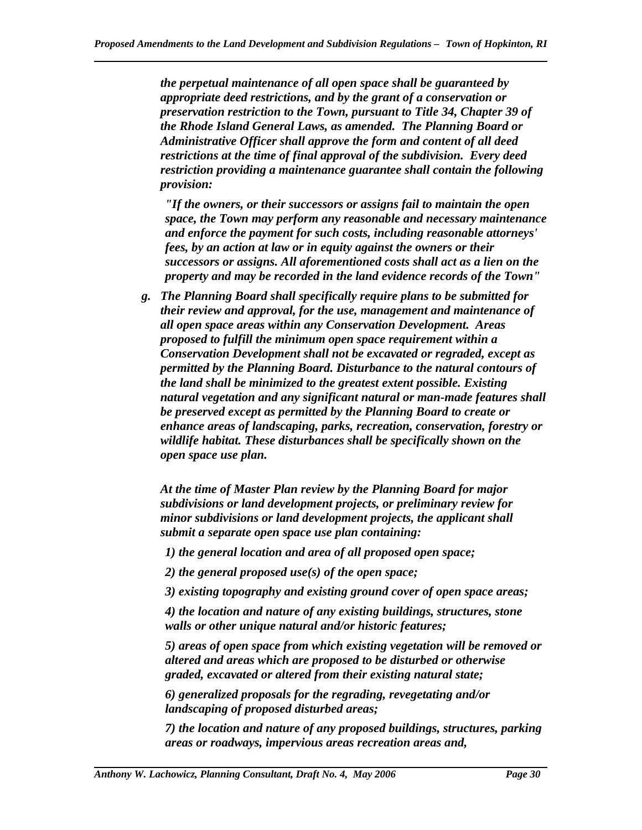*the perpetual maintenance of all open space shall be guaranteed by appropriate deed restrictions, and by the grant of a conservation or preservation restriction to the Town, pursuant to Title 34, Chapter 39 of the Rhode Island General Laws, as amended. The Planning Board or Administrative Officer shall approve the form and content of all deed restrictions at the time of final approval of the subdivision. Every deed restriction providing a maintenance guarantee shall contain the following provision:* 

*"If the owners, or their successors or assigns fail to maintain the open space, the Town may perform any reasonable and necessary maintenance and enforce the payment for such costs, including reasonable attorneys' fees, by an action at law or in equity against the owners or their successors or assigns. All aforementioned costs shall act as a lien on the property and may be recorded in the land evidence records of the Town"* 

*g. The Planning Board shall specifically require plans to be submitted for their review and approval, for the use, management and maintenance of all open space areas within any Conservation Development. Areas proposed to fulfill the minimum open space requirement within a Conservation Development shall not be excavated or regraded, except as permitted by the Planning Board. Disturbance to the natural contours of the land shall be minimized to the greatest extent possible. Existing natural vegetation and any significant natural or man-made features shall be preserved except as permitted by the Planning Board to create or enhance areas of landscaping, parks, recreation, conservation, forestry or wildlife habitat. These disturbances shall be specifically shown on the open space use plan.* 

*At the time of Master Plan review by the Planning Board for major subdivisions or land development projects, or preliminary review for minor subdivisions or land development projects, the applicant shall submit a separate open space use plan containing:* 

*1) the general location and area of all proposed open space;* 

*2) the general proposed use(s) of the open space;* 

*3) existing topography and existing ground cover of open space areas;* 

*4) the location and nature of any existing buildings, structures, stone walls or other unique natural and/or historic features;* 

*5) areas of open space from which existing vegetation will be removed or altered and areas which are proposed to be disturbed or otherwise graded, excavated or altered from their existing natural state;* 

*6) generalized proposals for the regrading, revegetating and/or landscaping of proposed disturbed areas;* 

*7) the location and nature of any proposed buildings, structures, parking areas or roadways, impervious areas recreation areas and,*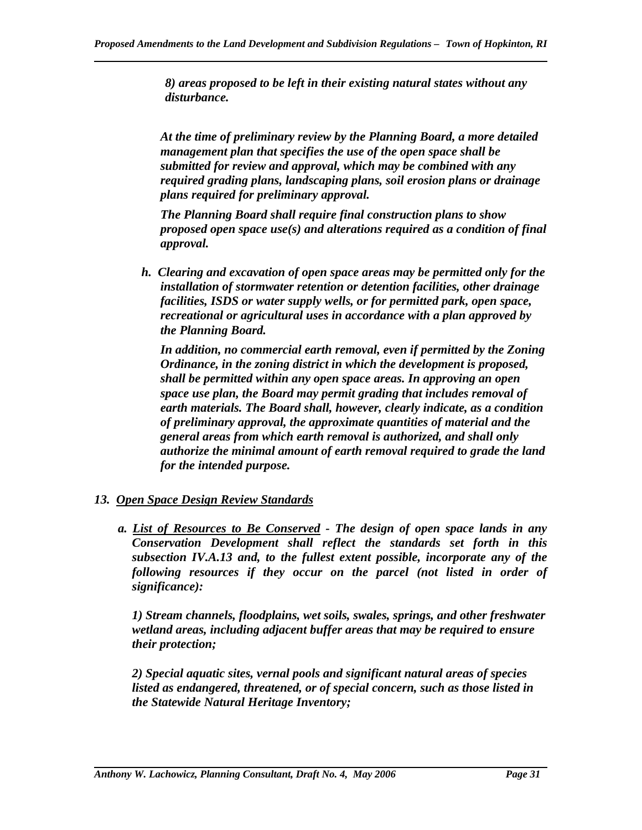*8) areas proposed to be left in their existing natural states without any disturbance.* 

*At the time of preliminary review by the Planning Board, a more detailed management plan that specifies the use of the open space shall be submitted for review and approval, which may be combined with any required grading plans, landscaping plans, soil erosion plans or drainage plans required for preliminary approval.* 

*The Planning Board shall require final construction plans to show proposed open space use(s) and alterations required as a condition of final approval.* 

*h. Clearing and excavation of open space areas may be permitted only for the installation of stormwater retention or detention facilities, other drainage facilities, ISDS or water supply wells, or for permitted park, open space, recreational or agricultural uses in accordance with a plan approved by the Planning Board.* 

*In addition, no commercial earth removal, even if permitted by the Zoning Ordinance, in the zoning district in which the development is proposed, shall be permitted within any open space areas. In approving an open space use plan, the Board may permit grading that includes removal of earth materials. The Board shall, however, clearly indicate, as a condition of preliminary approval, the approximate quantities of material and the general areas from which earth removal is authorized, and shall only authorize the minimal amount of earth removal required to grade the land for the intended purpose.* 

### *13. Open Space Design Review Standards*

*a. List of Resources to Be Conserved - The design of open space lands in any Conservation Development shall reflect the standards set forth in this subsection IV.A.13 and, to the fullest extent possible, incorporate any of the following resources if they occur on the parcel (not listed in order of significance):* 

*1) Stream channels, floodplains, wet soils, swales, springs, and other freshwater wetland areas, including adjacent buffer areas that may be required to ensure their protection;* 

*2) Special aquatic sites, vernal pools and significant natural areas of species listed as endangered, threatened, or of special concern, such as those listed in the Statewide Natural Heritage Inventory;*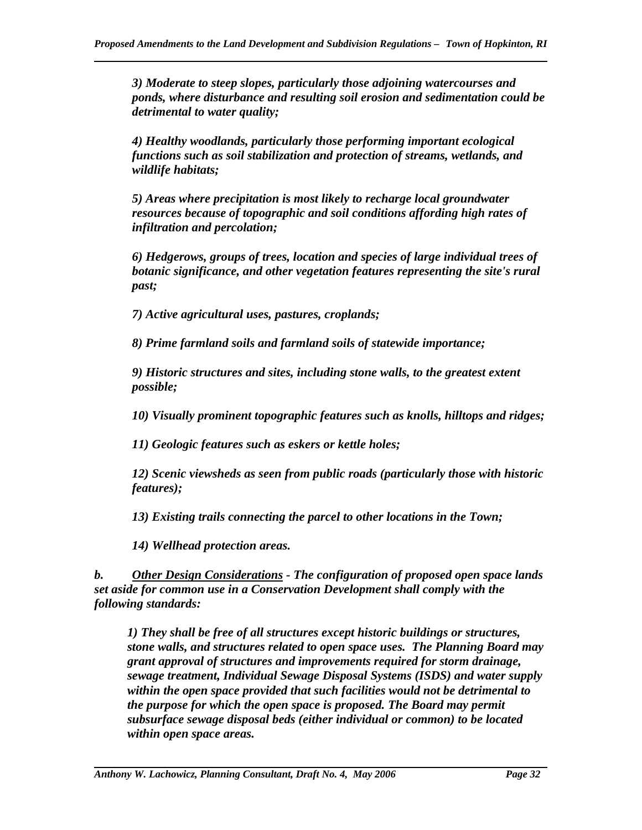*3) Moderate to steep slopes, particularly those adjoining watercourses and ponds, where disturbance and resulting soil erosion and sedimentation could be detrimental to water quality;* 

*4) Healthy woodlands, particularly those performing important ecological functions such as soil stabilization and protection of streams, wetlands, and wildlife habitats;* 

*5) Areas where precipitation is most likely to recharge local groundwater resources because of topographic and soil conditions affording high rates of infiltration and percolation;* 

*6) Hedgerows, groups of trees, location and species of large individual trees of botanic significance, and other vegetation features representing the site's rural past;* 

*7) Active agricultural uses, pastures, croplands;* 

*8) Prime farmland soils and farmland soils of statewide importance;* 

*9) Historic structures and sites, including stone walls, to the greatest extent possible;* 

*10) Visually prominent topographic features such as knolls, hilltops and ridges;* 

*11) Geologic features such as eskers or kettle holes;* 

*12) Scenic viewsheds as seen from public roads (particularly those with historic features);* 

*13) Existing trails connecting the parcel to other locations in the Town;* 

*14) Wellhead protection areas.* 

*b. Other Design Considerations - The configuration of proposed open space lands set aside for common use in a Conservation Development shall comply with the following standards:* 

*1) They shall be free of all structures except historic buildings or structures, stone walls, and structures related to open space uses. The Planning Board may grant approval of structures and improvements required for storm drainage, sewage treatment, Individual Sewage Disposal Systems (ISDS) and water supply within the open space provided that such facilities would not be detrimental to the purpose for which the open space is proposed. The Board may permit subsurface sewage disposal beds (either individual or common) to be located within open space areas.*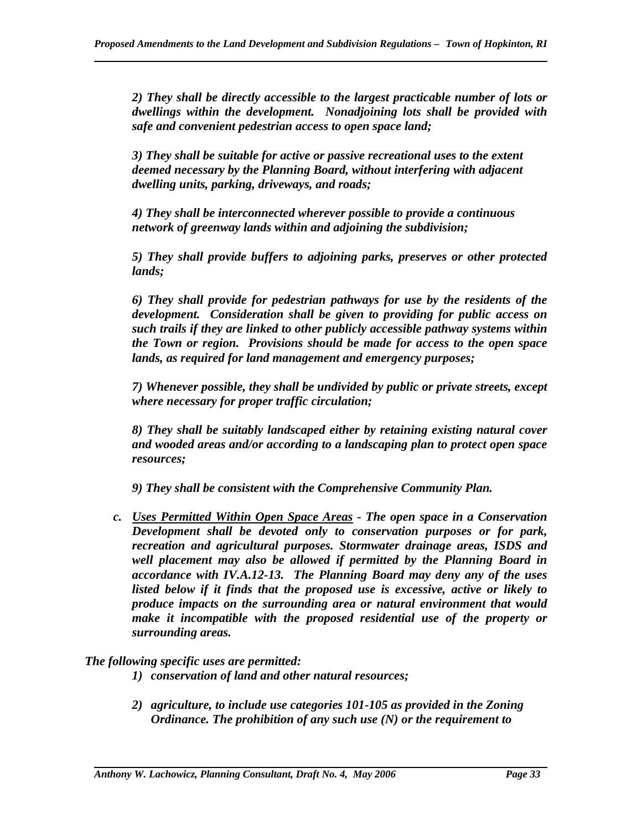*2) They shall be directly accessible to the largest practicable number of lots or dwellings within the development. Nonadjoining lots shall be provided with safe and convenient pedestrian access to open space land;* 

*3) They shall be suitable for active or passive recreational uses to the extent deemed necessary by the Planning Board, without interfering with adjacent dwelling units, parking, driveways, and roads;* 

*4) They shall be interconnected wherever possible to provide a continuous network of greenway lands within and adjoining the subdivision;* 

*5) They shall provide buffers to adjoining parks, preserves or other protected lands;* 

*6) They shall provide for pedestrian pathways for use by the residents of the development. Consideration shall be given to providing for public access on such trails if they are linked to other publicly accessible pathway systems within the Town or region. Provisions should be made for access to the open space lands, as required for land management and emergency purposes;* 

*7) Whenever possible, they shall be undivided by public or private streets, except where necessary for proper traffic circulation;* 

*8) They shall be suitably landscaped either by retaining existing natural cover and wooded areas and/or according to a landscaping plan to protect open space resources;* 

*9) They shall be consistent with the Comprehensive Community Plan.* 

*c. Uses Permitted Within Open Space Areas - The open space in a Conservation Development shall be devoted only to conservation purposes or for park, recreation and agricultural purposes. Stormwater drainage areas, ISDS and well placement may also be allowed if permitted by the Planning Board in accordance with IV.A.12-13. The Planning Board may deny any of the uses listed below if it finds that the proposed use is excessive, active or likely to produce impacts on the surrounding area or natural environment that would make it incompatible with the proposed residential use of the property or surrounding areas.* 

### *The following specific uses are permitted:*

- *1) conservation of land and other natural resources;*
- *2) agriculture, to include use categories 101-105 as provided in the Zoning Ordinance. The prohibition of any such use (N) or the requirement to*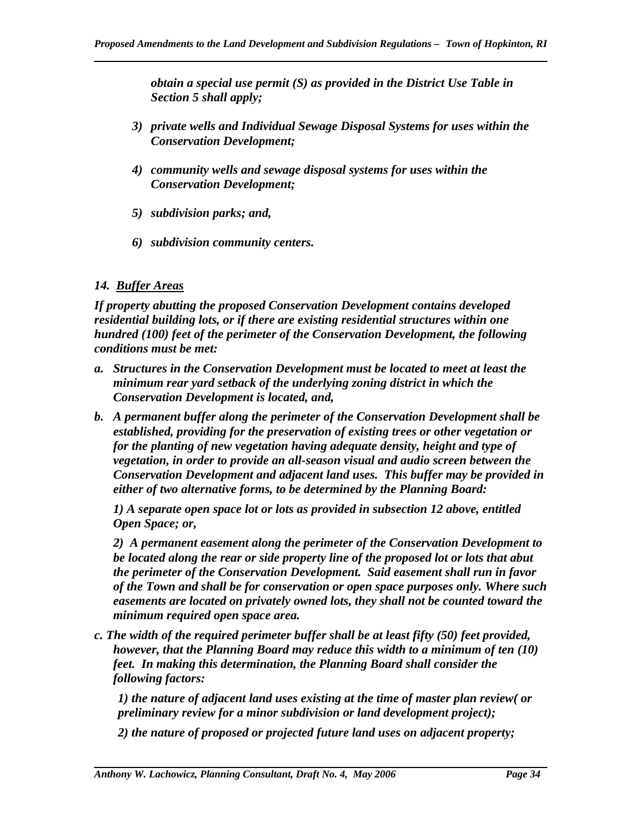*obtain a special use permit (S) as provided in the District Use Table in Section 5 shall apply;* 

- *3) private wells and Individual Sewage Disposal Systems for uses within the Conservation Development;*
- *4) community wells and sewage disposal systems for uses within the Conservation Development;*
- *5) subdivision parks; and,*
- *6) subdivision community centers.*

### *14. Buffer Areas*

*If property abutting the proposed Conservation Development contains developed residential building lots, or if there are existing residential structures within one hundred (100) feet of the perimeter of the Conservation Development, the following conditions must be met:* 

- *a. Structures in the Conservation Development must be located to meet at least the minimum rear yard setback of the underlying zoning district in which the Conservation Development is located, and,*
- *b. A permanent buffer along the perimeter of the Conservation Development shall be established, providing for the preservation of existing trees or other vegetation or for the planting of new vegetation having adequate density, height and type of vegetation, in order to provide an all-season visual and audio screen between the Conservation Development and adjacent land uses. This buffer may be provided in either of two alternative forms, to be determined by the Planning Board:*

*1) A separate open space lot or lots as provided in subsection 12 above, entitled Open Space; or,* 

*2) A permanent easement along the perimeter of the Conservation Development to be located along the rear or side property line of the proposed lot or lots that abut the perimeter of the Conservation Development. Said easement shall run in favor of the Town and shall be for conservation or open space purposes only. Where such easements are located on privately owned lots, they shall not be counted toward the minimum required open space area.* 

*c. The width of the required perimeter buffer shall be at least fifty (50) feet provided, however, that the Planning Board may reduce this width to a minimum of ten (10) feet. In making this determination, the Planning Board shall consider the following factors:* 

*1) the nature of adjacent land uses existing at the time of master plan review( or preliminary review for a minor subdivision or land development project);* 

*2) the nature of proposed or projected future land uses on adjacent property;*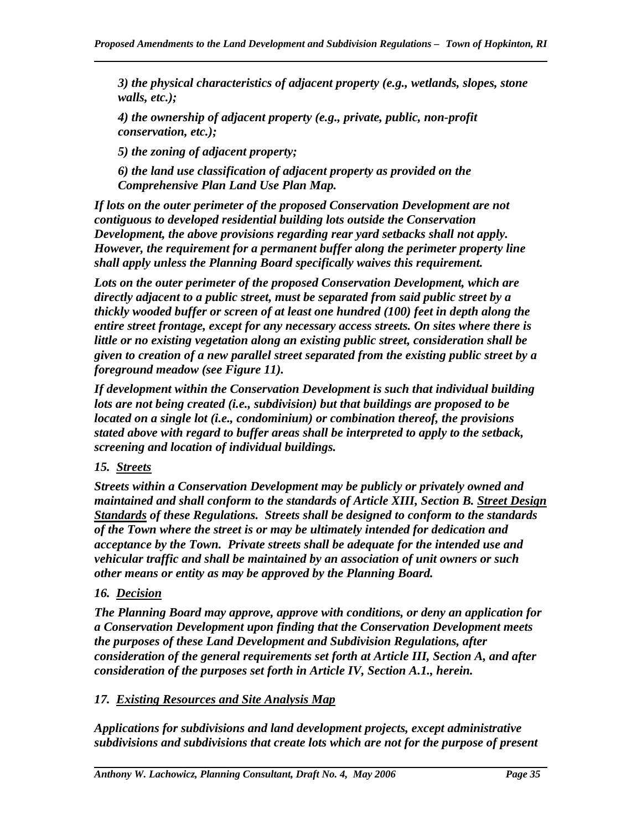*3) the physical characteristics of adjacent property (e.g., wetlands, slopes, stone walls, etc.);* 

*4) the ownership of adjacent property (e.g., private, public, non-profit conservation, etc.);* 

*5) the zoning of adjacent property;* 

*6) the land use classification of adjacent property as provided on the Comprehensive Plan Land Use Plan Map.* 

*If lots on the outer perimeter of the proposed Conservation Development are not contiguous to developed residential building lots outside the Conservation Development, the above provisions regarding rear yard setbacks shall not apply. However, the requirement for a permanent buffer along the perimeter property line shall apply unless the Planning Board specifically waives this requirement.* 

*Lots on the outer perimeter of the proposed Conservation Development, which are directly adjacent to a public street, must be separated from said public street by a thickly wooded buffer or screen of at least one hundred (100) feet in depth along the entire street frontage, except for any necessary access streets. On sites where there is little or no existing vegetation along an existing public street, consideration shall be given to creation of a new parallel street separated from the existing public street by a foreground meadow (see Figure 11).* 

*If development within the Conservation Development is such that individual building lots are not being created (i.e., subdivision) but that buildings are proposed to be located on a single lot (i.e., condominium) or combination thereof, the provisions stated above with regard to buffer areas shall be interpreted to apply to the setback, screening and location of individual buildings.* 

# *15. Streets*

*Streets within a Conservation Development may be publicly or privately owned and maintained and shall conform to the standards of Article XIII, Section B. Street Design Standards of these Regulations. Streets shall be designed to conform to the standards of the Town where the street is or may be ultimately intended for dedication and acceptance by the Town. Private streets shall be adequate for the intended use and vehicular traffic and shall be maintained by an association of unit owners or such other means or entity as may be approved by the Planning Board.* 

# *16. Decision*

*The Planning Board may approve, approve with conditions, or deny an application for a Conservation Development upon finding that the Conservation Development meets the purposes of these Land Development and Subdivision Regulations, after consideration of the general requirements set forth at Article III, Section A, and after consideration of the purposes set forth in Article IV, Section A.1., herein.* 

# *17. Existing Resources and Site Analysis Map*

*Applications for subdivisions and land development projects, except administrative subdivisions and subdivisions that create lots which are not for the purpose of present*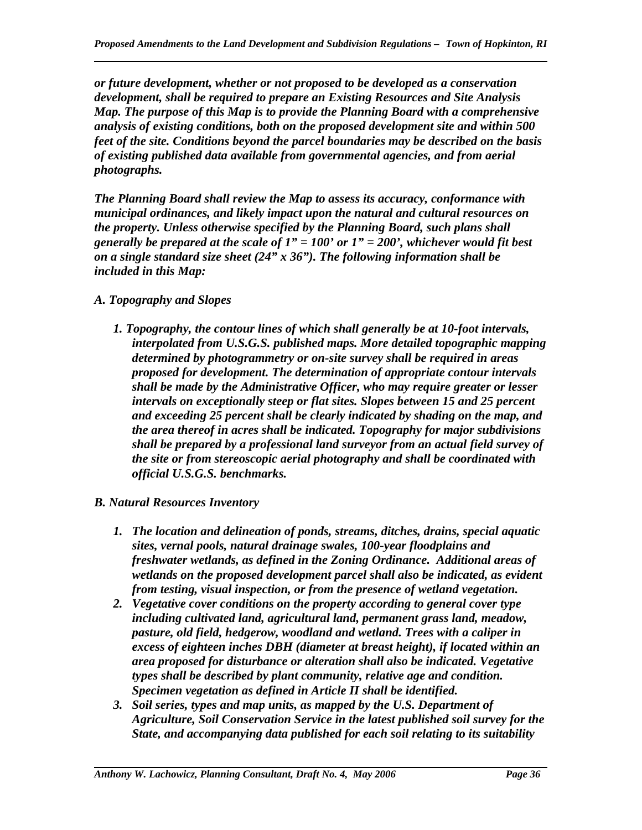*or future development, whether or not proposed to be developed as a conservation development, shall be required to prepare an Existing Resources and Site Analysis Map. The purpose of this Map is to provide the Planning Board with a comprehensive analysis of existing conditions, both on the proposed development site and within 500 feet of the site. Conditions beyond the parcel boundaries may be described on the basis of existing published data available from governmental agencies, and from aerial photographs.* 

*The Planning Board shall review the Map to assess its accuracy, conformance with municipal ordinances, and likely impact upon the natural and cultural resources on the property. Unless otherwise specified by the Planning Board, such plans shall generally be prepared at the scale of 1" = 100' or 1" = 200', whichever would fit best on a single standard size sheet (24" x 36"). The following information shall be included in this Map:* 

*A. Topography and Slopes* 

- *1. Topography, the contour lines of which shall generally be at 10-foot intervals, interpolated from U.S.G.S. published maps. More detailed topographic mapping determined by photogrammetry or on-site survey shall be required in areas proposed for development. The determination of appropriate contour intervals shall be made by the Administrative Officer, who may require greater or lesser intervals on exceptionally steep or flat sites. Slopes between 15 and 25 percent and exceeding 25 percent shall be clearly indicated by shading on the map, and the area thereof in acres shall be indicated. Topography for major subdivisions shall be prepared by a professional land surveyor from an actual field survey of the site or from stereoscopic aerial photography and shall be coordinated with official U.S.G.S. benchmarks.*
- *B. Natural Resources Inventory*

- *1. The location and delineation of ponds, streams, ditches, drains, special aquatic sites, vernal pools, natural drainage swales, 100-year floodplains and freshwater wetlands, as defined in the Zoning Ordinance. Additional areas of wetlands on the proposed development parcel shall also be indicated, as evident from testing, visual inspection, or from the presence of wetland vegetation.*
- *2. Vegetative cover conditions on the property according to general cover type including cultivated land, agricultural land, permanent grass land, meadow, pasture, old field, hedgerow, woodland and wetland. Trees with a caliper in excess of eighteen inches DBH (diameter at breast height), if located within an area proposed for disturbance or alteration shall also be indicated. Vegetative types shall be described by plant community, relative age and condition. Specimen vegetation as defined in Article II shall be identified.*
- *3. Soil series, types and map units, as mapped by the U.S. Department of Agriculture, Soil Conservation Service in the latest published soil survey for the State, and accompanying data published for each soil relating to its suitability*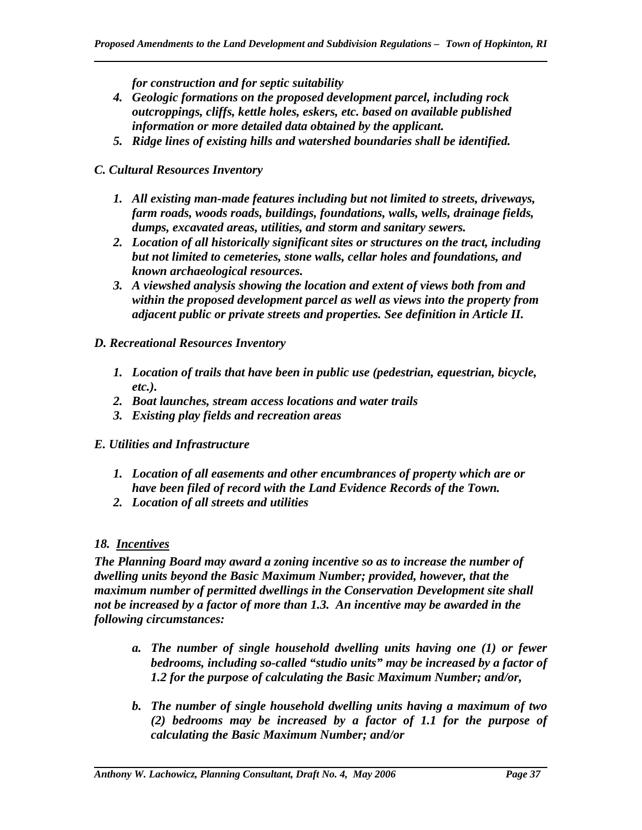*for construction and for septic suitability* 

- *4. Geologic formations on the proposed development parcel, including rock outcroppings, cliffs, kettle holes, eskers, etc. based on available published information or more detailed data obtained by the applicant.*
- *5. Ridge lines of existing hills and watershed boundaries shall be identified.*

### *C. Cultural Resources Inventory*

- *1. All existing man-made features including but not limited to streets, driveways, farm roads, woods roads, buildings, foundations, walls, wells, drainage fields, dumps, excavated areas, utilities, and storm and sanitary sewers.*
- *2. Location of all historically significant sites or structures on the tract, including but not limited to cemeteries, stone walls, cellar holes and foundations, and known archaeological resources.*
- *3. A viewshed analysis showing the location and extent of views both from and within the proposed development parcel as well as views into the property from adjacent public or private streets and properties. See definition in Article II.*

#### *D. Recreational Resources Inventory*

- *1. Location of trails that have been in public use (pedestrian, equestrian, bicycle, etc.).*
- *2. Boat launches, stream access locations and water trails*
- *3. Existing play fields and recreation areas*
- *E. Utilities and Infrastructure* 
	- *1. Location of all easements and other encumbrances of property which are or have been filed of record with the Land Evidence Records of the Town.*
	- *2. Location of all streets and utilities*

### *18. Incentives*

*The Planning Board may award a zoning incentive so as to increase the number of dwelling units beyond the Basic Maximum Number; provided, however, that the maximum number of permitted dwellings in the Conservation Development site shall not be increased by a factor of more than 1.3. An incentive may be awarded in the following circumstances:* 

- *a. The number of single household dwelling units having one (1) or fewer bedrooms, including so-called "studio units" may be increased by a factor of 1.2 for the purpose of calculating the Basic Maximum Number; and/or,*
- *b. The number of single household dwelling units having a maximum of two (2) bedrooms may be increased by a factor of 1.1 for the purpose of calculating the Basic Maximum Number; and/or*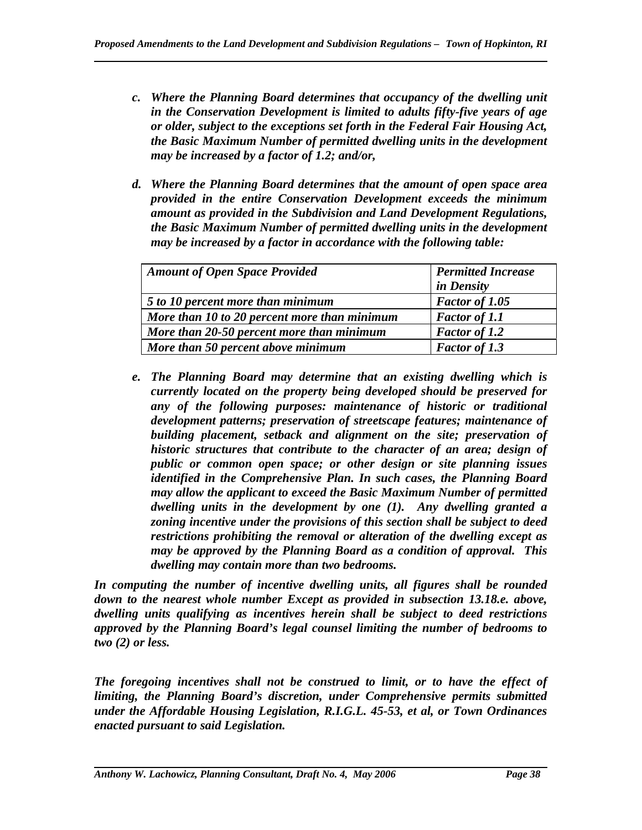- *c. Where the Planning Board determines that occupancy of the dwelling unit in the Conservation Development is limited to adults fifty-five years of age or older, subject to the exceptions set forth in the Federal Fair Housing Act, the Basic Maximum Number of permitted dwelling units in the development may be increased by a factor of 1.2; and/or,*
- *d. Where the Planning Board determines that the amount of open space area provided in the entire Conservation Development exceeds the minimum amount as provided in the Subdivision and Land Development Regulations, the Basic Maximum Number of permitted dwelling units in the development may be increased by a factor in accordance with the following table:*

| <b>Amount of Open Space Provided</b>         | <b>Permitted Increase</b> |
|----------------------------------------------|---------------------------|
|                                              | in Density                |
| 5 to 10 percent more than minimum            | Factor of 1.05            |
| More than 10 to 20 percent more than minimum | <b>Factor of 1.1</b>      |
| More than 20-50 percent more than minimum    | <b>Factor of 1.2</b>      |
| More than 50 percent above minimum           | <b>Factor of 1.3</b>      |

*e. The Planning Board may determine that an existing dwelling which is currently located on the property being developed should be preserved for any of the following purposes: maintenance of historic or traditional development patterns; preservation of streetscape features; maintenance of building placement, setback and alignment on the site; preservation of historic structures that contribute to the character of an area; design of public or common open space; or other design or site planning issues identified in the Comprehensive Plan. In such cases, the Planning Board may allow the applicant to exceed the Basic Maximum Number of permitted dwelling units in the development by one (1). Any dwelling granted a zoning incentive under the provisions of this section shall be subject to deed restrictions prohibiting the removal or alteration of the dwelling except as may be approved by the Planning Board as a condition of approval. This dwelling may contain more than two bedrooms.* 

*In computing the number of incentive dwelling units, all figures shall be rounded down to the nearest whole number Except as provided in subsection 13.18.e. above, dwelling units qualifying as incentives herein shall be subject to deed restrictions approved by the Planning Board's legal counsel limiting the number of bedrooms to two (2) or less.* 

*The foregoing incentives shall not be construed to limit, or to have the effect of limiting, the Planning Board's discretion, under Comprehensive permits submitted under the Affordable Housing Legislation, R.I.G.L. 45-53, et al, or Town Ordinances enacted pursuant to said Legislation.*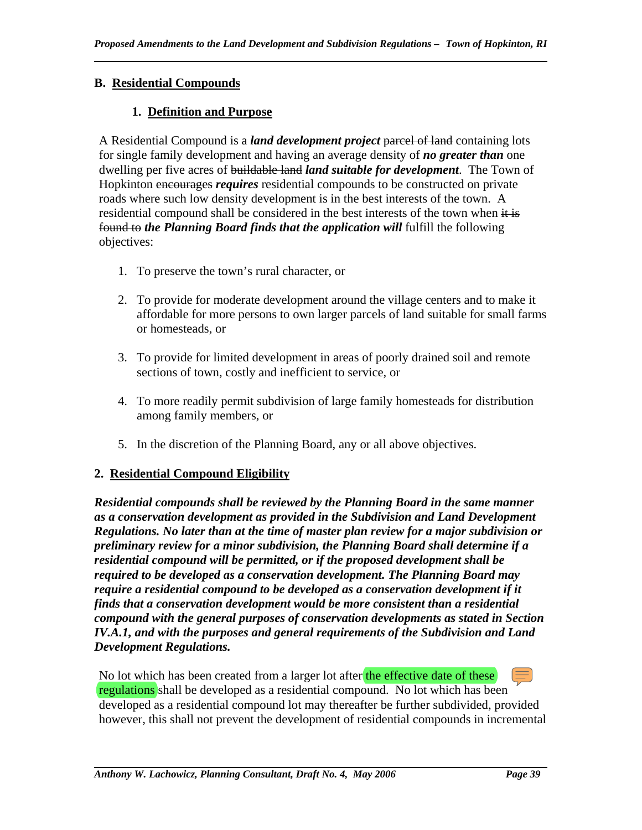# **B. Residential Compounds**

# **1. Definition and Purpose**

A Residential Compound is a *land development project* parcel of land containing lots for single family development and having an average density of *no greater than* one dwelling per five acres of buildable land *land suitable for development*. The Town of Hopkinton encourages *requires* residential compounds to be constructed on private roads where such low density development is in the best interests of the town. A residential compound shall be considered in the best interests of the town when it is found to *the Planning Board finds that the application will* fulfill the following objectives:

- 1. To preserve the town's rural character, or
- 2. To provide for moderate development around the village centers and to make it affordable for more persons to own larger parcels of land suitable for small farms or homesteads, or
- 3. To provide for limited development in areas of poorly drained soil and remote sections of town, costly and inefficient to service, or
- 4. To more readily permit subdivision of large family homesteads for distribution among family members, or
- 5. In the discretion of the Planning Board, any or all above objectives.

# **2. Residential Compound Eligibility**

*Residential compounds shall be reviewed by the Planning Board in the same manner as a conservation development as provided in the Subdivision and Land Development Regulations. No later than at the time of master plan review for a major subdivision or preliminary review for a minor subdivision, the Planning Board shall determine if a residential compound will be permitted, or if the proposed development shall be required to be developed as a conservation development. The Planning Board may require a residential compound to be developed as a conservation development if it finds that a conservation development would be more consistent than a residential compound with the general purposes of conservation developments as stated in Section IV.A.1, and with the purposes and general requirements of the Subdivision and Land Development Regulations.* 

No lot which has been created from a larger lot after the effective date of these regulations shall be developed as a residential compound. No lot which has been developed as a residential compound lot may thereafter be further subdivided, provided however, this shall not prevent the development of residential compounds in incremental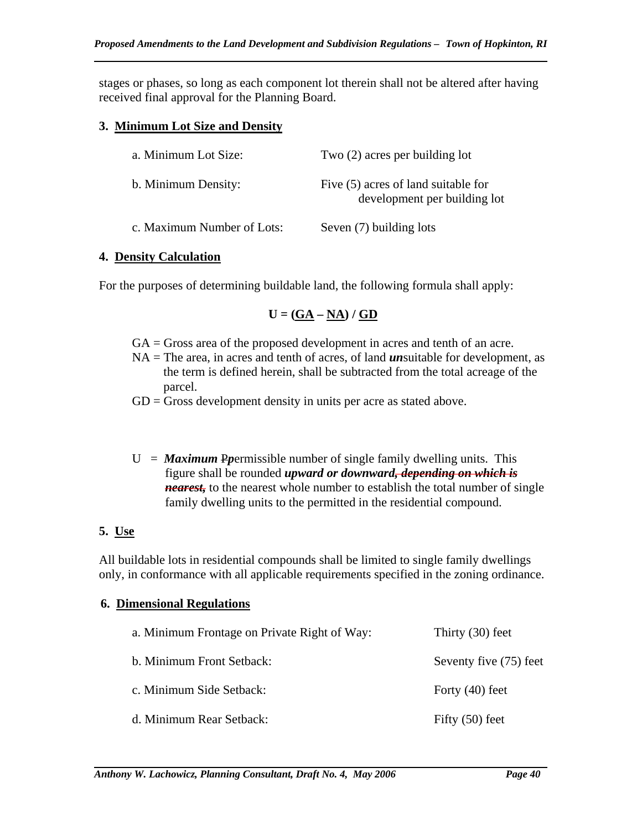stages or phases, so long as each component lot therein shall not be altered after having received final approval for the Planning Board.

### **3. Minimum Lot Size and Density**

| a. Minimum Lot Size:       | Two $(2)$ acres per building lot                                      |  |
|----------------------------|-----------------------------------------------------------------------|--|
| b. Minimum Density:        | Five $(5)$ acres of land suitable for<br>development per building lot |  |
| c. Maximum Number of Lots: | Seven (7) building lots                                               |  |

### **4. Density Calculation**

For the purposes of determining buildable land, the following formula shall apply:

$$
U = (\underline{GA} - \underline{NA}) / \underline{GD}
$$

- GA = Gross area of the proposed development in acres and tenth of an acre.
- NA = The area, in acres and tenth of acres, of land *un*suitable for development, as the term is defined herein, shall be subtracted from the total acreage of the parcel.
- $GD = Gross$  development density in units per acre as stated above.
- $U =$  *Maximum* P*p*ermissible number of single family dwelling units. This figure shall be rounded *upward or downward, depending on which is nearest,* to the nearest whole number to establish the total number of single family dwelling units to the permitted in the residential compound.

# **5. Use**

All buildable lots in residential compounds shall be limited to single family dwellings only, in conformance with all applicable requirements specified in the zoning ordinance.

# **6. Dimensional Regulations**

| a. Minimum Frontage on Private Right of Way: | Thirty $(30)$ feet     |
|----------------------------------------------|------------------------|
| b. Minimum Front Setback:                    | Seventy five (75) feet |
| c. Minimum Side Setback:                     | Forty $(40)$ feet      |
| d. Minimum Rear Setback:                     | Fifty $(50)$ feet      |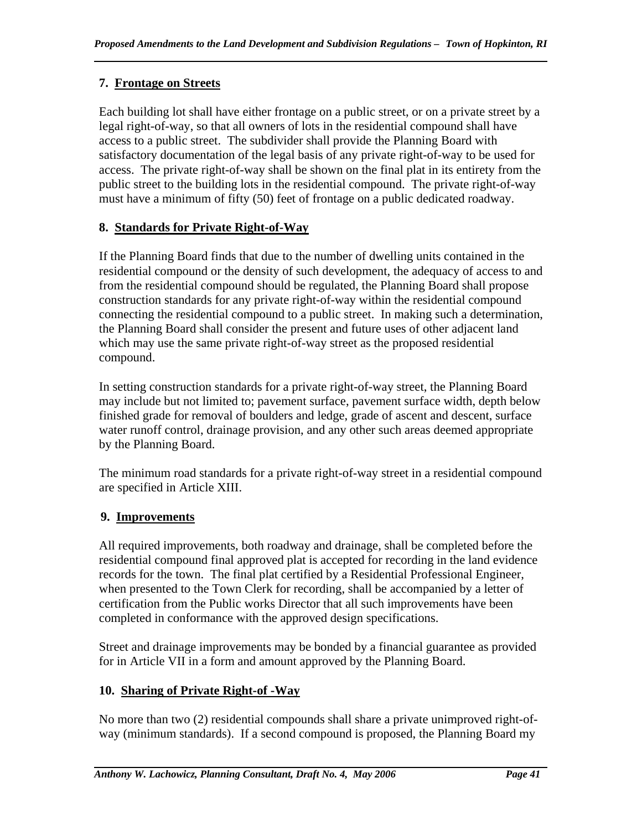# **7. Frontage on Streets**

Each building lot shall have either frontage on a public street, or on a private street by a legal right-of-way, so that all owners of lots in the residential compound shall have access to a public street. The subdivider shall provide the Planning Board with satisfactory documentation of the legal basis of any private right-of-way to be used for access. The private right-of-way shall be shown on the final plat in its entirety from the public street to the building lots in the residential compound. The private right-of-way must have a minimum of fifty (50) feet of frontage on a public dedicated roadway.

# **8. Standards for Private Right-of-Way**

If the Planning Board finds that due to the number of dwelling units contained in the residential compound or the density of such development, the adequacy of access to and from the residential compound should be regulated, the Planning Board shall propose construction standards for any private right-of-way within the residential compound connecting the residential compound to a public street. In making such a determination, the Planning Board shall consider the present and future uses of other adjacent land which may use the same private right-of-way street as the proposed residential compound.

In setting construction standards for a private right-of-way street, the Planning Board may include but not limited to; pavement surface, pavement surface width, depth below finished grade for removal of boulders and ledge, grade of ascent and descent, surface water runoff control, drainage provision, and any other such areas deemed appropriate by the Planning Board.

The minimum road standards for a private right-of-way street in a residential compound are specified in Article XIII.

# **9. Improvements**

All required improvements, both roadway and drainage, shall be completed before the residential compound final approved plat is accepted for recording in the land evidence records for the town. The final plat certified by a Residential Professional Engineer, when presented to the Town Clerk for recording, shall be accompanied by a letter of certification from the Public works Director that all such improvements have been completed in conformance with the approved design specifications.

Street and drainage improvements may be bonded by a financial guarantee as provided for in Article VII in a form and amount approved by the Planning Board.

# **10. Sharing of Private Right-of -Way**

No more than two (2) residential compounds shall share a private unimproved right-ofway (minimum standards). If a second compound is proposed, the Planning Board my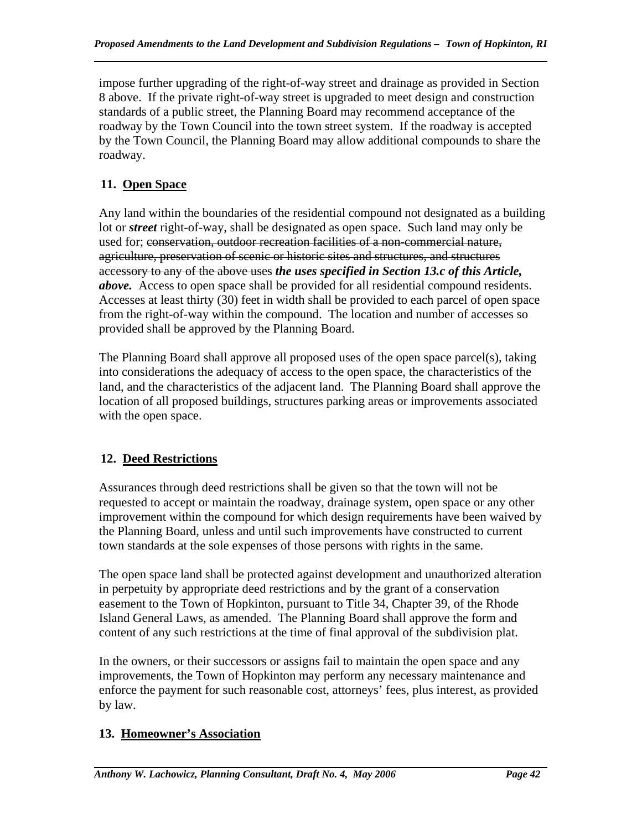impose further upgrading of the right-of-way street and drainage as provided in Section 8 above. If the private right-of-way street is upgraded to meet design and construction standards of a public street, the Planning Board may recommend acceptance of the roadway by the Town Council into the town street system. If the roadway is accepted by the Town Council, the Planning Board may allow additional compounds to share the roadway.

# **11. Open Space**

Any land within the boundaries of the residential compound not designated as a building lot or *street* right-of-way, shall be designated as open space. Such land may only be used for; conservation, outdoor recreation facilities of a non-commercial nature, agriculture, preservation of scenic or historic sites and structures, and structures accessory to any of the above uses *the uses specified in Section 13.c of this Article, above.* Access to open space shall be provided for all residential compound residents. Accesses at least thirty (30) feet in width shall be provided to each parcel of open space from the right-of-way within the compound. The location and number of accesses so provided shall be approved by the Planning Board.

The Planning Board shall approve all proposed uses of the open space parcel(s), taking into considerations the adequacy of access to the open space, the characteristics of the land, and the characteristics of the adjacent land. The Planning Board shall approve the location of all proposed buildings, structures parking areas or improvements associated with the open space.

# **12. Deed Restrictions**

Assurances through deed restrictions shall be given so that the town will not be requested to accept or maintain the roadway, drainage system, open space or any other improvement within the compound for which design requirements have been waived by the Planning Board, unless and until such improvements have constructed to current town standards at the sole expenses of those persons with rights in the same.

The open space land shall be protected against development and unauthorized alteration in perpetuity by appropriate deed restrictions and by the grant of a conservation easement to the Town of Hopkinton, pursuant to Title 34, Chapter 39, of the Rhode Island General Laws, as amended. The Planning Board shall approve the form and content of any such restrictions at the time of final approval of the subdivision plat.

In the owners, or their successors or assigns fail to maintain the open space and any improvements, the Town of Hopkinton may perform any necessary maintenance and enforce the payment for such reasonable cost, attorneys' fees, plus interest, as provided by law.

# **13. Homeowner's Association**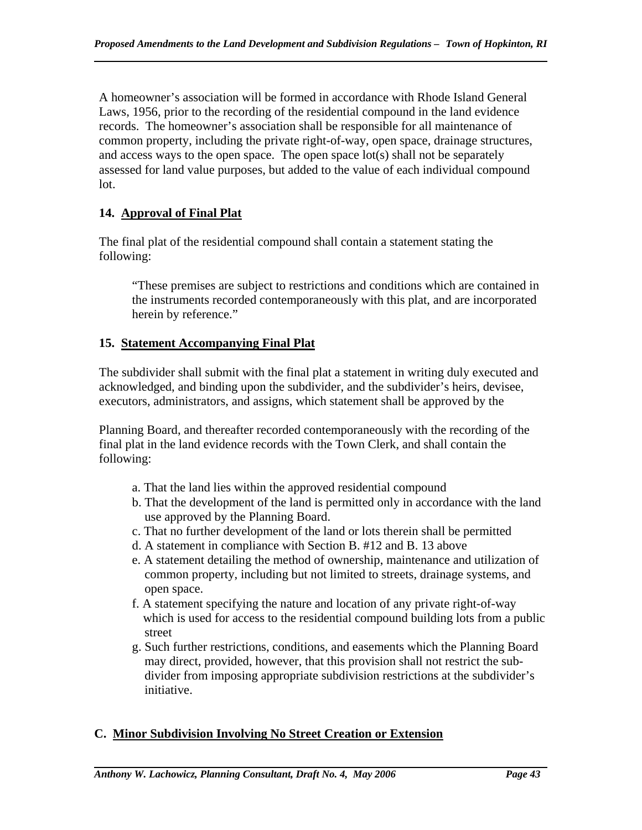A homeowner's association will be formed in accordance with Rhode Island General Laws, 1956, prior to the recording of the residential compound in the land evidence records. The homeowner's association shall be responsible for all maintenance of common property, including the private right-of-way, open space, drainage structures, and access ways to the open space. The open space lot(s) shall not be separately assessed for land value purposes, but added to the value of each individual compound lot.

# **14. Approval of Final Plat**

The final plat of the residential compound shall contain a statement stating the following:

"These premises are subject to restrictions and conditions which are contained in the instruments recorded contemporaneously with this plat, and are incorporated herein by reference."

# **15. Statement Accompanying Final Plat**

The subdivider shall submit with the final plat a statement in writing duly executed and acknowledged, and binding upon the subdivider, and the subdivider's heirs, devisee, executors, administrators, and assigns, which statement shall be approved by the

Planning Board, and thereafter recorded contemporaneously with the recording of the final plat in the land evidence records with the Town Clerk, and shall contain the following:

- a. That the land lies within the approved residential compound
- b. That the development of the land is permitted only in accordance with the land use approved by the Planning Board.
- c. That no further development of the land or lots therein shall be permitted
- d. A statement in compliance with Section B. #12 and B. 13 above
- e. A statement detailing the method of ownership, maintenance and utilization of common property, including but not limited to streets, drainage systems, and open space.
- f. A statement specifying the nature and location of any private right-of-way which is used for access to the residential compound building lots from a public street
- g. Such further restrictions, conditions, and easements which the Planning Board may direct, provided, however, that this provision shall not restrict the sub divider from imposing appropriate subdivision restrictions at the subdivider's initiative.

# **C. Minor Subdivision Involving No Street Creation or Extension**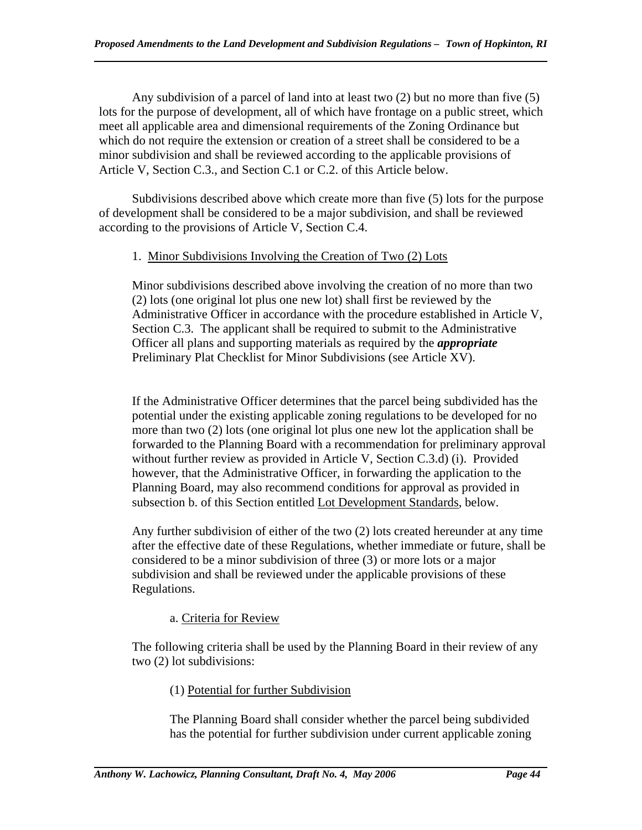Any subdivision of a parcel of land into at least two (2) but no more than five (5) lots for the purpose of development, all of which have frontage on a public street, which meet all applicable area and dimensional requirements of the Zoning Ordinance but which do not require the extension or creation of a street shall be considered to be a minor subdivision and shall be reviewed according to the applicable provisions of Article V, Section C.3., and Section C.1 or C.2. of this Article below.

 Subdivisions described above which create more than five (5) lots for the purpose of development shall be considered to be a major subdivision, and shall be reviewed according to the provisions of Article V, Section C.4.

### 1. Minor Subdivisions Involving the Creation of Two (2) Lots

Minor subdivisions described above involving the creation of no more than two (2) lots (one original lot plus one new lot) shall first be reviewed by the Administrative Officer in accordance with the procedure established in Article V, Section C.3. The applicant shall be required to submit to the Administrative Officer all plans and supporting materials as required by the *appropriate*  Preliminary Plat Checklist for Minor Subdivisions (see Article XV).

If the Administrative Officer determines that the parcel being subdivided has the potential under the existing applicable zoning regulations to be developed for no more than two (2) lots (one original lot plus one new lot the application shall be forwarded to the Planning Board with a recommendation for preliminary approval without further review as provided in Article V, Section C.3.d) (i). Provided however, that the Administrative Officer, in forwarding the application to the Planning Board, may also recommend conditions for approval as provided in subsection b. of this Section entitled Lot Development Standards, below.

Any further subdivision of either of the two (2) lots created hereunder at any time after the effective date of these Regulations, whether immediate or future, shall be considered to be a minor subdivision of three (3) or more lots or a major subdivision and shall be reviewed under the applicable provisions of these Regulations.

# a. Criteria for Review

The following criteria shall be used by the Planning Board in their review of any two (2) lot subdivisions:

### (1) Potential for further Subdivision

The Planning Board shall consider whether the parcel being subdivided has the potential for further subdivision under current applicable zoning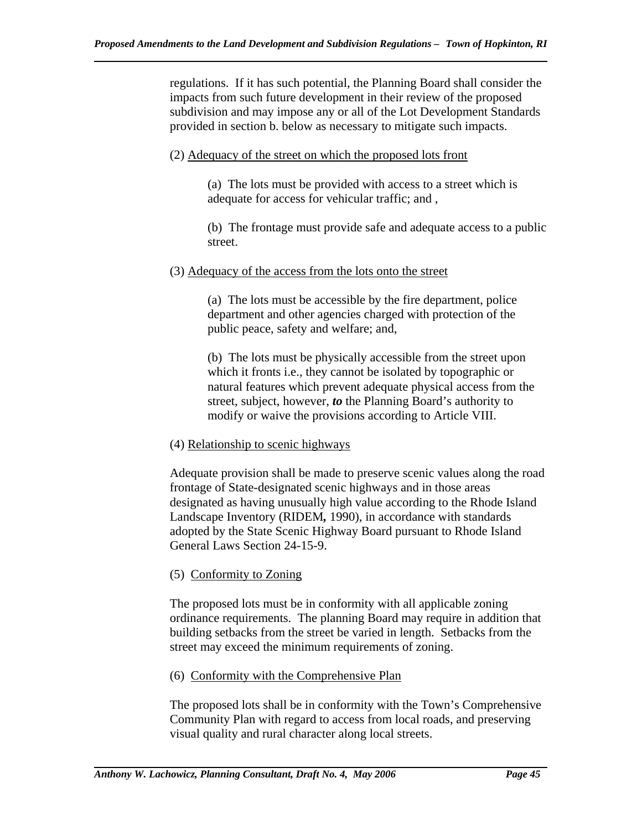regulations. If it has such potential, the Planning Board shall consider the impacts from such future development in their review of the proposed subdivision and may impose any or all of the Lot Development Standards provided in section b. below as necessary to mitigate such impacts.

#### (2) Adequacy of the street on which the proposed lots front

(a) The lots must be provided with access to a street which is adequate for access for vehicular traffic; and ,

(b) The frontage must provide safe and adequate access to a public street.

#### (3) Adequacy of the access from the lots onto the street

(a) The lots must be accessible by the fire department, police department and other agencies charged with protection of the public peace, safety and welfare; and,

(b) The lots must be physically accessible from the street upon which it fronts i.e., they cannot be isolated by topographic or natural features which prevent adequate physical access from the street, subject, however, *to* the Planning Board's authority to modify or waive the provisions according to Article VIII.

### (4) Relationship to scenic highways

Adequate provision shall be made to preserve scenic values along the road frontage of State-designated scenic highways and in those areas designated as having unusually high value according to the Rhode Island Landscape Inventory (RIDEM*,* 1990), in accordance with standards adopted by the State Scenic Highway Board pursuant to Rhode Island General Laws Section 24-15-9.

### (5) Conformity to Zoning

The proposed lots must be in conformity with all applicable zoning ordinance requirements. The planning Board may require in addition that building setbacks from the street be varied in length. Setbacks from the street may exceed the minimum requirements of zoning.

### (6) Conformity with the Comprehensive Plan

The proposed lots shall be in conformity with the Town's Comprehensive Community Plan with regard to access from local roads, and preserving visual quality and rural character along local streets.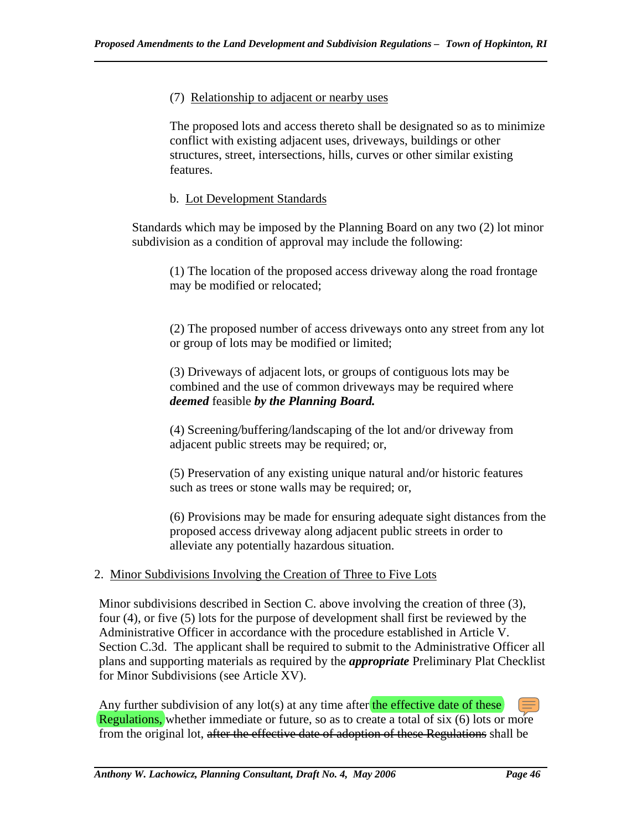#### (7) Relationship to adjacent or nearby uses

The proposed lots and access thereto shall be designated so as to minimize conflict with existing adjacent uses, driveways, buildings or other structures, street, intersections, hills, curves or other similar existing features.

#### b. Lot Development Standards

Standards which may be imposed by the Planning Board on any two (2) lot minor subdivision as a condition of approval may include the following:

(1) The location of the proposed access driveway along the road frontage may be modified or relocated;

(2) The proposed number of access driveways onto any street from any lot or group of lots may be modified or limited;

(3) Driveways of adjacent lots, or groups of contiguous lots may be combined and the use of common driveways may be required where *deemed* feasible *by the Planning Board.* 

(4) Screening/buffering/landscaping of the lot and/or driveway from adjacent public streets may be required; or,

(5) Preservation of any existing unique natural and/or historic features such as trees or stone walls may be required; or,

(6) Provisions may be made for ensuring adequate sight distances from the proposed access driveway along adjacent public streets in order to alleviate any potentially hazardous situation.

### 2. Minor Subdivisions Involving the Creation of Three to Five Lots

Minor subdivisions described in Section C. above involving the creation of three (3), four (4), or five (5) lots for the purpose of development shall first be reviewed by the Administrative Officer in accordance with the procedure established in Article V. Section C.3d. The applicant shall be required to submit to the Administrative Officer all plans and supporting materials as required by the *appropriate* Preliminary Plat Checklist for Minor Subdivisions (see Article XV).

Any further subdivision of any lot(s) at any time after the effective date of these Regulations, whether immediate or future, so as to create a total of six (6) lots or more from the original lot, after the effective date of adoption of these Regulations shall be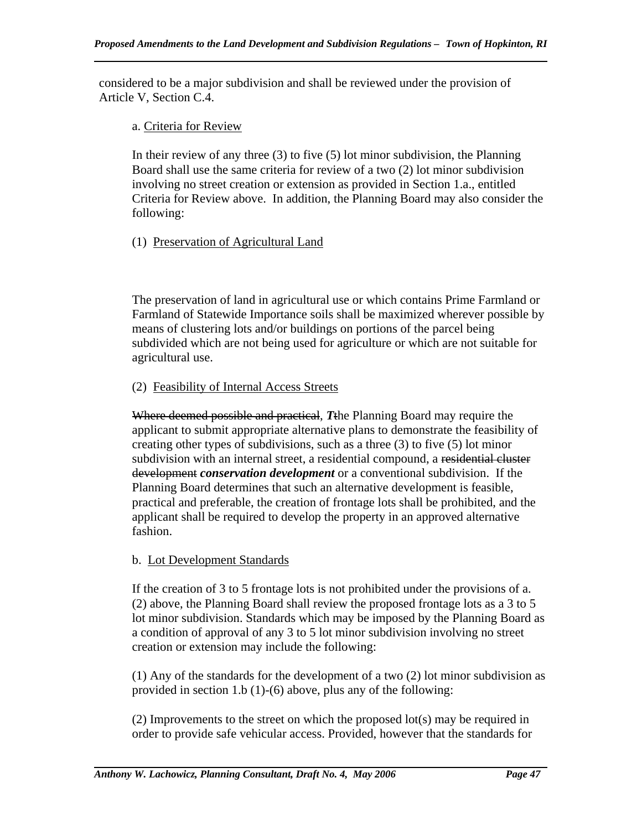considered to be a major subdivision and shall be reviewed under the provision of Article V, Section C.4.

#### a. Criteria for Review

In their review of any three  $(3)$  to five  $(5)$  lot minor subdivision, the Planning Board shall use the same criteria for review of a two (2) lot minor subdivision involving no street creation or extension as provided in Section 1.a., entitled Criteria for Review above. In addition, the Planning Board may also consider the following:

### (1) Preservation of Agricultural Land

The preservation of land in agricultural use or which contains Prime Farmland or Farmland of Statewide Importance soils shall be maximized wherever possible by means of clustering lots and/or buildings on portions of the parcel being subdivided which are not being used for agriculture or which are not suitable for agricultural use.

### (2) Feasibility of Internal Access Streets

Where deemed possible and practical, *T*the Planning Board may require the applicant to submit appropriate alternative plans to demonstrate the feasibility of creating other types of subdivisions, such as a three (3) to five (5) lot minor subdivision with an internal street, a residential compound, a residential cluster development *conservation development* or a conventional subdivision. If the Planning Board determines that such an alternative development is feasible, practical and preferable, the creation of frontage lots shall be prohibited, and the applicant shall be required to develop the property in an approved alternative fashion.

### b. Lot Development Standards

If the creation of 3 to 5 frontage lots is not prohibited under the provisions of a. (2) above, the Planning Board shall review the proposed frontage lots as a 3 to 5 lot minor subdivision. Standards which may be imposed by the Planning Board as a condition of approval of any 3 to 5 lot minor subdivision involving no street creation or extension may include the following:

(1) Any of the standards for the development of a two (2) lot minor subdivision as provided in section 1.b (1)-(6) above, plus any of the following:

(2) Improvements to the street on which the proposed lot(s) may be required in order to provide safe vehicular access. Provided, however that the standards for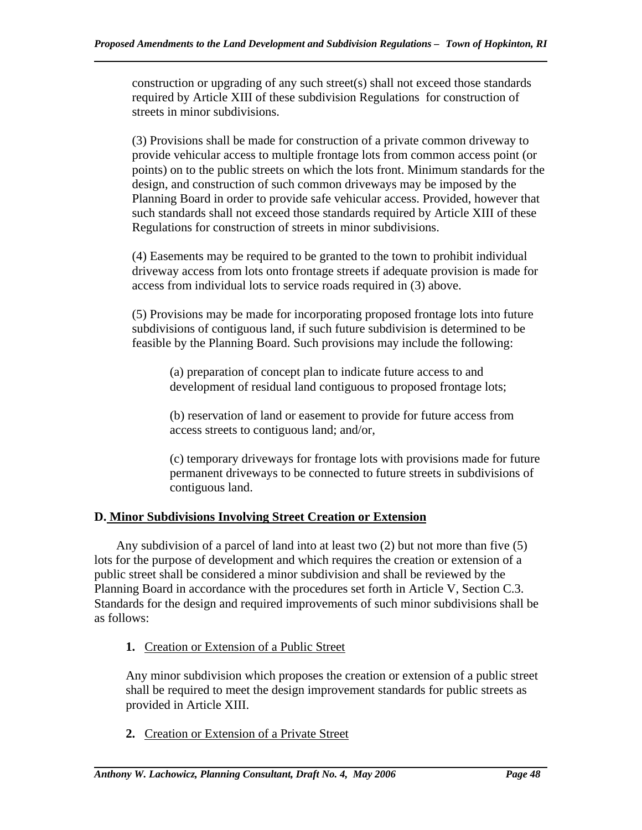construction or upgrading of any such street(s) shall not exceed those standards required by Article XIII of these subdivision Regulations for construction of streets in minor subdivisions.

(3) Provisions shall be made for construction of a private common driveway to provide vehicular access to multiple frontage lots from common access point (or points) on to the public streets on which the lots front. Minimum standards for the design, and construction of such common driveways may be imposed by the Planning Board in order to provide safe vehicular access. Provided, however that such standards shall not exceed those standards required by Article XIII of these Regulations for construction of streets in minor subdivisions.

(4) Easements may be required to be granted to the town to prohibit individual driveway access from lots onto frontage streets if adequate provision is made for access from individual lots to service roads required in (3) above.

(5) Provisions may be made for incorporating proposed frontage lots into future subdivisions of contiguous land, if such future subdivision is determined to be feasible by the Planning Board. Such provisions may include the following:

(a) preparation of concept plan to indicate future access to and development of residual land contiguous to proposed frontage lots;

(b) reservation of land or easement to provide for future access from access streets to contiguous land; and/or,

(c) temporary driveways for frontage lots with provisions made for future permanent driveways to be connected to future streets in subdivisions of contiguous land.

# **D. Minor Subdivisions Involving Street Creation or Extension**

 Any subdivision of a parcel of land into at least two (2) but not more than five (5) lots for the purpose of development and which requires the creation or extension of a public street shall be considered a minor subdivision and shall be reviewed by the Planning Board in accordance with the procedures set forth in Article V, Section C.3. Standards for the design and required improvements of such minor subdivisions shall be as follows:

**1.** Creation or Extension of a Public Street

Any minor subdivision which proposes the creation or extension of a public street shall be required to meet the design improvement standards for public streets as provided in Article XIII.

**2.** Creation or Extension of a Private Street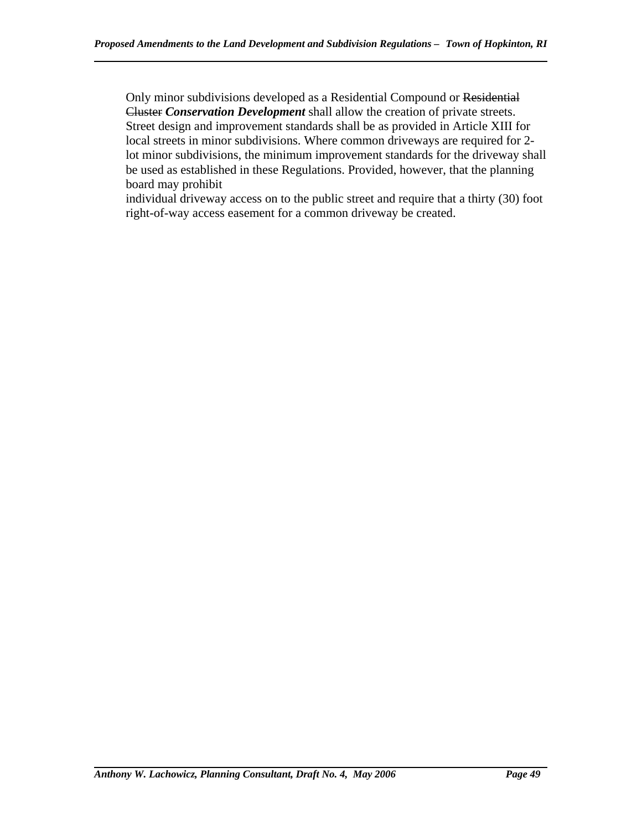Only minor subdivisions developed as a Residential Compound or Residential Cluster *Conservation Development* shall allow the creation of private streets. Street design and improvement standards shall be as provided in Article XIII for local streets in minor subdivisions. Where common driveways are required for 2 lot minor subdivisions, the minimum improvement standards for the driveway shall be used as established in these Regulations. Provided, however, that the planning board may prohibit

individual driveway access on to the public street and require that a thirty (30) foot right-of-way access easement for a common driveway be created.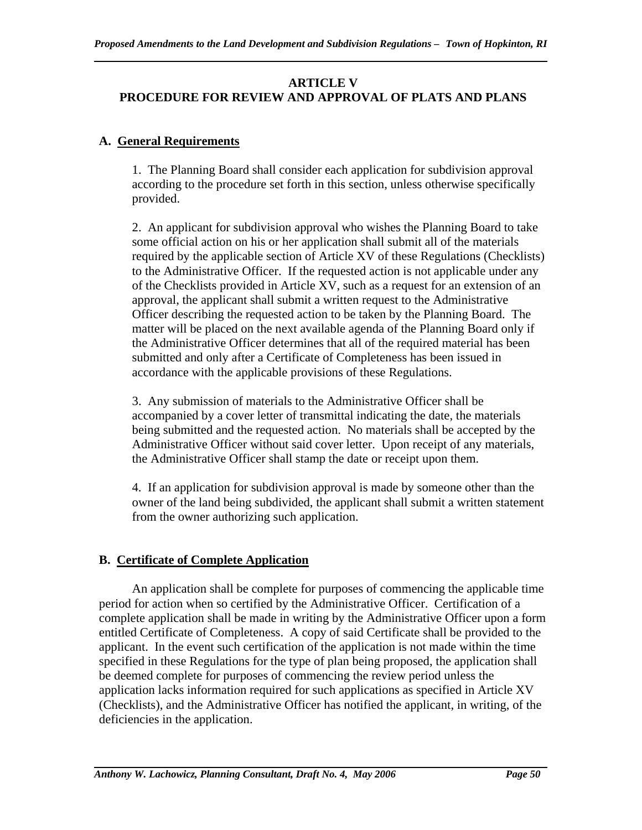## **ARTICLE V PROCEDURE FOR REVIEW AND APPROVAL OF PLATS AND PLANS**

## **A. General Requirements**

1. The Planning Board shall consider each application for subdivision approval according to the procedure set forth in this section, unless otherwise specifically provided.

2. An applicant for subdivision approval who wishes the Planning Board to take some official action on his or her application shall submit all of the materials required by the applicable section of Article XV of these Regulations (Checklists) to the Administrative Officer. If the requested action is not applicable under any of the Checklists provided in Article XV, such as a request for an extension of an approval, the applicant shall submit a written request to the Administrative Officer describing the requested action to be taken by the Planning Board. The matter will be placed on the next available agenda of the Planning Board only if the Administrative Officer determines that all of the required material has been submitted and only after a Certificate of Completeness has been issued in accordance with the applicable provisions of these Regulations.

3. Any submission of materials to the Administrative Officer shall be accompanied by a cover letter of transmittal indicating the date, the materials being submitted and the requested action. No materials shall be accepted by the Administrative Officer without said cover letter. Upon receipt of any materials, the Administrative Officer shall stamp the date or receipt upon them.

4. If an application for subdivision approval is made by someone other than the owner of the land being subdivided, the applicant shall submit a written statement from the owner authorizing such application.

# **B. Certificate of Complete Application**

 An application shall be complete for purposes of commencing the applicable time period for action when so certified by the Administrative Officer. Certification of a complete application shall be made in writing by the Administrative Officer upon a form entitled Certificate of Completeness. A copy of said Certificate shall be provided to the applicant. In the event such certification of the application is not made within the time specified in these Regulations for the type of plan being proposed, the application shall be deemed complete for purposes of commencing the review period unless the application lacks information required for such applications as specified in Article XV (Checklists), and the Administrative Officer has notified the applicant, in writing, of the deficiencies in the application.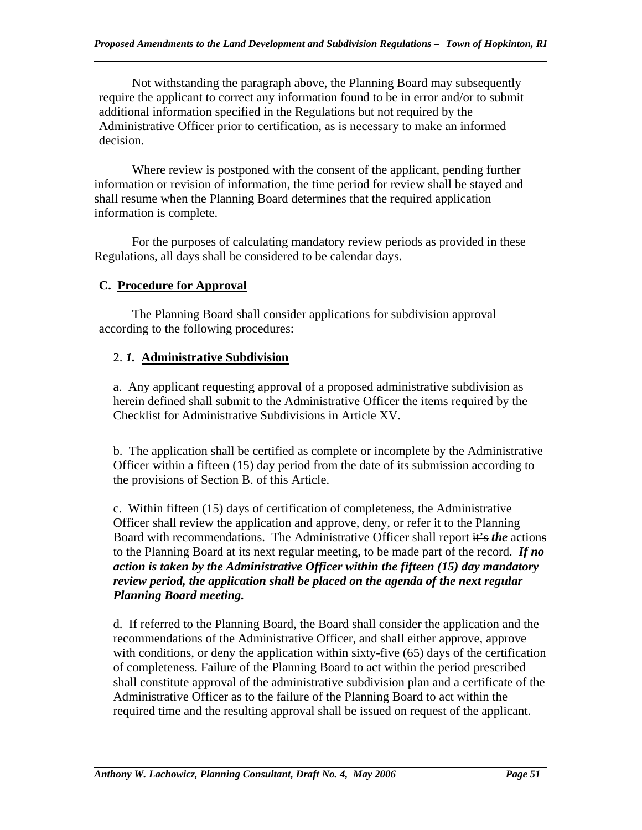Not withstanding the paragraph above, the Planning Board may subsequently require the applicant to correct any information found to be in error and/or to submit additional information specified in the Regulations but not required by the Administrative Officer prior to certification, as is necessary to make an informed decision.

 Where review is postponed with the consent of the applicant, pending further information or revision of information, the time period for review shall be stayed and shall resume when the Planning Board determines that the required application information is complete.

 For the purposes of calculating mandatory review periods as provided in these Regulations, all days shall be considered to be calendar days.

# **C. Procedure for Approval**

 The Planning Board shall consider applications for subdivision approval according to the following procedures:

# 2. *1.* **Administrative Subdivision**

a. Any applicant requesting approval of a proposed administrative subdivision as herein defined shall submit to the Administrative Officer the items required by the Checklist for Administrative Subdivisions in Article XV.

b. The application shall be certified as complete or incomplete by the Administrative Officer within a fifteen (15) day period from the date of its submission according to the provisions of Section B. of this Article.

c. Within fifteen (15) days of certification of completeness, the Administrative Officer shall review the application and approve, deny, or refer it to the Planning Board with recommendations. The Administrative Officer shall report it's *the* actions to the Planning Board at its next regular meeting, to be made part of the record. *If no action is taken by the Administrative Officer within the fifteen (15) day mandatory review period, the application shall be placed on the agenda of the next regular Planning Board meeting.*

d. If referred to the Planning Board, the Board shall consider the application and the recommendations of the Administrative Officer, and shall either approve, approve with conditions, or deny the application within sixty-five (65) days of the certification of completeness. Failure of the Planning Board to act within the period prescribed shall constitute approval of the administrative subdivision plan and a certificate of the Administrative Officer as to the failure of the Planning Board to act within the required time and the resulting approval shall be issued on request of the applicant.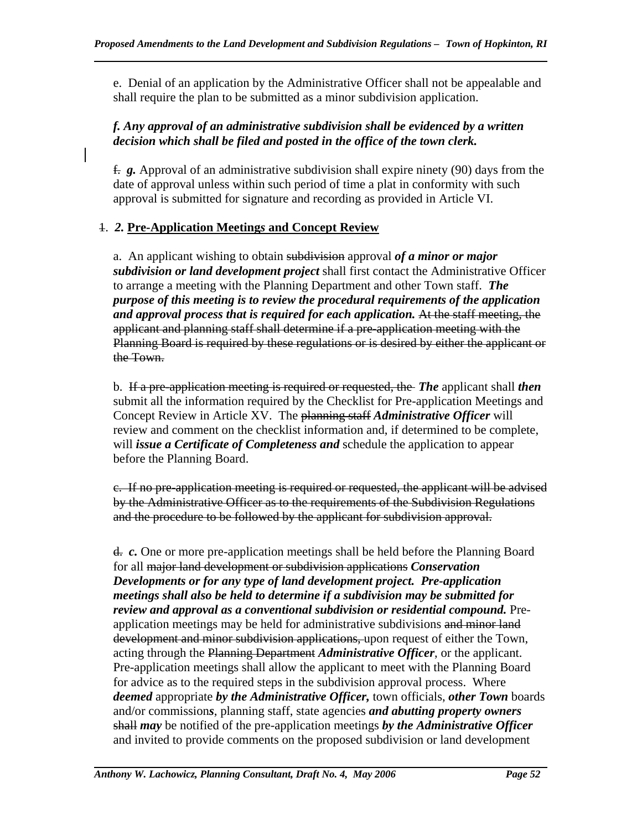e. Denial of an application by the Administrative Officer shall not be appealable and shall require the plan to be submitted as a minor subdivision application.

### *f. Any approval of an administrative subdivision shall be evidenced by a written decision which shall be filed and posted in the office of the town clerk.*

f. *g.* Approval of an administrative subdivision shall expire ninety (90) days from the date of approval unless within such period of time a plat in conformity with such approval is submitted for signature and recording as provided in Article VI.

# 1. *2.* **Pre-Application Meeting***s* **and Concept Review**

a. An applicant wishing to obtain subdivision approval *of a minor or major subdivision or land development project* shall first contact the Administrative Officer to arrange a meeting with the Planning Department and other Town staff. *The purpose of this meeting is to review the procedural requirements of the application and approval process that is required for each application.* At the staff meeting, the applicant and planning staff shall determine if a pre-application meeting with the Planning Board is required by these regulations or is desired by either the applicant or the Town.

b. If a pre-application meeting is required or requested, the *The* applicant shall *then*  submit all the information required by the Checklist for Pre-application Meetings and Concept Review in Article XV. The planning staff *Administrative Officer* will review and comment on the checklist information and, if determined to be complete, will *issue a Certificate of Completeness and* schedule the application to appear before the Planning Board.

c. If no pre-application meeting is required or requested, the applicant will be advised by the Administrative Officer as to the requirements of the Subdivision Regulations and the procedure to be followed by the applicant for subdivision approval.

d. *c.* One or more pre-application meetings shall be held before the Planning Board for all major land development or subdivision applications *Conservation Developments or for any type of land development project. Pre-application meetings shall also be held to determine if a subdivision may be submitted for review and approval as a conventional subdivision or residential compound.* Preapplication meetings may be held for administrative subdivisions and minor land development and minor subdivision applications, upon request of either the Town, acting through the Planning Department *Administrative Officer*, or the applicant. Pre-application meetings shall allow the applicant to meet with the Planning Board for advice as to the required steps in the subdivision approval process. Where *deemed* appropriate *by the Administrative Officer,* town officials, *other Town* boards and/or commission*s*, planning staff, state agencies *and abutting property owners* shall *may* be notified of the pre-application meetings *by the Administrative Officer*  and invited to provide comments on the proposed subdivision or land development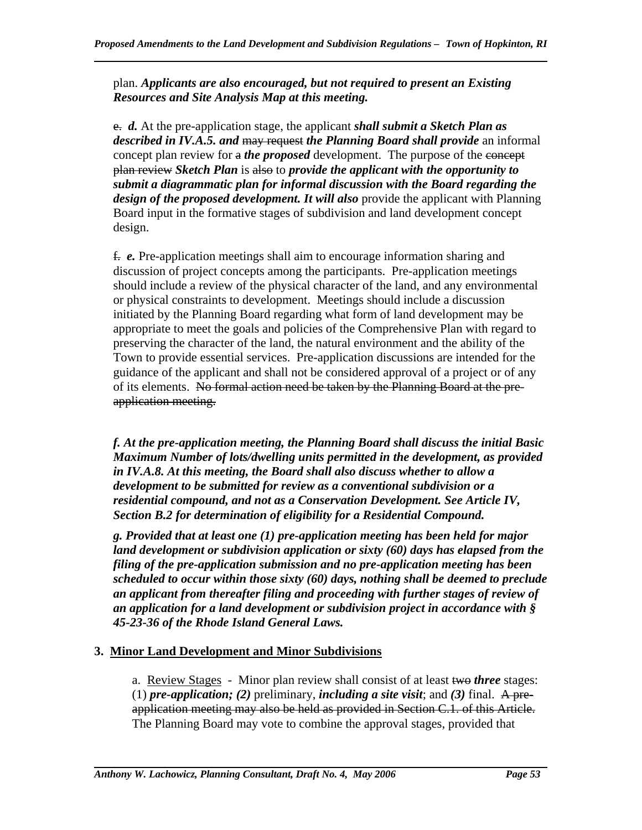plan. *Applicants are also encouraged, but not required to present an Existing Resources and Site Analysis Map at this meeting.* 

e. *d.* At the pre-application stage, the applicant *shall submit a Sketch Plan as described in IV.A.5. and* may request *the Planning Board shall provide* an informal concept plan review for a *the proposed* development. The purpose of the concept plan review *Sketch Plan* is also to *provide the applicant with the opportunity to submit a diagrammatic plan for informal discussion with the Board regarding the design of the proposed development. It will also* provide the applicant with Planning Board input in the formative stages of subdivision and land development concept design.

f. *e.* Pre-application meetings shall aim to encourage information sharing and discussion of project concepts among the participants. Pre-application meetings should include a review of the physical character of the land, and any environmental or physical constraints to development. Meetings should include a discussion initiated by the Planning Board regarding what form of land development may be appropriate to meet the goals and policies of the Comprehensive Plan with regard to preserving the character of the land, the natural environment and the ability of the Town to provide essential services. Pre-application discussions are intended for the guidance of the applicant and shall not be considered approval of a project or of any of its elements. No formal action need be taken by the Planning Board at the preapplication meeting.

*f. At the pre-application meeting, the Planning Board shall discuss the initial Basic Maximum Number of lots/dwelling units permitted in the development, as provided in IV.A.8. At this meeting, the Board shall also discuss whether to allow a development to be submitted for review as a conventional subdivision or a residential compound, and not as a Conservation Development. See Article IV, Section B.2 for determination of eligibility for a Residential Compound.* 

*g. Provided that at least one (1) pre-application meeting has been held for major land development or subdivision application or sixty (60) days has elapsed from the filing of the pre-application submission and no pre-application meeting has been scheduled to occur within those sixty (60) days, nothing shall be deemed to preclude an applicant from thereafter filing and proceeding with further stages of review of an application for a land development or subdivision project in accordance with § 45-23-36 of the Rhode Island General Laws.* 

# **3. Minor Land Development and Minor Subdivisions**

a. Review Stages - Minor plan review shall consist of at least two *three* stages: (1) *pre-application; (2)* preliminary, *including a site visit*; and *(3)* final. A preapplication meeting may also be held as provided in Section C.1. of this Article. The Planning Board may vote to combine the approval stages, provided that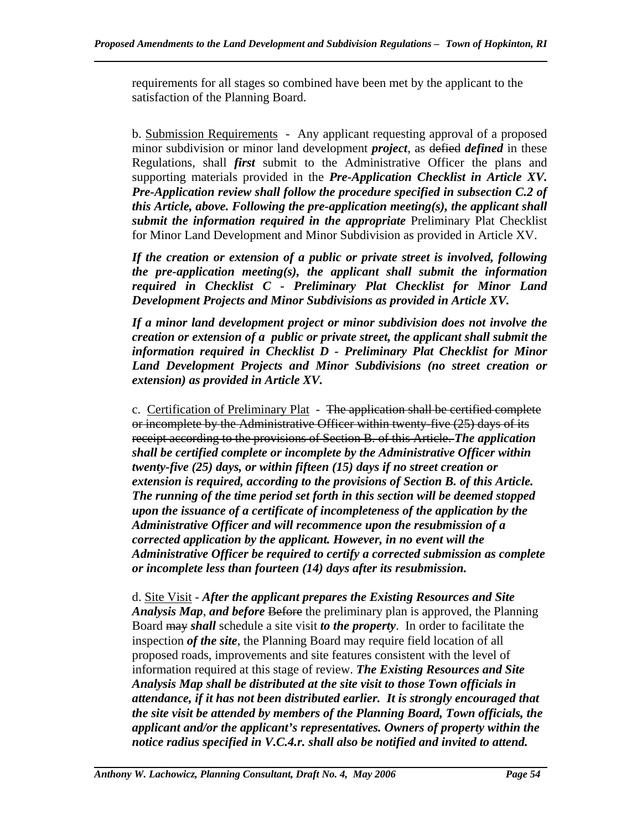requirements for all stages so combined have been met by the applicant to the satisfaction of the Planning Board.

b. Submission Requirements - Any applicant requesting approval of a proposed minor subdivision or minor land development *project*, as defied *defined* in these Regulations, shall *first* submit to the Administrative Officer the plans and supporting materials provided in the *Pre-Application Checklist in Article XV. Pre-Application review shall follow the procedure specified in subsection C.2 of this Article, above. Following the pre-application meeting(s), the applicant shall submit the information required in the appropriate* Preliminary Plat Checklist for Minor Land Development and Minor Subdivision as provided in Article XV.

 *If the creation or extension of a public or private street is involved, following the pre-application meeting(s), the applicant shall submit the information required in Checklist C - Preliminary Plat Checklist for Minor Land Development Projects and Minor Subdivisions as provided in Article XV.* 

*If a minor land development project or minor subdivision does not involve the creation or extension of a public or private street, the applicant shall submit the information required in Checklist D - Preliminary Plat Checklist for Minor Land Development Projects and Minor Subdivisions (no street creation or extension) as provided in Article XV.* 

c. Certification of Preliminary Plat - The application shall be certified complete or incomplete by the Administrative Officer within twenty-five (25) days of its receipt according to the provisions of Section B. of this Article. *The application shall be certified complete or incomplete by the Administrative Officer within twenty-five (25) days, or within fifteen (15) days if no street creation or extension is required, according to the provisions of Section B. of this Article. The running of the time period set forth in this section will be deemed stopped upon the issuance of a certificate of incompleteness of the application by the Administrative Officer and will recommence upon the resubmission of a corrected application by the applicant. However, in no event will the Administrative Officer be required to certify a corrected submission as complete or incomplete less than fourteen (14) days after its resubmission.* 

d. Site Visit - *After the applicant prepares the Existing Resources and Site Analysis Map*, *and before* Before the preliminary plan is approved, the Planning Board may *shall* schedule a site visit *to the property*. In order to facilitate the inspection *of the site*, the Planning Board may require field location of all proposed roads, improvements and site features consistent with the level of information required at this stage of review. *The Existing Resources and Site Analysis Map shall be distributed at the site visit to those Town officials in attendance, if it has not been distributed earlier. It is strongly encouraged that the site visit be attended by members of the Planning Board, Town officials, the applicant and/or the applicant's representatives. Owners of property within the notice radius specified in V.C.4.r. shall also be notified and invited to attend.*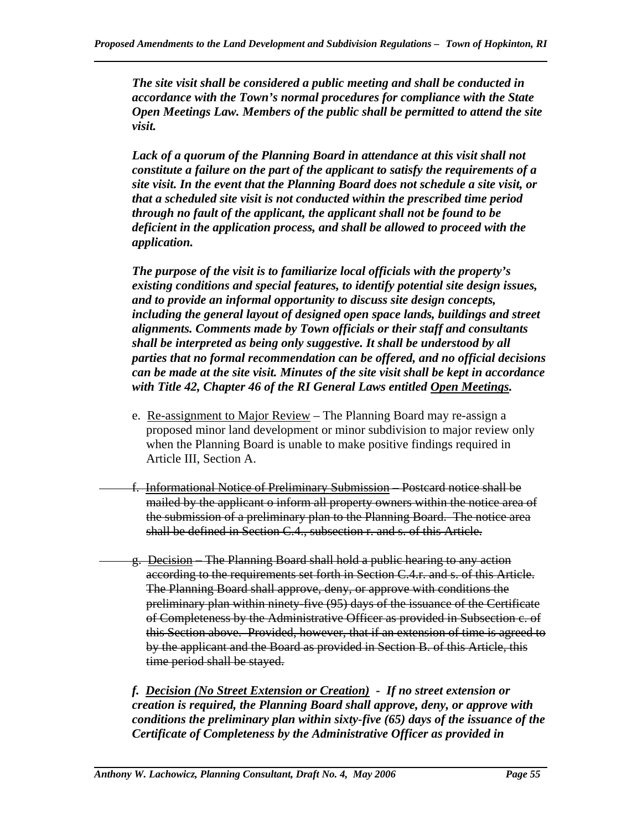*The site visit shall be considered a public meeting and shall be conducted in accordance with the Town's normal procedures for compliance with the State Open Meetings Law. Members of the public shall be permitted to attend the site visit.* 

*Lack of a quorum of the Planning Board in attendance at this visit shall not constitute a failure on the part of the applicant to satisfy the requirements of a site visit. In the event that the Planning Board does not schedule a site visit, or that a scheduled site visit is not conducted within the prescribed time period through no fault of the applicant, the applicant shall not be found to be deficient in the application process, and shall be allowed to proceed with the application.* 

*The purpose of the visit is to familiarize local officials with the property's existing conditions and special features, to identify potential site design issues, and to provide an informal opportunity to discuss site design concepts, including the general layout of designed open space lands, buildings and street alignments. Comments made by Town officials or their staff and consultants shall be interpreted as being only suggestive. It shall be understood by all parties that no formal recommendation can be offered, and no official decisions can be made at the site visit. Minutes of the site visit shall be kept in accordance with Title 42, Chapter 46 of the RI General Laws entitled Open Meetings.* 

- e. Re-assignment to Major Review The Planning Board may re-assign a proposed minor land development or minor subdivision to major review only when the Planning Board is unable to make positive findings required in Article III, Section A.
- f. Informational Notice of Preliminary Submission Postcard notice shall be mailed by the applicant o inform all property owners within the notice area of the submission of a preliminary plan to the Planning Board. The notice area shall be defined in Section C.4., subsection r. and s. of this Article.
- g. Decision The Planning Board shall hold a public hearing to any action according to the requirements set forth in Section C.4.r. and s. of this Article. The Planning Board shall approve, deny, or approve with conditions the preliminary plan within ninety-five (95) days of the issuance of the Certificate of Completeness by the Administrative Officer as provided in Subsection c. of this Section above. Provided, however, that if an extension of time is agreed to by the applicant and the Board as provided in Section B. of this Article, this time period shall be stayed.

*f. Decision (No Street Extension or Creation) - If no street extension or creation is required, the Planning Board shall approve, deny, or approve with conditions the preliminary plan within sixty-five (65) days of the issuance of the Certificate of Completeness by the Administrative Officer as provided in*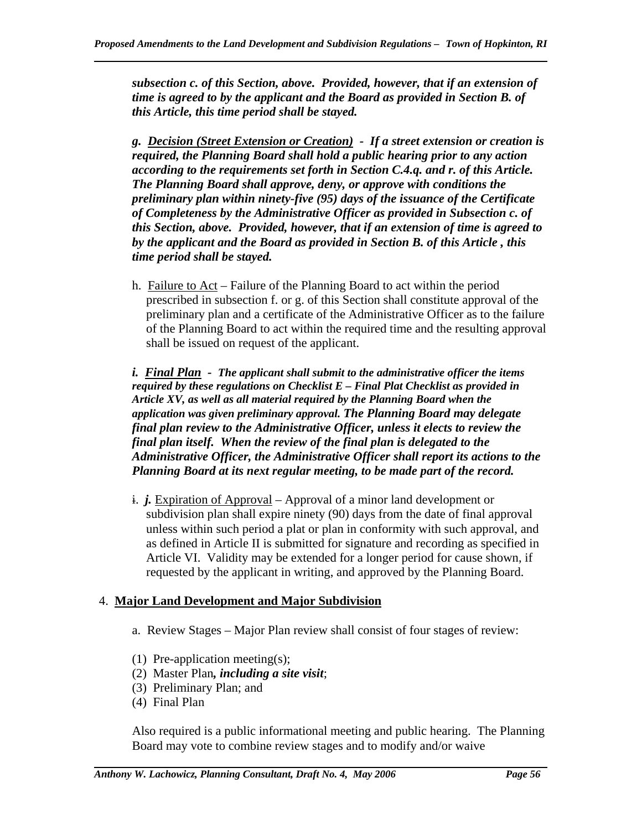*subsection c. of this Section, above. Provided, however, that if an extension of time is agreed to by the applicant and the Board as provided in Section B. of this Article, this time period shall be stayed.* 

*g. Decision (Street Extension or Creation) - If a street extension or creation is required, the Planning Board shall hold a public hearing prior to any action according to the requirements set forth in Section C.4.q. and r. of this Article. The Planning Board shall approve, deny, or approve with conditions the preliminary plan within ninety-five (95) days of the issuance of the Certificate of Completeness by the Administrative Officer as provided in Subsection c. of this Section, above. Provided, however, that if an extension of time is agreed to by the applicant and the Board as provided in Section B. of this Article , this time period shall be stayed.* 

 h. Failure to Act – Failure of the Planning Board to act within the period prescribed in subsection f. or g. of this Section shall constitute approval of the preliminary plan and a certificate of the Administrative Officer as to the failure of the Planning Board to act within the required time and the resulting approval shall be issued on request of the applicant.

*i. Final Plan - The applicant shall submit to the administrative officer the items required by these regulations on Checklist E – Final Plat Checklist as provided in Article XV, as well as all material required by the Planning Board when the application was given preliminary approval. The Planning Board may delegate final plan review to the Administrative Officer, unless it elects to review the final plan itself. When the review of the final plan is delegated to the Administrative Officer, the Administrative Officer shall report its actions to the Planning Board at its next regular meeting, to be made part of the record.* 

 i. *j.* Expiration of Approval – Approval of a minor land development or subdivision plan shall expire ninety (90) days from the date of final approval unless within such period a plat or plan in conformity with such approval, and as defined in Article II is submitted for signature and recording as specified in Article VI. Validity may be extended for a longer period for cause shown, if requested by the applicant in writing, and approved by the Planning Board.

### 4. **Major Land Development and Major Subdivision**

- a. Review Stages Major Plan review shall consist of four stages of review:
- (1) Pre-application meeting(s);
- (2) Master Plan*, including a site visit*;
- (3) Preliminary Plan; and
- (4) Final Plan

Also required is a public informational meeting and public hearing. The Planning Board may vote to combine review stages and to modify and/or waive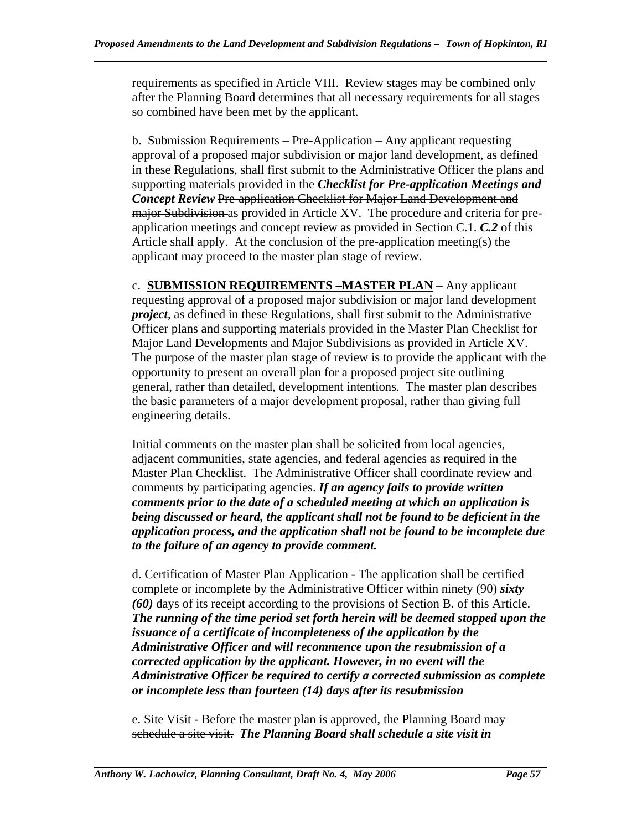requirements as specified in Article VIII. Review stages may be combined only after the Planning Board determines that all necessary requirements for all stages so combined have been met by the applicant.

b. Submission Requirements – Pre-Application – Any applicant requesting approval of a proposed major subdivision or major land development, as defined in these Regulations, shall first submit to the Administrative Officer the plans and supporting materials provided in the *Checklist for Pre-application Meetings and Concept Review* Pre-application Checklist for Major Land Development and major Subdivision as provided in Article XV. The procedure and criteria for preapplication meetings and concept review as provided in Section C.1. *C.2* of this Article shall apply. At the conclusion of the pre-application meeting(s) the applicant may proceed to the master plan stage of review.

c. **SUBMISSION REQUIREMENTS –MASTER PLAN** – Any applicant requesting approval of a proposed major subdivision or major land development *project*, as defined in these Regulations, shall first submit to the Administrative Officer plans and supporting materials provided in the Master Plan Checklist for Major Land Developments and Major Subdivisions as provided in Article XV. The purpose of the master plan stage of review is to provide the applicant with the opportunity to present an overall plan for a proposed project site outlining general, rather than detailed, development intentions. The master plan describes the basic parameters of a major development proposal, rather than giving full engineering details.

Initial comments on the master plan shall be solicited from local agencies, adjacent communities, state agencies, and federal agencies as required in the Master Plan Checklist. The Administrative Officer shall coordinate review and comments by participating agencies. *If an agency fails to provide written comments prior to the date of a scheduled meeting at which an application is being discussed or heard, the applicant shall not be found to be deficient in the application process, and the application shall not be found to be incomplete due to the failure of an agency to provide comment.*

d. Certification of Master Plan Application - The application shall be certified complete or incomplete by the Administrative Officer within ninety (90) *sixty (60)* days of its receipt according to the provisions of Section B. of this Article. *The running of the time period set forth herein will be deemed stopped upon the issuance of a certificate of incompleteness of the application by the Administrative Officer and will recommence upon the resubmission of a corrected application by the applicant. However, in no event will the Administrative Officer be required to certify a corrected submission as complete or incomplete less than fourteen (14) days after its resubmission* 

e. Site Visit - Before the master plan is approved, the Planning Board may schedule a site visit. *The Planning Board shall schedule a site visit in*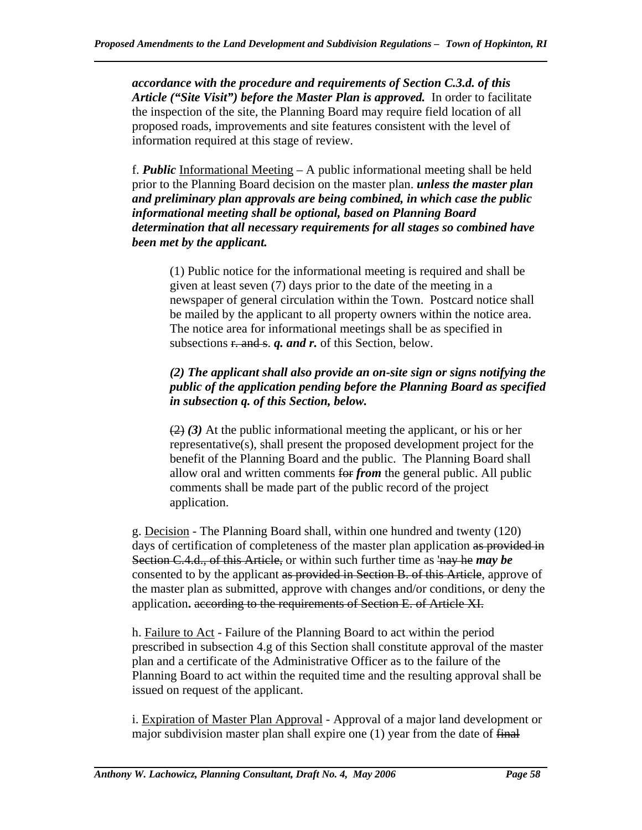*accordance with the procedure and requirements of Section C.3.d. of this Article ("Site Visit") before the Master Plan is approved.* In order to facilitate the inspection of the site, the Planning Board may require field location of all proposed roads, improvements and site features consistent with the level of information required at this stage of review.

f. *Public* Informational Meeting – A public informational meeting shall be held prior to the Planning Board decision on the master plan. *unless the master plan and preliminary plan approvals are being combined, in which case the public informational meeting shall be optional, based on Planning Board determination that all necessary requirements for all stages so combined have been met by the applicant.*

(1) Public notice for the informational meeting is required and shall be given at least seven (7) days prior to the date of the meeting in a newspaper of general circulation within the Town. Postcard notice shall be mailed by the applicant to all property owners within the notice area. The notice area for informational meetings shall be as specified in subsections  $\frac{r \cdot \text{and } s}{r}$ . *q. and r.* of this Section, below.

# *(2) The applicant shall also provide an on-site sign or signs notifying the public of the application pending before the Planning Board as specified in subsection q. of this Section, below.*

 (2) *(3)* At the public informational meeting the applicant, or his or her representative(s), shall present the proposed development project for the benefit of the Planning Board and the public. The Planning Board shall allow oral and written comments for *from* the general public. All public comments shall be made part of the public record of the project application.

g. Decision - The Planning Board shall, within one hundred and twenty (120) days of certification of completeness of the master plan application as provided in Section C.4.d., of this Article, or within such further time as 'nay he *may be*  consented to by the applicant as provided in Section B. of this Article, approve of the master plan as submitted, approve with changes and/or conditions, or deny the application**.** according to the requirements of Section E. of Article XI.

h. Failure to Act - Failure of the Planning Board to act within the period prescribed in subsection 4.g of this Section shall constitute approval of the master plan and a certificate of the Administrative Officer as to the failure of the Planning Board to act within the requited time and the resulting approval shall be issued on request of the applicant.

i. Expiration of Master Plan Approval - Approval of a major land development or major subdivision master plan shall expire one (1) year from the date of final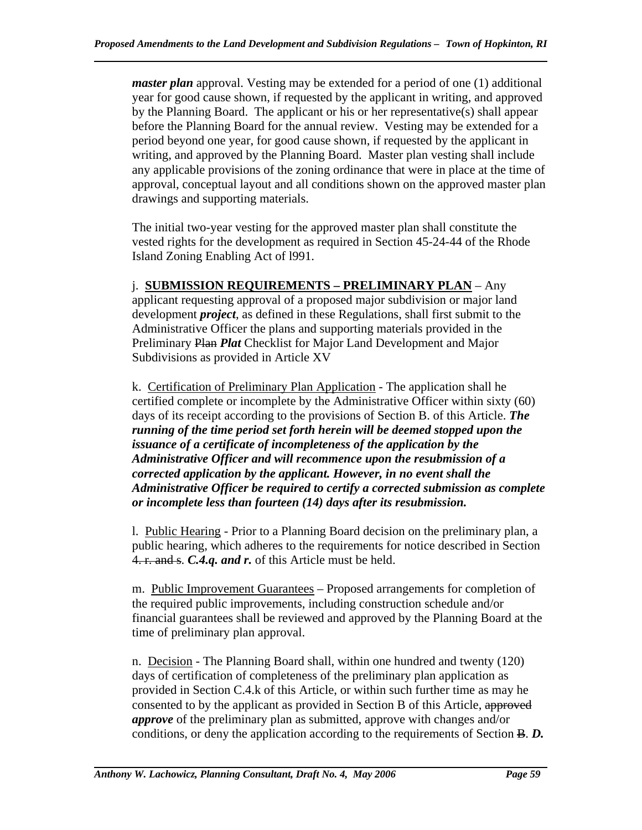*master plan* approval. Vesting may be extended for a period of one (1) additional year for good cause shown, if requested by the applicant in writing, and approved by the Planning Board. The applicant or his or her representative(s) shall appear before the Planning Board for the annual review. Vesting may be extended for a period beyond one year, for good cause shown, if requested by the applicant in writing, and approved by the Planning Board. Master plan vesting shall include any applicable provisions of the zoning ordinance that were in place at the time of approval, conceptual layout and all conditions shown on the approved master plan drawings and supporting materials.

The initial two-year vesting for the approved master plan shall constitute the vested rights for the development as required in Section 45-24-44 of the Rhode Island Zoning Enabling Act of l991.

#### j. **SUBMISSION REQUIREMENTS – PRELIMINARY PLAN** – Any applicant requesting approval of a proposed major subdivision or major land development *project*, as defined in these Regulations, shall first submit to the Administrative Officer the plans and supporting materials provided in the Preliminary Plan *Plat* Checklist for Major Land Development and Major Subdivisions as provided in Article XV

k. Certification of Preliminary Plan Application - The application shall he certified complete or incomplete by the Administrative Officer within sixty (60) days of its receipt according to the provisions of Section B. of this Article. *The running of the time period set forth herein will be deemed stopped upon the issuance of a certificate of incompleteness of the application by the Administrative Officer and will recommence upon the resubmission of a corrected application by the applicant. However, in no event shall the Administrative Officer be required to certify a corrected submission as complete or incomplete less than fourteen (14) days after its resubmission.*

 l. Public Hearing - Prior to a Planning Board decision on the preliminary plan, a public hearing, which adheres to the requirements for notice described in Section 4. r. and s. *C.4.q. and r.* of this Article must be held.

m. Public Improvement Guarantees – Proposed arrangements for completion of the required public improvements, including construction schedule and/or financial guarantees shall be reviewed and approved by the Planning Board at the time of preliminary plan approval.

n. Decision - The Planning Board shall, within one hundred and twenty (120) days of certification of completeness of the preliminary plan application as provided in Section C.4.k of this Article, or within such further time as may he consented to by the applicant as provided in Section B of this Article, approved *approve* of the preliminary plan as submitted, approve with changes and/or conditions, or deny the application according to the requirements of Section B. *D.*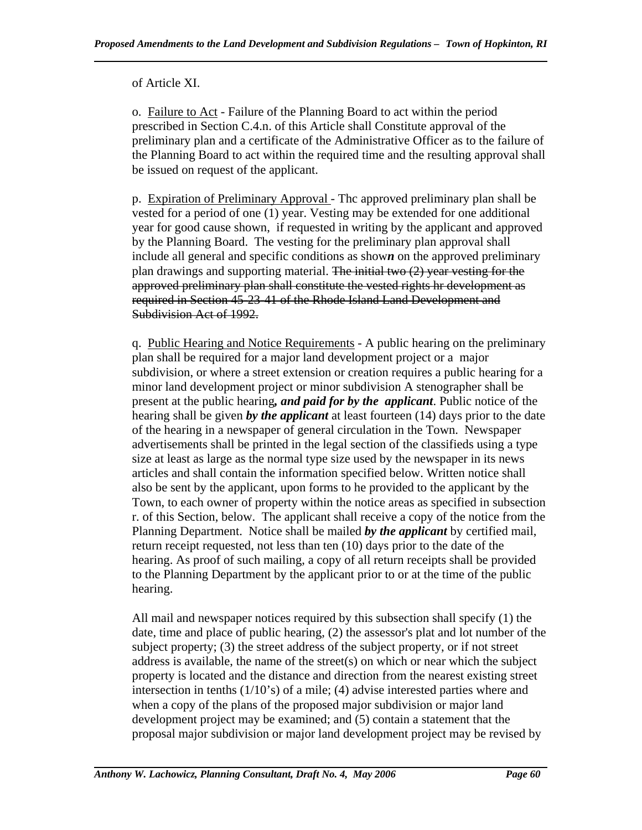of Article XI.

o. Failure to Act - Failure of the Planning Board to act within the period prescribed in Section C.4.n. of this Article shall Constitute approval of the preliminary plan and a certificate of the Administrative Officer as to the failure of the Planning Board to act within the required time and the resulting approval shall be issued on request of the applicant.

p. Expiration of Preliminary Approval - Thc approved preliminary plan shall be vested for a period of one (1) year. Vesting may be extended for one additional year for good cause shown, if requested in writing by the applicant and approved by the Planning Board. The vesting for the preliminary plan approval shall include all general and specific conditions as show*n* on the approved preliminary plan drawings and supporting material. The initial two (2) year vesting for the approved preliminary plan shall constitute the vested rights hr development as required in Section 45-23-41 of the Rhode Island Land Development and Subdivision Act of 1992.

q. Public Hearing and Notice Requirements - A public hearing on the preliminary plan shall be required for a major land development project or a major subdivision, or where a street extension or creation requires a public hearing for a minor land development project or minor subdivision A stenographer shall be present at the public hearing*, and paid for by the applicant*. Public notice of the hearing shall be given *by the applicant* at least fourteen (14) days prior to the date of the hearing in a newspaper of general circulation in the Town. Newspaper advertisements shall be printed in the legal section of the classifieds using a type size at least as large as the normal type size used by the newspaper in its news articles and shall contain the information specified below. Written notice shall also be sent by the applicant, upon forms to he provided to the applicant by the Town, to each owner of property within the notice areas as specified in subsection r. of this Section, below. The applicant shall receive a copy of the notice from the Planning Department. Notice shall be mailed *by the applicant* by certified mail, return receipt requested, not less than ten (10) days prior to the date of the hearing. As proof of such mailing, a copy of all return receipts shall be provided to the Planning Department by the applicant prior to or at the time of the public hearing.

All mail and newspaper notices required by this subsection shall specify (1) the date, time and place of public hearing, (2) the assessor's plat and lot number of the subject property; (3) the street address of the subject property, or if not street address is available, the name of the street(s) on which or near which the subject property is located and the distance and direction from the nearest existing street intersection in tenths (1/10's) of a mile; (4) advise interested parties where and when a copy of the plans of the proposed major subdivision or major land development project may be examined; and (5) contain a statement that the proposal major subdivision or major land development project may be revised by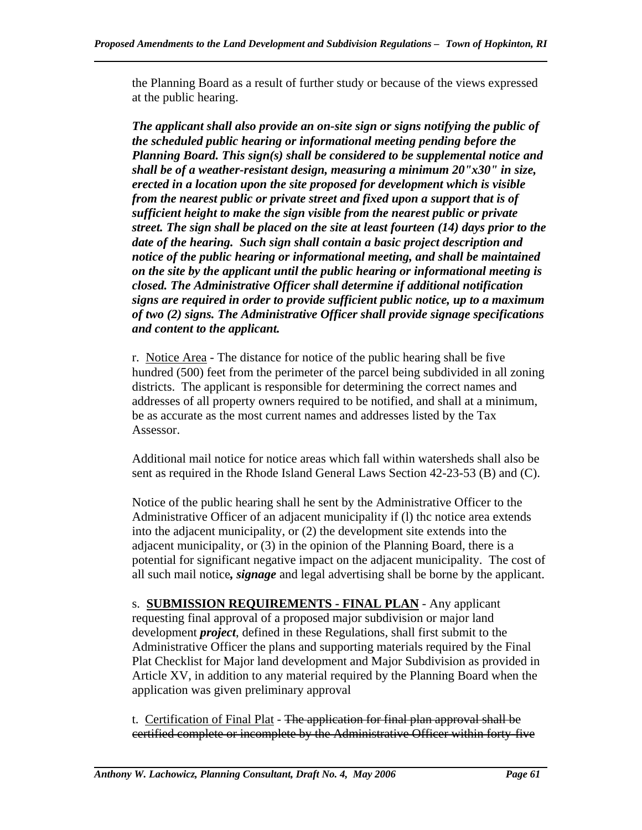the Planning Board as a result of further study or because of the views expressed at the public hearing.

*The applicant shall also provide an on-site sign or signs notifying the public of the scheduled public hearing or informational meeting pending before the Planning Board. This sign(s) shall be considered to be supplemental notice and shall be of a weather-resistant design, measuring a minimum 20"x30" in size, erected in a location upon the site proposed for development which is visible from the nearest public or private street and fixed upon a support that is of sufficient height to make the sign visible from the nearest public or private street. The sign shall be placed on the site at least fourteen (14) days prior to the date of the hearing. Such sign shall contain a basic project description and notice of the public hearing or informational meeting, and shall be maintained on the site by the applicant until the public hearing or informational meeting is closed. The Administrative Officer shall determine if additional notification signs are required in order to provide sufficient public notice, up to a maximum of two (2) signs. The Administrative Officer shall provide signage specifications and content to the applicant.* 

r. Notice Area - The distance for notice of the public hearing shall be five hundred (500) feet from the perimeter of the parcel being subdivided in all zoning districts. The applicant is responsible for determining the correct names and addresses of all property owners required to be notified, and shall at a minimum, be as accurate as the most current names and addresses listed by the Tax Assessor.

Additional mail notice for notice areas which fall within watersheds shall also be sent as required in the Rhode Island General Laws Section 42-23-53 (B) and (C).

Notice of the public hearing shall he sent by the Administrative Officer to the Administrative Officer of an adjacent municipality if (l) thc notice area extends into the adjacent municipality, or (2) the development site extends into the adjacent municipality, or (3) in the opinion of the Planning Board, there is a potential for significant negative impact on the adjacent municipality. The cost of all such mail notice*, signage* and legal advertising shall be borne by the applicant.

s. **SUBMISSION REQUIREMENTS - FINAL PLAN** - Any applicant requesting final approval of a proposed major subdivision or major land development *project*, defined in these Regulations, shall first submit to the Administrative Officer the plans and supporting materials required by the Final Plat Checklist for Major land development and Major Subdivision as provided in Article XV, in addition to any material required by the Planning Board when the application was given preliminary approval

t. Certification of Final Plat - The application for final plan approval shall be certified complete or incomplete by the Administrative Officer within forty-five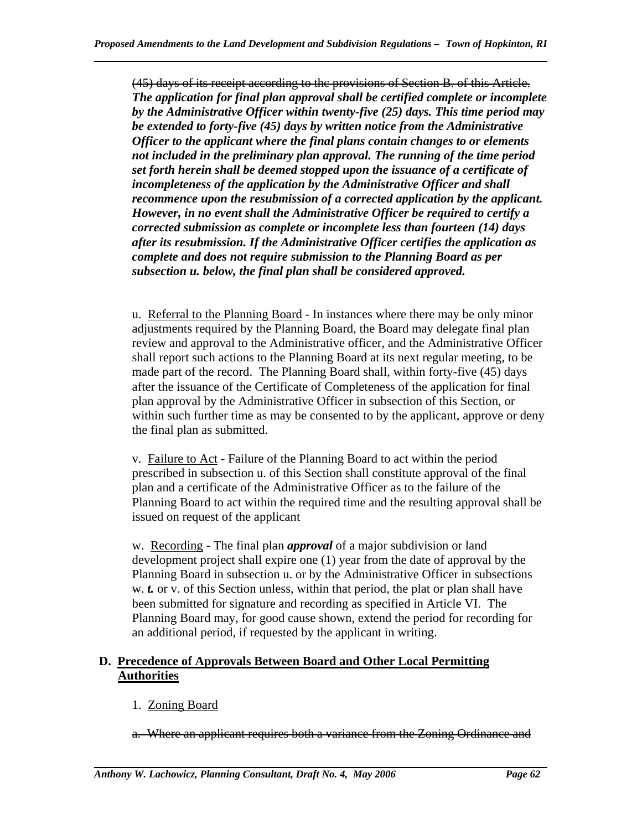(45) days of its receipt according to thc provisions of Section B. of this Article. *The application for final plan approval shall be certified complete or incomplete by the Administrative Officer within twenty-five (25) days. This time period may be extended to forty-five (45) days by written notice from the Administrative Officer to the applicant where the final plans contain changes to or elements not included in the preliminary plan approval. The running of the time period set forth herein shall be deemed stopped upon the issuance of a certificate of incompleteness of the application by the Administrative Officer and shall recommence upon the resubmission of a corrected application by the applicant. However, in no event shall the Administrative Officer be required to certify a corrected submission as complete or incomplete less than fourteen (14) days after its resubmission. If the Administrative Officer certifies the application as complete and does not require submission to the Planning Board as per subsection u. below, the final plan shall be considered approved.* 

u. Referral to the Planning Board - In instances where there may be only minor adjustments required by the Planning Board, the Board may delegate final plan review and approval to the Administrative officer, and the Administrative Officer shall report such actions to the Planning Board at its next regular meeting, to be made part of the record. The Planning Board shall, within forty-five (45) days after the issuance of the Certificate of Completeness of the application for final plan approval by the Administrative Officer in subsection of this Section, or within such further time as may be consented to by the applicant, approve or deny the final plan as submitted.

v. Failure to Act - Failure of the Planning Board to act within the period prescribed in subsection u. of this Section shall constitute approval of the final plan and a certificate of the Administrative Officer as to the failure of the Planning Board to act within the required time and the resulting approval shall be issued on request of the applicant

w. Recording - The final **plan** *approval* of a major subdivision or land development project shall expire one (1) year from the date of approval by the Planning Board in subsection u. or by the Administrative Officer in subsections w. *t.* or v. of this Section unless, within that period, the plat or plan shall have been submitted for signature and recording as specified in Article VI. The Planning Board may, for good cause shown, extend the period for recording for an additional period, if requested by the applicant in writing.

### **D. Precedence of Approvals Between Board and Other Local Permitting Authorities**

1. Zoning Board

a. Where an applicant requires both a variance from the Zoning Ordinance and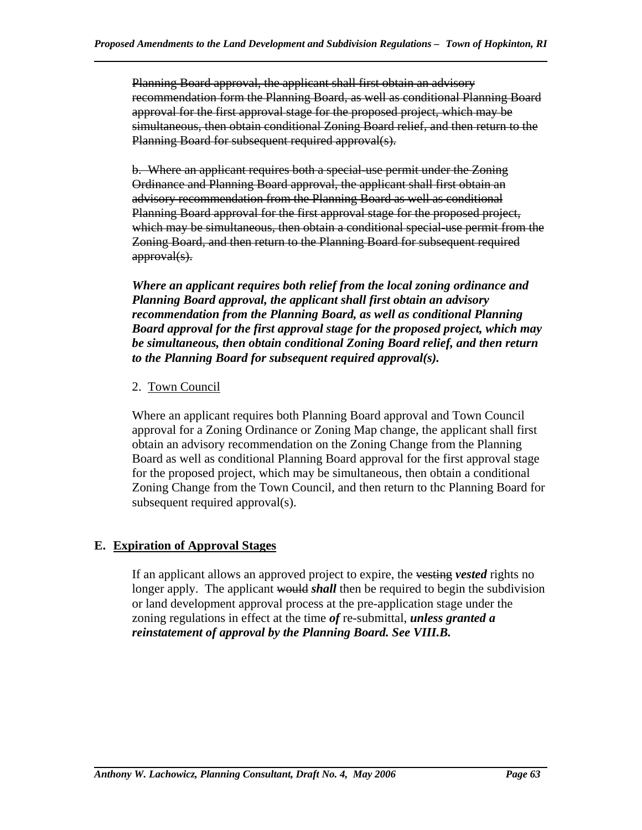Planning Board approval, the applicant shall first obtain an advisory recommendation form the Planning Board, as well as conditional Planning Board approval for the first approval stage for the proposed project, which may be simultaneous, then obtain conditional Zoning Board relief, and then return to the Planning Board for subsequent required approval(s).

b. Where an applicant requires both a special-use permit under the Zoning Ordinance and Planning Board approval, the applicant shall first obtain an advisory recommendation from the Planning Board as well as conditional Planning Board approval for the first approval stage for the proposed project, which may be simultaneous, then obtain a conditional special-use permit from the Zoning Board, and then return to the Planning Board for subsequent required approval(s).

*Where an applicant requires both relief from the local zoning ordinance and Planning Board approval, the applicant shall first obtain an advisory recommendation from the Planning Board, as well as conditional Planning Board approval for the first approval stage for the proposed project, which may be simultaneous, then obtain conditional Zoning Board relief, and then return to the Planning Board for subsequent required approval(s).* 

### 2. Town Council

Where an applicant requires both Planning Board approval and Town Council approval for a Zoning Ordinance or Zoning Map change, the applicant shall first obtain an advisory recommendation on the Zoning Change from the Planning Board as well as conditional Planning Board approval for the first approval stage for the proposed project, which may be simultaneous, then obtain a conditional Zoning Change from the Town Council, and then return to thc Planning Board for subsequent required approval(s).

### **E. Expiration of Approval Stages**

If an applicant allows an approved project to expire, the vesting *vested* rights no longer apply. The applicant would *shall* then be required to begin the subdivision or land development approval process at the pre-application stage under the zoning regulations in effect at the time *of* re-submittal, *unless granted a reinstatement of approval by the Planning Board. See VIII.B.*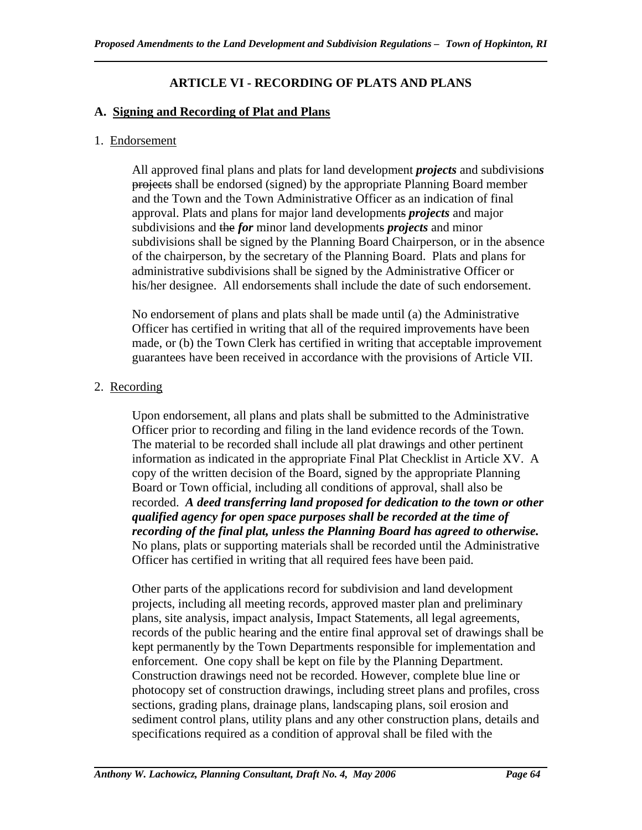### **ARTICLE VI - RECORDING OF PLATS AND PLANS**

#### **A. Signing and Recording of Plat and Plans**

#### 1. Endorsement

All approved final plans and plats for land development *projects* and subdivision*s* projects shall be endorsed (signed) by the appropriate Planning Board member and the Town and the Town Administrative Officer as an indication of final approval. Plats and plans for major land developments *projects* and major subdivisions and the *for* minor land developments *projects* and minor subdivisions shall be signed by the Planning Board Chairperson, or in the absence of the chairperson, by the secretary of the Planning Board. Plats and plans for administrative subdivisions shall be signed by the Administrative Officer or his/her designee. All endorsements shall include the date of such endorsement.

No endorsement of plans and plats shall be made until (a) the Administrative Officer has certified in writing that all of the required improvements have been made, or (b) the Town Clerk has certified in writing that acceptable improvement guarantees have been received in accordance with the provisions of Article VII.

### 2. Recording

Upon endorsement, all plans and plats shall be submitted to the Administrative Officer prior to recording and filing in the land evidence records of the Town. The material to be recorded shall include all plat drawings and other pertinent information as indicated in the appropriate Final Plat Checklist in Article XV. A copy of the written decision of the Board, signed by the appropriate Planning Board or Town official, including all conditions of approval, shall also be recorded. *A deed transferring land proposed for dedication to the town or other qualified agency for open space purposes shall be recorded at the time of recording of the final plat, unless the Planning Board has agreed to otherwise.*  No plans, plats or supporting materials shall be recorded until the Administrative Officer has certified in writing that all required fees have been paid.

Other parts of the applications record for subdivision and land development projects, including all meeting records, approved master plan and preliminary plans, site analysis, impact analysis, Impact Statements, all legal agreements, records of the public hearing and the entire final approval set of drawings shall be kept permanently by the Town Departments responsible for implementation and enforcement. One copy shall be kept on file by the Planning Department. Construction drawings need not be recorded. However, complete blue line or photocopy set of construction drawings, including street plans and profiles, cross sections, grading plans, drainage plans, landscaping plans, soil erosion and sediment control plans, utility plans and any other construction plans, details and specifications required as a condition of approval shall be filed with the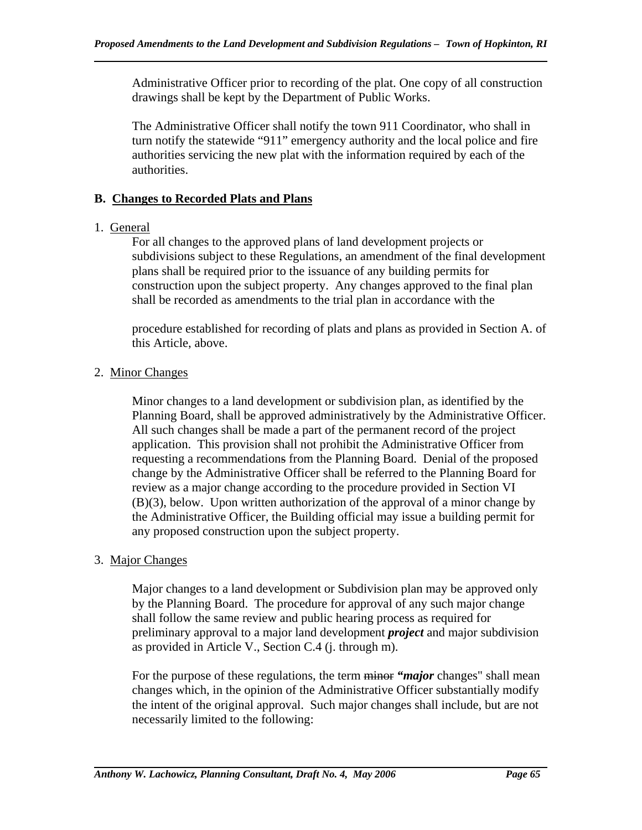Administrative Officer prior to recording of the plat. One copy of all construction drawings shall be kept by the Department of Public Works.

The Administrative Officer shall notify the town 911 Coordinator, who shall in turn notify the statewide "911" emergency authority and the local police and fire authorities servicing the new plat with the information required by each of the authorities.

### **B. Changes to Recorded Plats and Plans**

### 1. General

For all changes to the approved plans of land development projects or subdivisions subject to these Regulations, an amendment of the final development plans shall be required prior to the issuance of any building permits for construction upon the subject property. Any changes approved to the final plan shall be recorded as amendments to the trial plan in accordance with the

procedure established for recording of plats and plans as provided in Section A. of this Article, above.

### 2. Minor Changes

Minor changes to a land development or subdivision plan, as identified by the Planning Board, shall be approved administratively by the Administrative Officer. All such changes shall be made a part of the permanent record of the project application. This provision shall not prohibit the Administrative Officer from requesting a recommendations from the Planning Board. Denial of the proposed change by the Administrative Officer shall be referred to the Planning Board for review as a major change according to the procedure provided in Section VI (B)(3), below. Upon written authorization of the approval of a minor change by the Administrative Officer, the Building official may issue a building permit for any proposed construction upon the subject property.

### 3. Major Changes

Major changes to a land development or Subdivision plan may be approved only by the Planning Board. The procedure for approval of any such major change shall follow the same review and public hearing process as required for preliminary approval to a major land development *project* and major subdivision as provided in Article V., Section C.4 (j. through m).

For the purpose of these regulations, the term minor *"major* changes" shall mean changes which, in the opinion of the Administrative Officer substantially modify the intent of the original approval. Such major changes shall include, but are not necessarily limited to the following: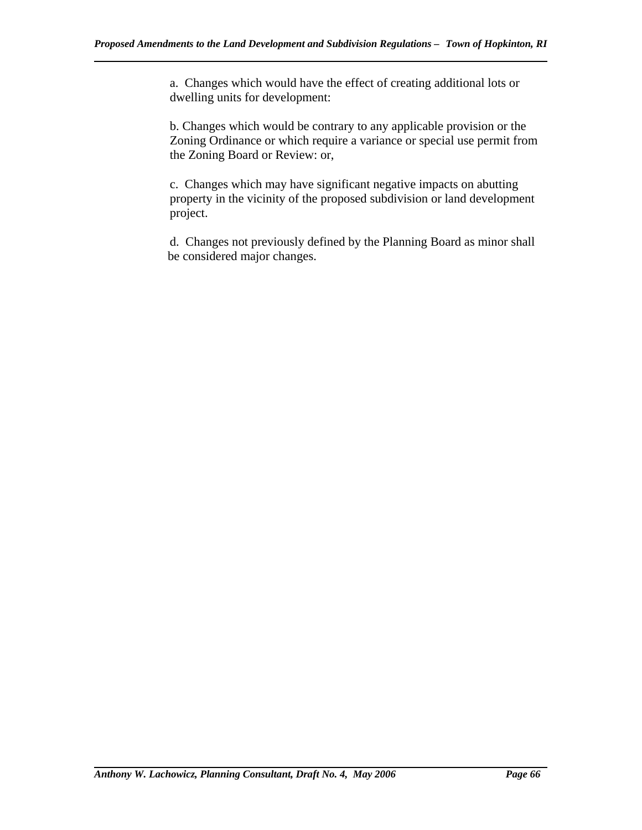a. Changes which would have the effect of creating additional lots or dwelling units for development:

b. Changes which would be contrary to any applicable provision or the Zoning Ordinance or which require a variance or special use permit from the Zoning Board or Review: or,

c. Changes which may have significant negative impacts on abutting property in the vicinity of the proposed subdivision or land development project.

 d. Changes not previously defined by the Planning Board as minor shall be considered major changes.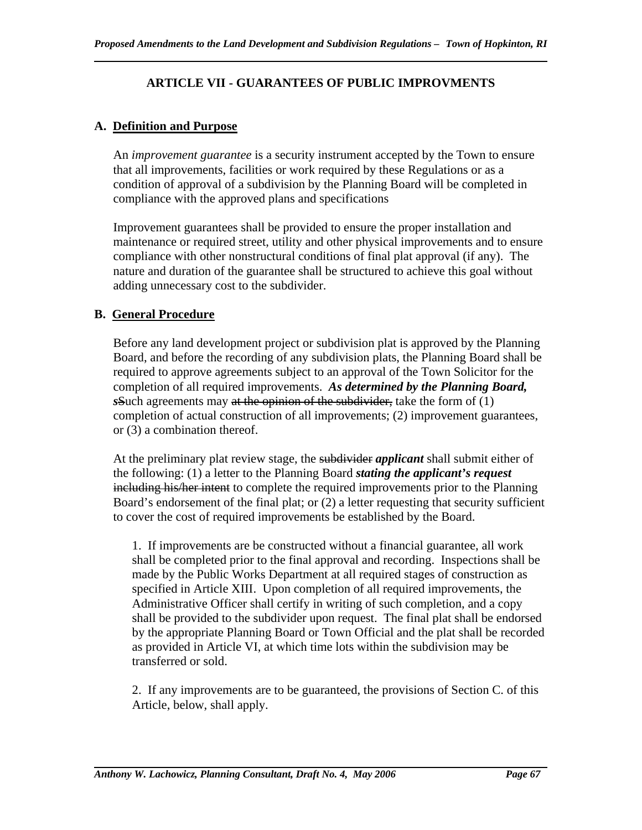# **ARTICLE VII - GUARANTEES OF PUBLIC IMPROVMENTS**

# **A. Definition and Purpose**

 An *improvement guarantee* is a security instrument accepted by the Town to ensure that all improvements, facilities or work required by these Regulations or as a condition of approval of a subdivision by the Planning Board will be completed in compliance with the approved plans and specifications

 Improvement guarantees shall be provided to ensure the proper installation and maintenance or required street, utility and other physical improvements and to ensure compliance with other nonstructural conditions of final plat approval (if any). The nature and duration of the guarantee shall be structured to achieve this goal without adding unnecessary cost to the subdivider.

# **B. General Procedure**

 Before any land development project or subdivision plat is approved by the Planning Board, and before the recording of any subdivision plats, the Planning Board shall be required to approve agreements subject to an approval of the Town Solicitor for the completion of all required improvements. *As determined by the Planning Board, s*Such agreements may at the opinion of the subdivider, take the form of (1) completion of actual construction of all improvements; (2) improvement guarantees, or (3) a combination thereof.

 At the preliminary plat review stage, the subdivider *applicant* shall submit either of the following: (1) a letter to the Planning Board *stating the applicant's request*  including his/her intent to complete the required improvements prior to the Planning Board's endorsement of the final plat; or (2) a letter requesting that security sufficient to cover the cost of required improvements be established by the Board.

 1. If improvements are be constructed without a financial guarantee, all work shall be completed prior to the final approval and recording. Inspections shall be made by the Public Works Department at all required stages of construction as specified in Article XIII. Upon completion of all required improvements, the Administrative Officer shall certify in writing of such completion, and a copy shall be provided to the subdivider upon request. The final plat shall be endorsed by the appropriate Planning Board or Town Official and the plat shall be recorded as provided in Article VI, at which time lots within the subdivision may be transferred or sold.

 2. If any improvements are to be guaranteed, the provisions of Section C. of this Article, below, shall apply.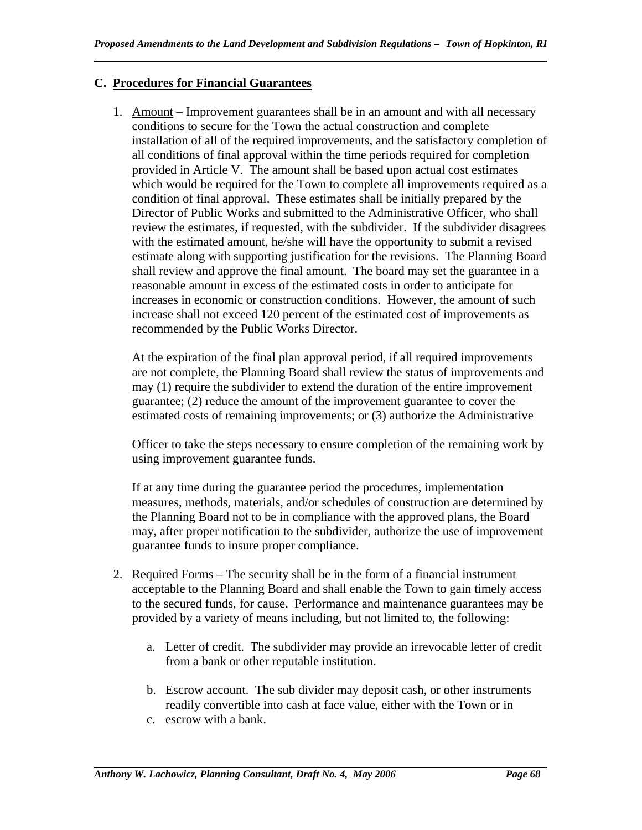# **C. Procedures for Financial Guarantees**

1. Amount – Improvement guarantees shall be in an amount and with all necessary conditions to secure for the Town the actual construction and complete installation of all of the required improvements, and the satisfactory completion of all conditions of final approval within the time periods required for completion provided in Article V. The amount shall be based upon actual cost estimates which would be required for the Town to complete all improvements required as a condition of final approval. These estimates shall be initially prepared by the Director of Public Works and submitted to the Administrative Officer, who shall review the estimates, if requested, with the subdivider. If the subdivider disagrees with the estimated amount, he/she will have the opportunity to submit a revised estimate along with supporting justification for the revisions. The Planning Board shall review and approve the final amount. The board may set the guarantee in a reasonable amount in excess of the estimated costs in order to anticipate for increases in economic or construction conditions. However, the amount of such increase shall not exceed 120 percent of the estimated cost of improvements as recommended by the Public Works Director.

At the expiration of the final plan approval period, if all required improvements are not complete, the Planning Board shall review the status of improvements and may (1) require the subdivider to extend the duration of the entire improvement guarantee; (2) reduce the amount of the improvement guarantee to cover the estimated costs of remaining improvements; or (3) authorize the Administrative

Officer to take the steps necessary to ensure completion of the remaining work by using improvement guarantee funds.

If at any time during the guarantee period the procedures, implementation measures, methods, materials, and/or schedules of construction are determined by the Planning Board not to be in compliance with the approved plans, the Board may, after proper notification to the subdivider, authorize the use of improvement guarantee funds to insure proper compliance.

- 2. Required Forms The security shall be in the form of a financial instrument acceptable to the Planning Board and shall enable the Town to gain timely access to the secured funds, for cause. Performance and maintenance guarantees may be provided by a variety of means including, but not limited to, the following:
	- a. Letter of credit. The subdivider may provide an irrevocable letter of credit from a bank or other reputable institution.
	- b. Escrow account. The sub divider may deposit cash, or other instruments readily convertible into cash at face value, either with the Town or in
	- c. escrow with a bank.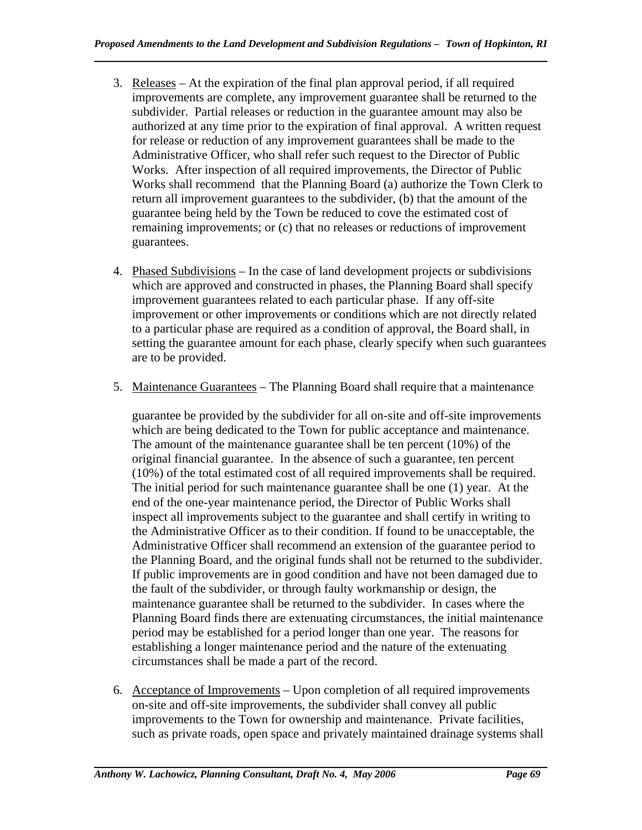- 3. Releases At the expiration of the final plan approval period, if all required improvements are complete, any improvement guarantee shall be returned to the subdivider. Partial releases or reduction in the guarantee amount may also be authorized at any time prior to the expiration of final approval. A written request for release or reduction of any improvement guarantees shall be made to the Administrative Officer, who shall refer such request to the Director of Public Works. After inspection of all required improvements, the Director of Public Works shall recommend that the Planning Board (a) authorize the Town Clerk to return all improvement guarantees to the subdivider, (b) that the amount of the guarantee being held by the Town be reduced to cove the estimated cost of remaining improvements; or (c) that no releases or reductions of improvement guarantees.
- 4. Phased Subdivisions In the case of land development projects or subdivisions which are approved and constructed in phases, the Planning Board shall specify improvement guarantees related to each particular phase. If any off-site improvement or other improvements or conditions which are not directly related to a particular phase are required as a condition of approval, the Board shall, in setting the guarantee amount for each phase, clearly specify when such guarantees are to be provided.
- 5. Maintenance Guarantees The Planning Board shall require that a maintenance

guarantee be provided by the subdivider for all on-site and off-site improvements which are being dedicated to the Town for public acceptance and maintenance. The amount of the maintenance guarantee shall be ten percent (10%) of the original financial guarantee. In the absence of such a guarantee, ten percent (10%) of the total estimated cost of all required improvements shall be required. The initial period for such maintenance guarantee shall be one (1) year. At the end of the one-year maintenance period, the Director of Public Works shall inspect all improvements subject to the guarantee and shall certify in writing to the Administrative Officer as to their condition. If found to be unacceptable, the Administrative Officer shall recommend an extension of the guarantee period to the Planning Board, and the original funds shall not be returned to the subdivider. If public improvements are in good condition and have not been damaged due to the fault of the subdivider, or through faulty workmanship or design, the maintenance guarantee shall be returned to the subdivider. In cases where the Planning Board finds there are extenuating circumstances, the initial maintenance period may be established for a period longer than one year. The reasons for establishing a longer maintenance period and the nature of the extenuating circumstances shall be made a part of the record.

6. Acceptance of Improvements – Upon completion of all required improvements on-site and off-site improvements, the subdivider shall convey all public improvements to the Town for ownership and maintenance. Private facilities, such as private roads, open space and privately maintained drainage systems shall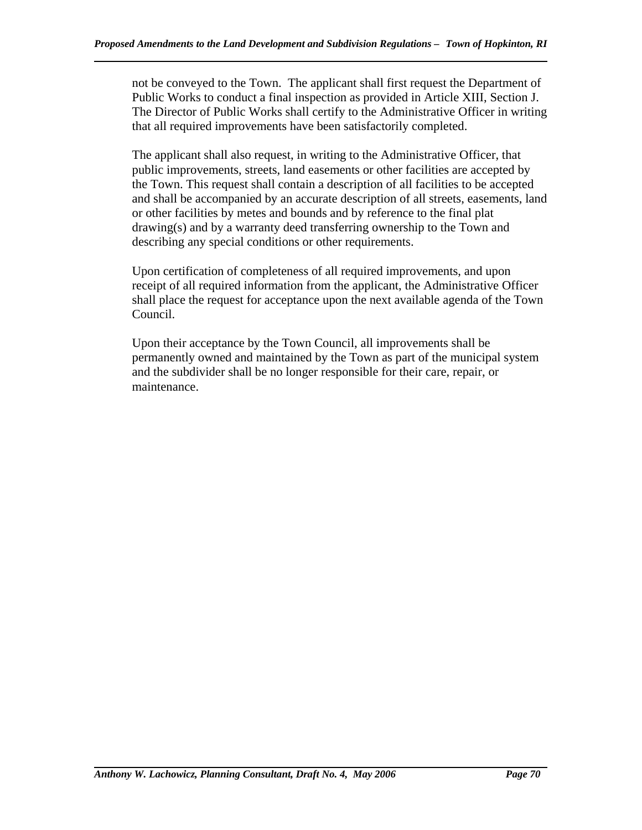not be conveyed to the Town. The applicant shall first request the Department of Public Works to conduct a final inspection as provided in Article XIII, Section J. The Director of Public Works shall certify to the Administrative Officer in writing that all required improvements have been satisfactorily completed.

The applicant shall also request, in writing to the Administrative Officer, that public improvements, streets, land easements or other facilities are accepted by the Town. This request shall contain a description of all facilities to be accepted and shall be accompanied by an accurate description of all streets, easements, land or other facilities by metes and bounds and by reference to the final plat drawing(s) and by a warranty deed transferring ownership to the Town and describing any special conditions or other requirements.

Upon certification of completeness of all required improvements, and upon receipt of all required information from the applicant, the Administrative Officer shall place the request for acceptance upon the next available agenda of the Town Council.

Upon their acceptance by the Town Council, all improvements shall be permanently owned and maintained by the Town as part of the municipal system and the subdivider shall be no longer responsible for their care, repair, or maintenance.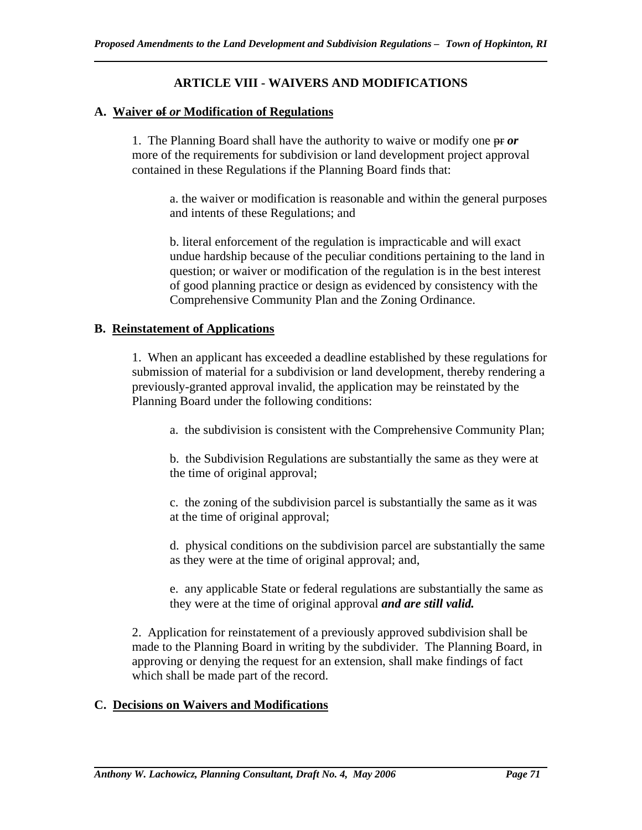# **ARTICLE VIII - WAIVERS AND MODIFICATIONS**

### **A. Waiver of** *or* **Modification of Regulations**

1. The Planning Board shall have the authority to waive or modify one pr *or*  more of the requirements for subdivision or land development project approval contained in these Regulations if the Planning Board finds that:

a. the waiver or modification is reasonable and within the general purposes and intents of these Regulations; and

b. literal enforcement of the regulation is impracticable and will exact undue hardship because of the peculiar conditions pertaining to the land in question; or waiver or modification of the regulation is in the best interest of good planning practice or design as evidenced by consistency with the Comprehensive Community Plan and the Zoning Ordinance.

### **B. Reinstatement of Applications**

1. When an applicant has exceeded a deadline established by these regulations for submission of material for a subdivision or land development, thereby rendering a previously-granted approval invalid, the application may be reinstated by the Planning Board under the following conditions:

a. the subdivision is consistent with the Comprehensive Community Plan;

b. the Subdivision Regulations are substantially the same as they were at the time of original approval;

c. the zoning of the subdivision parcel is substantially the same as it was at the time of original approval;

d. physical conditions on the subdivision parcel are substantially the same as they were at the time of original approval; and,

e. any applicable State or federal regulations are substantially the same as they were at the time of original approval *and are still valid.* 

2. Application for reinstatement of a previously approved subdivision shall be made to the Planning Board in writing by the subdivider. The Planning Board, in approving or denying the request for an extension, shall make findings of fact which shall be made part of the record.

# **C. Decisions on Waivers and Modifications**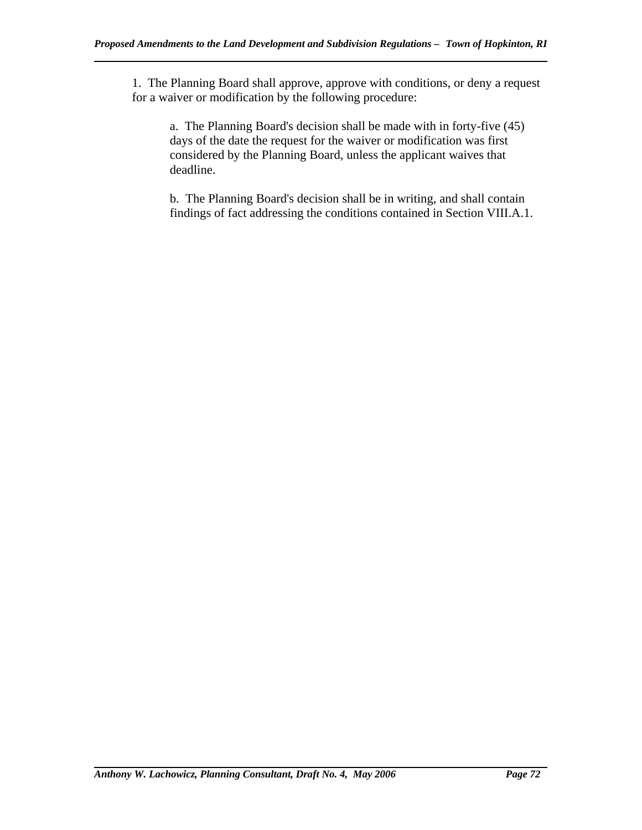1. The Planning Board shall approve, approve with conditions, or deny a request for a waiver or modification by the following procedure:

a. The Planning Board's decision shall be made with in forty-five (45) days of the date the request for the waiver or modification was first considered by the Planning Board, unless the applicant waives that deadline.

b. The Planning Board's decision shall be in writing, and shall contain findings of fact addressing the conditions contained in Section VIII.A.1.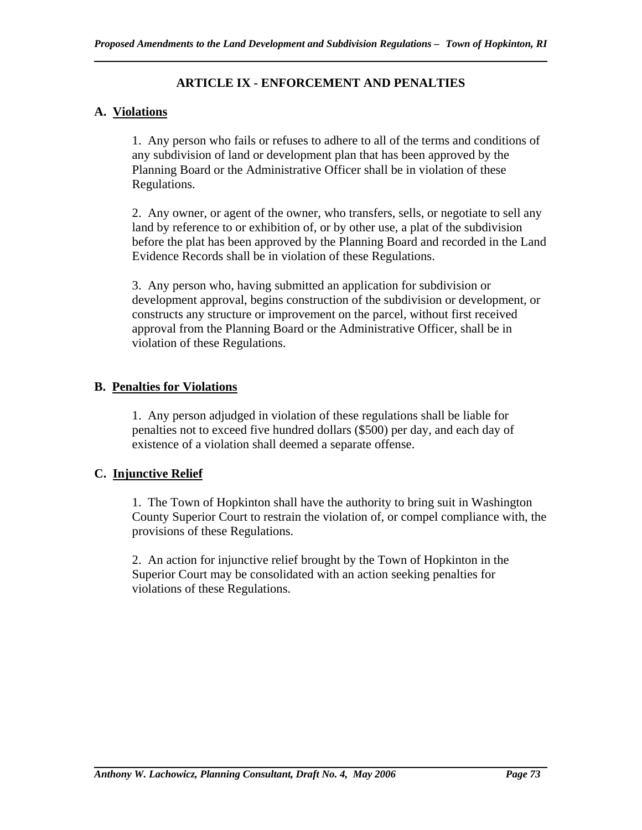# **ARTICLE IX - ENFORCEMENT AND PENALTIES**

# **A. Violations**

1. Any person who fails or refuses to adhere to all of the terms and conditions of any subdivision of land or development plan that has been approved by the Planning Board or the Administrative Officer shall be in violation of these Regulations.

2. Any owner, or agent of the owner, who transfers, sells, or negotiate to sell any land by reference to or exhibition of, or by other use, a plat of the subdivision before the plat has been approved by the Planning Board and recorded in the Land Evidence Records shall be in violation of these Regulations.

3. Any person who, having submitted an application for subdivision or development approval, begins construction of the subdivision or development, or constructs any structure or improvement on the parcel, without first received approval from the Planning Board or the Administrative Officer, shall be in violation of these Regulations.

# **B. Penalties for Violations**

1. Any person adjudged in violation of these regulations shall be liable for penalties not to exceed five hundred dollars (\$500) per day, and each day of existence of a violation shall deemed a separate offense.

# **C. Injunctive Relief**

1. The Town of Hopkinton shall have the authority to bring suit in Washington County Superior Court to restrain the violation of, or compel compliance with, the provisions of these Regulations.

2. An action for injunctive relief brought by the Town of Hopkinton in the Superior Court may be consolidated with an action seeking penalties for violations of these Regulations.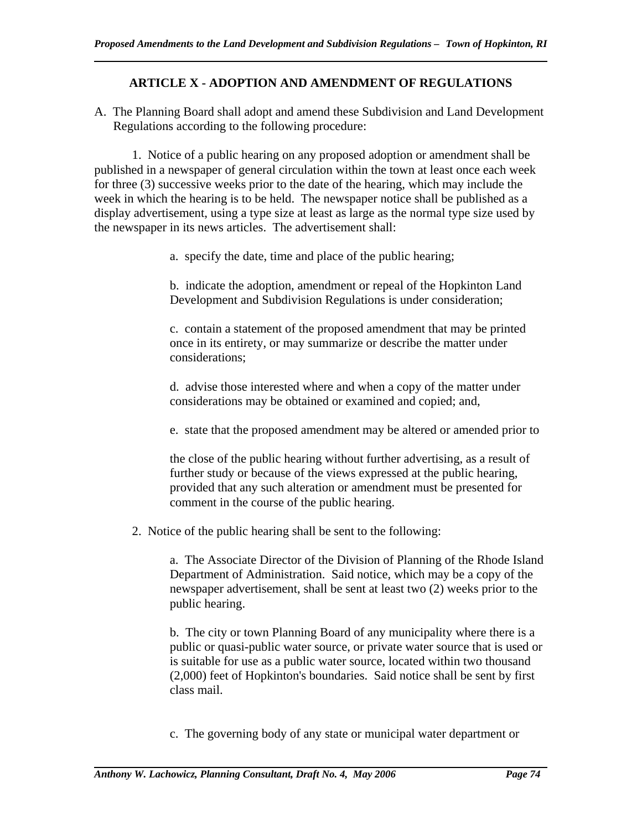# **ARTICLE X - ADOPTION AND AMENDMENT OF REGULATIONS**

A. The Planning Board shall adopt and amend these Subdivision and Land Development Regulations according to the following procedure:

 1. Notice of a public hearing on any proposed adoption or amendment shall be published in a newspaper of general circulation within the town at least once each week for three (3) successive weeks prior to the date of the hearing, which may include the week in which the hearing is to be held. The newspaper notice shall be published as a display advertisement, using a type size at least as large as the normal type size used by the newspaper in its news articles. The advertisement shall:

a. specify the date, time and place of the public hearing;

b. indicate the adoption, amendment or repeal of the Hopkinton Land Development and Subdivision Regulations is under consideration;

c. contain a statement of the proposed amendment that may be printed once in its entirety, or may summarize or describe the matter under considerations;

d. advise those interested where and when a copy of the matter under considerations may be obtained or examined and copied; and,

e. state that the proposed amendment may be altered or amended prior to

the close of the public hearing without further advertising, as a result of further study or because of the views expressed at the public hearing, provided that any such alteration or amendment must be presented for comment in the course of the public hearing.

2. Notice of the public hearing shall be sent to the following:

a. The Associate Director of the Division of Planning of the Rhode Island Department of Administration. Said notice, which may be a copy of the newspaper advertisement, shall be sent at least two (2) weeks prior to the public hearing.

b. The city or town Planning Board of any municipality where there is a public or quasi-public water source, or private water source that is used or is suitable for use as a public water source, located within two thousand (2,000) feet of Hopkinton's boundaries. Said notice shall be sent by first class mail.

c. The governing body of any state or municipal water department or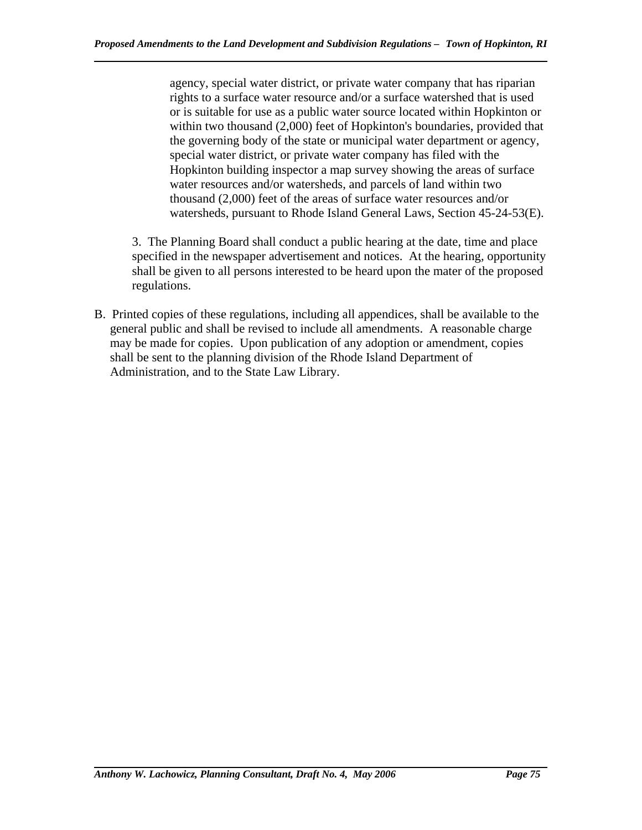agency, special water district, or private water company that has riparian rights to a surface water resource and/or a surface watershed that is used or is suitable for use as a public water source located within Hopkinton or within two thousand (2,000) feet of Hopkinton's boundaries, provided that the governing body of the state or municipal water department or agency, special water district, or private water company has filed with the Hopkinton building inspector a map survey showing the areas of surface water resources and/or watersheds, and parcels of land within two thousand (2,000) feet of the areas of surface water resources and/or watersheds, pursuant to Rhode Island General Laws, Section 45-24-53(E).

3. The Planning Board shall conduct a public hearing at the date, time and place specified in the newspaper advertisement and notices. At the hearing, opportunity shall be given to all persons interested to be heard upon the mater of the proposed regulations.

B. Printed copies of these regulations, including all appendices, shall be available to the general public and shall be revised to include all amendments. A reasonable charge may be made for copies. Upon publication of any adoption or amendment, copies shall be sent to the planning division of the Rhode Island Department of Administration, and to the State Law Library.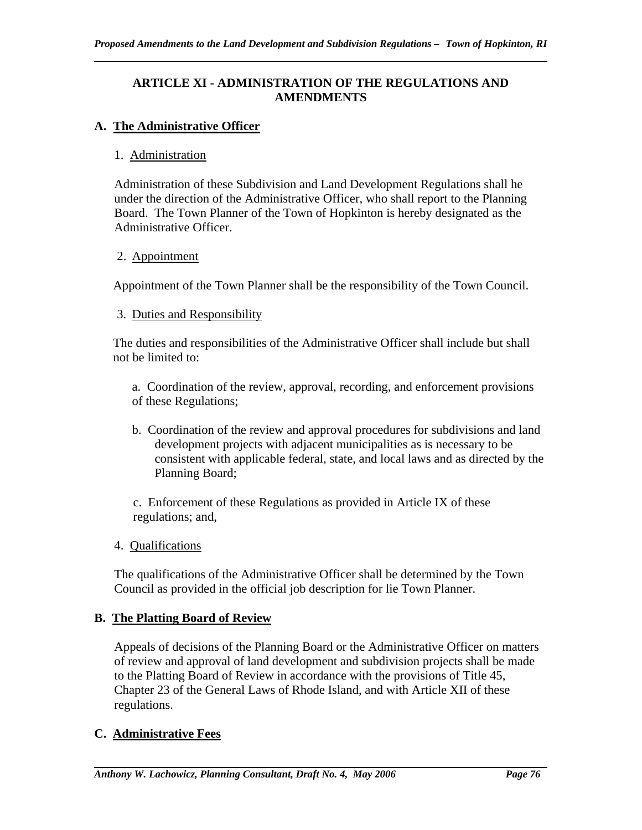# **ARTICLE XI - ADMINISTRATION OF THE REGULATIONS AND AMENDMENTS**

# **A. The Administrative Officer**

## 1. Administration

Administration of these Subdivision and Land Development Regulations shall he under the direction of the Administrative Officer, who shall report to the Planning Board. The Town Planner of the Town of Hopkinton is hereby designated as the Administrative Officer.

## 2. Appointment

Appointment of the Town Planner shall be the responsibility of the Town Council.

#### 3. Duties and Responsibility

The duties and responsibilities of the Administrative Officer shall include but shall not be limited to:

a. Coordination of the review, approval, recording, and enforcement provisions of these Regulations;

b. Coordination of the review and approval procedures for subdivisions and land development projects with adjacent municipalities as is necessary to be consistent with applicable federal, state, and local laws and as directed by the Planning Board;

c. Enforcement of these Regulations as provided in Article IX of these regulations; and,

## 4. Qualifications

The qualifications of the Administrative Officer shall be determined by the Town Council as provided in the official job description for lie Town Planner.

## **B. The Platting Board of Review**

Appeals of decisions of the Planning Board or the Administrative Officer on matters of review and approval of land development and subdivision projects shall be made to the Platting Board of Review in accordance with the provisions of Title 45, Chapter 23 of the General Laws of Rhode Island, and with Article XII of these regulations.

## **C. Administrative Fees**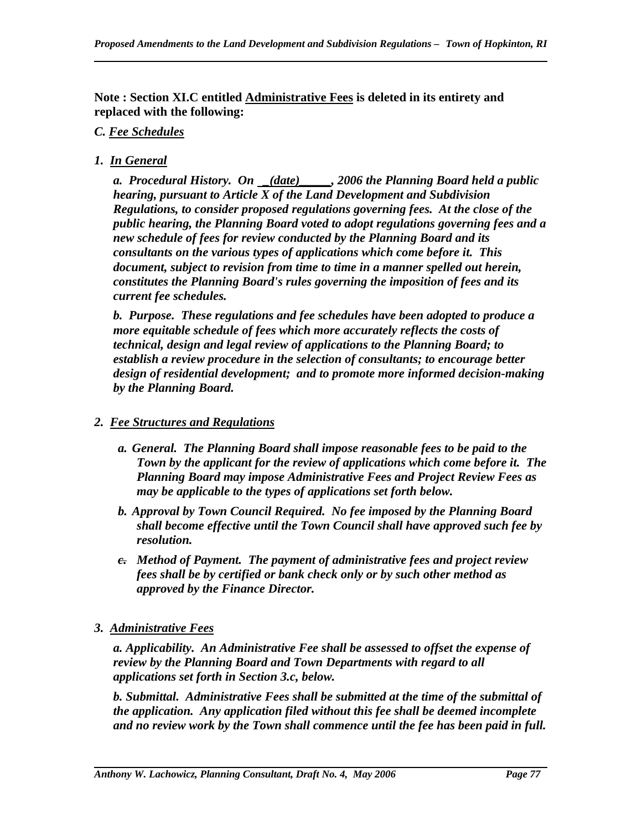**Note : Section XI.C entitled Administrative Fees is deleted in its entirety and replaced with the following:** 

# *C. Fee Schedules*

*1. In General*

*a. Procedural History. On \_(date)\_\_\_\_\_, 2006 the Planning Board held a public hearing, pursuant to Article X of the Land Development and Subdivision Regulations, to consider proposed regulations governing fees. At the close of the public hearing, the Planning Board voted to adopt regulations governing fees and a new schedule of fees for review conducted by the Planning Board and its consultants on the various types of applications which come before it. This document, subject to revision from time to time in a manner spelled out herein, constitutes the Planning Board's rules governing the imposition of fees and its current fee schedules.* 

*b. Purpose. These regulations and fee schedules have been adopted to produce a more equitable schedule of fees which more accurately reflects the costs of technical, design and legal review of applications to the Planning Board; to establish a review procedure in the selection of consultants; to encourage better design of residential development; and to promote more informed decision-making by the Planning Board.* 

# *2. Fee Structures and Regulations*

- *a. General. The Planning Board shall impose reasonable fees to be paid to the Town by the applicant for the review of applications which come before it. The Planning Board may impose Administrative Fees and Project Review Fees as may be applicable to the types of applications set forth below.*
- *b. Approval by Town Council Required. No fee imposed by the Planning Board shall become effective until the Town Council shall have approved such fee by resolution.*
- *c. Method of Payment. The payment of administrative fees and project review fees shall be by certified or bank check only or by such other method as approved by the Finance Director.*
- *3. Administrative Fees*

*a. Applicability. An Administrative Fee shall be assessed to offset the expense of review by the Planning Board and Town Departments with regard to all applications set forth in Section 3.c, below.* 

*b. Submittal. Administrative Fees shall be submitted at the time of the submittal of the application. Any application filed without this fee shall be deemed incomplete and no review work by the Town shall commence until the fee has been paid in full.*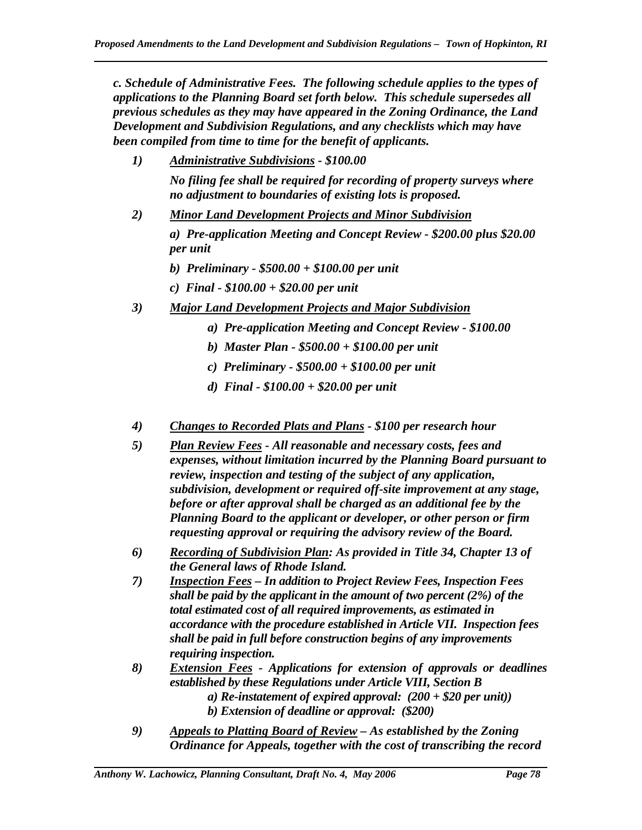*c. Schedule of Administrative Fees. The following schedule applies to the types of applications to the Planning Board set forth below. This schedule supersedes all previous schedules as they may have appeared in the Zoning Ordinance, the Land Development and Subdivision Regulations, and any checklists which may have been compiled from time to time for the benefit of applicants.* 

- *1) Administrative Subdivisions \$100.00 No filing fee shall be required for recording of property surveys where no adjustment to boundaries of existing lots is proposed.*
- *2) Minor Land Development Projects and Minor Subdivision a) Pre-application Meeting and Concept Review - \$200.00 plus \$20.00 per unit b) Preliminary - \$500.00 + \$100.00 per unit* 
	- *c) Final \$100.00 + \$20.00 per unit*

- *3) Major Land Development Projects and Major Subdivision*
	- *a) Pre-application Meeting and Concept Review \$100.00*
	- *b) Master Plan \$500.00 + \$100.00 per unit*
	- *c) Preliminary \$500.00 + \$100.00 per unit*
	- *d) Final \$100.00 + \$20.00 per unit*
- *4) Changes to Recorded Plats and Plans \$100 per research hour*
- *5) Plan Review Fees All reasonable and necessary costs, fees and expenses, without limitation incurred by the Planning Board pursuant to review, inspection and testing of the subject of any application, subdivision, development or required off-site improvement at any stage, before or after approval shall be charged as an additional fee by the Planning Board to the applicant or developer, or other person or firm requesting approval or requiring the advisory review of the Board.*
- *6) Recording of Subdivision Plan: As provided in Title 34, Chapter 13 of the General laws of Rhode Island.*
- *7) Inspection Fees In addition to Project Review Fees, Inspection Fees shall be paid by the applicant in the amount of two percent (2%) of the total estimated cost of all required improvements, as estimated in accordance with the procedure established in Article VII. Inspection fees shall be paid in full before construction begins of any improvements requiring inspection.*
- *8) Extension Fees Applications for extension of approvals or deadlines established by these Regulations under Article VIII, Section B a) Re-instatement of expired approval: (200 + \$20 per unit)) b) Extension of deadline or approval: (\$200)*
- *9) Appeals to Platting Board of Review As established by the Zoning Ordinance for Appeals, together with the cost of transcribing the record*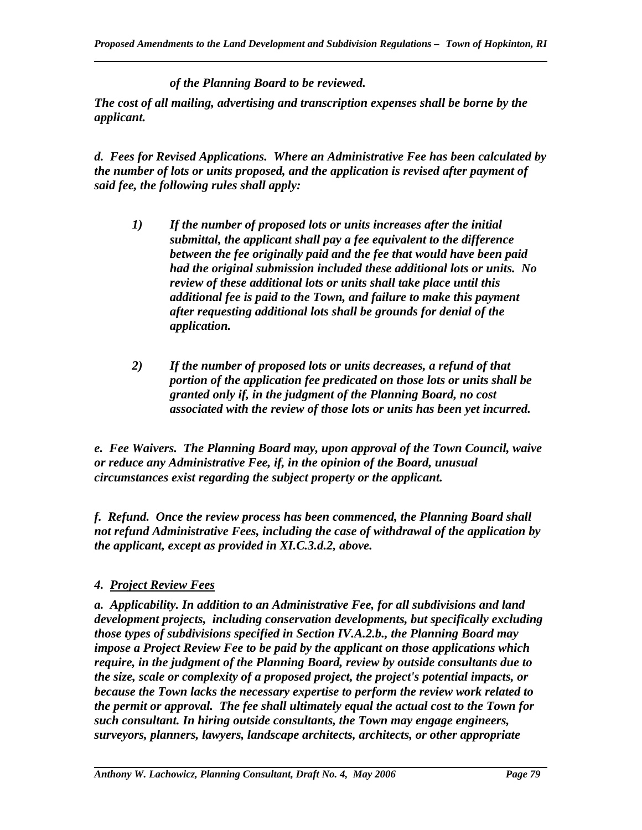*of the Planning Board to be reviewed.* 

*The cost of all mailing, advertising and transcription expenses shall be borne by the applicant.* 

*d. Fees for Revised Applications. Where an Administrative Fee has been calculated by the number of lots or units proposed, and the application is revised after payment of said fee, the following rules shall apply:* 

- *1) If the number of proposed lots or units increases after the initial submittal, the applicant shall pay a fee equivalent to the difference between the fee originally paid and the fee that would have been paid had the original submission included these additional lots or units. No review of these additional lots or units shall take place until this additional fee is paid to the Town, and failure to make this payment after requesting additional lots shall be grounds for denial of the application.*
- *2) If the number of proposed lots or units decreases, a refund of that portion of the application fee predicated on those lots or units shall be granted only if, in the judgment of the Planning Board, no cost associated with the review of those lots or units has been yet incurred.*

*e. Fee Waivers. The Planning Board may, upon approval of the Town Council, waive or reduce any Administrative Fee, if, in the opinion of the Board, unusual circumstances exist regarding the subject property or the applicant.* 

*f. Refund. Once the review process has been commenced, the Planning Board shall not refund Administrative Fees, including the case of withdrawal of the application by the applicant, except as provided in XI.C.3.d.2, above.* 

## *4. Project Review Fees*

*a. Applicability. In addition to an Administrative Fee, for all subdivisions and land development projects, including conservation developments, but specifically excluding those types of subdivisions specified in Section IV.A.2.b., the Planning Board may impose a Project Review Fee to be paid by the applicant on those applications which require, in the judgment of the Planning Board, review by outside consultants due to the size, scale or complexity of a proposed project, the project's potential impacts, or because the Town lacks the necessary expertise to perform the review work related to the permit or approval. The fee shall ultimately equal the actual cost to the Town for such consultant. In hiring outside consultants, the Town may engage engineers, surveyors, planners, lawyers, landscape architects, architects, or other appropriate*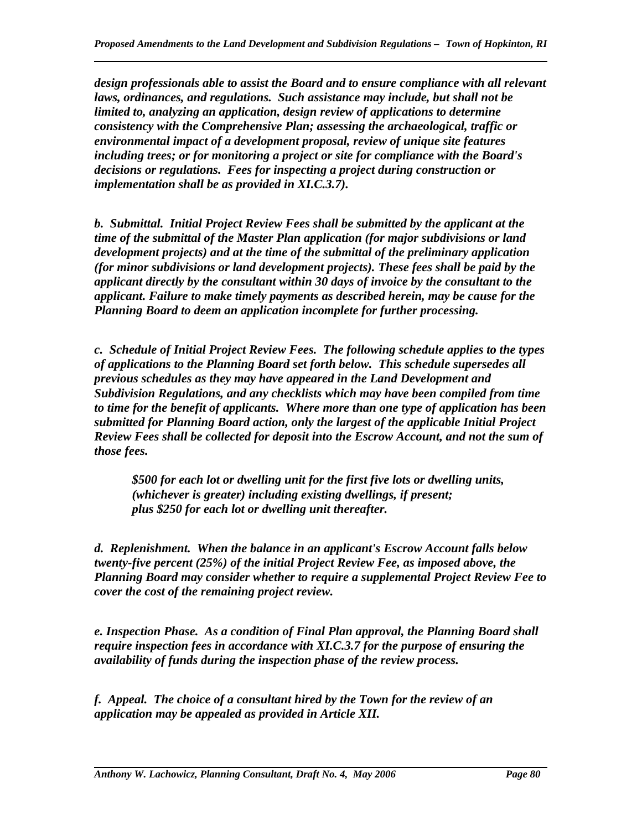*design professionals able to assist the Board and to ensure compliance with all relevant laws, ordinances, and regulations. Such assistance may include, but shall not be limited to, analyzing an application, design review of applications to determine consistency with the Comprehensive Plan; assessing the archaeological, traffic or environmental impact of a development proposal, review of unique site features including trees; or for monitoring a project or site for compliance with the Board's decisions or regulations. Fees for inspecting a project during construction or implementation shall be as provided in XI.C.3.7).* 

*b. Submittal. Initial Project Review Fees shall be submitted by the applicant at the time of the submittal of the Master Plan application (for major subdivisions or land development projects) and at the time of the submittal of the preliminary application (for minor subdivisions or land development projects). These fees shall be paid by the applicant directly by the consultant within 30 days of invoice by the consultant to the applicant. Failure to make timely payments as described herein, may be cause for the Planning Board to deem an application incomplete for further processing.* 

*c. Schedule of Initial Project Review Fees. The following schedule applies to the types of applications to the Planning Board set forth below. This schedule supersedes all previous schedules as they may have appeared in the Land Development and Subdivision Regulations, and any checklists which may have been compiled from time to time for the benefit of applicants. Where more than one type of application has been submitted for Planning Board action, only the largest of the applicable Initial Project Review Fees shall be collected for deposit into the Escrow Account, and not the sum of those fees.* 

*\$500 for each lot or dwelling unit for the first five lots or dwelling units, (whichever is greater) including existing dwellings, if present; plus \$250 for each lot or dwelling unit thereafter.* 

*d. Replenishment. When the balance in an applicant's Escrow Account falls below twenty-five percent (25%) of the initial Project Review Fee, as imposed above, the Planning Board may consider whether to require a supplemental Project Review Fee to cover the cost of the remaining project review.* 

*e. Inspection Phase. As a condition of Final Plan approval, the Planning Board shall require inspection fees in accordance with XI.C.3.7 for the purpose of ensuring the availability of funds during the inspection phase of the review process.* 

*f. Appeal. The choice of a consultant hired by the Town for the review of an application may be appealed as provided in Article XII.*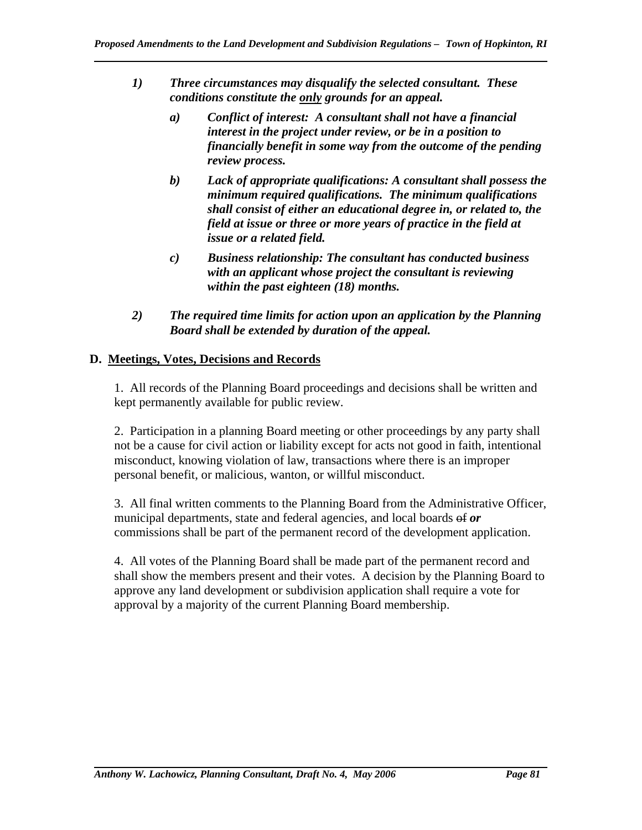- *1) Three circumstances may disqualify the selected consultant. These conditions constitute the only grounds for an appeal.* 
	- *a) Conflict of interest: A consultant shall not have a financial interest in the project under review, or be in a position to financially benefit in some way from the outcome of the pending review process.*
	- *b) Lack of appropriate qualifications: A consultant shall possess the minimum required qualifications. The minimum qualifications shall consist of either an educational degree in, or related to, the field at issue or three or more years of practice in the field at issue or a related field.*
	- *c) Business relationship: The consultant has conducted business with an applicant whose project the consultant is reviewing within the past eighteen (18) months.*
- *2) The required time limits for action upon an application by the Planning Board shall be extended by duration of the appeal.*

# **D. Meetings, Votes, Decisions and Records**

1. All records of the Planning Board proceedings and decisions shall be written and kept permanently available for public review.

2. Participation in a planning Board meeting or other proceedings by any party shall not be a cause for civil action or liability except for acts not good in faith, intentional misconduct, knowing violation of law, transactions where there is an improper personal benefit, or malicious, wanton, or willful misconduct.

3. All final written comments to the Planning Board from the Administrative Officer, municipal departments, state and federal agencies, and local boards of or commissions shall be part of the permanent record of the development application.

4. All votes of the Planning Board shall be made part of the permanent record and shall show the members present and their votes. A decision by the Planning Board to approve any land development or subdivision application shall require a vote for approval by a majority of the current Planning Board membership.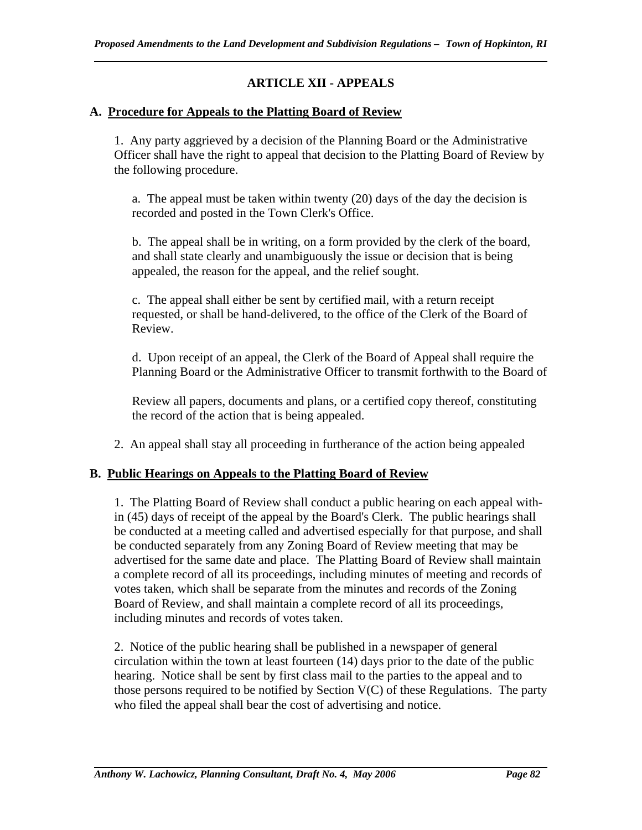# **ARTICLE XII - APPEALS**

## **A. Procedure for Appeals to the Platting Board of Review**

1. Any party aggrieved by a decision of the Planning Board or the Administrative Officer shall have the right to appeal that decision to the Platting Board of Review by the following procedure.

a. The appeal must be taken within twenty (20) days of the day the decision is recorded and posted in the Town Clerk's Office.

b. The appeal shall be in writing, on a form provided by the clerk of the board, and shall state clearly and unambiguously the issue or decision that is being appealed, the reason for the appeal, and the relief sought.

c. The appeal shall either be sent by certified mail, with a return receipt requested, or shall be hand-delivered, to the office of the Clerk of the Board of Review.

d. Upon receipt of an appeal, the Clerk of the Board of Appeal shall require the Planning Board or the Administrative Officer to transmit forthwith to the Board of

Review all papers, documents and plans, or a certified copy thereof, constituting the record of the action that is being appealed.

2. An appeal shall stay all proceeding in furtherance of the action being appealed

# **B. Public Hearings on Appeals to the Platting Board of Review**

1. The Platting Board of Review shall conduct a public hearing on each appeal within (45) days of receipt of the appeal by the Board's Clerk. The public hearings shall be conducted at a meeting called and advertised especially for that purpose, and shall be conducted separately from any Zoning Board of Review meeting that may be advertised for the same date and place. The Platting Board of Review shall maintain a complete record of all its proceedings, including minutes of meeting and records of votes taken, which shall be separate from the minutes and records of the Zoning Board of Review, and shall maintain a complete record of all its proceedings, including minutes and records of votes taken.

2. Notice of the public hearing shall be published in a newspaper of general circulation within the town at least fourteen (14) days prior to the date of the public hearing. Notice shall be sent by first class mail to the parties to the appeal and to those persons required to be notified by Section  $V(C)$  of these Regulations. The party who filed the appeal shall bear the cost of advertising and notice.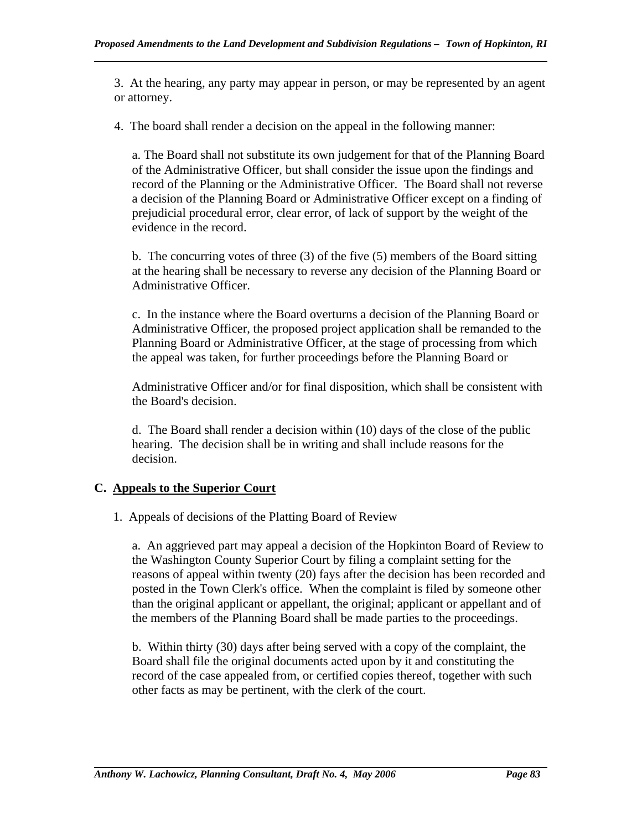3. At the hearing, any party may appear in person, or may be represented by an agent or attorney.

4. The board shall render a decision on the appeal in the following manner:

a. The Board shall not substitute its own judgement for that of the Planning Board of the Administrative Officer, but shall consider the issue upon the findings and record of the Planning or the Administrative Officer. The Board shall not reverse a decision of the Planning Board or Administrative Officer except on a finding of prejudicial procedural error, clear error, of lack of support by the weight of the evidence in the record.

b. The concurring votes of three (3) of the five (5) members of the Board sitting at the hearing shall be necessary to reverse any decision of the Planning Board or Administrative Officer.

c. In the instance where the Board overturns a decision of the Planning Board or Administrative Officer, the proposed project application shall be remanded to the Planning Board or Administrative Officer, at the stage of processing from which the appeal was taken, for further proceedings before the Planning Board or

Administrative Officer and/or for final disposition, which shall be consistent with the Board's decision.

d. The Board shall render a decision within (10) days of the close of the public hearing. The decision shall be in writing and shall include reasons for the decision.

# **C. Appeals to the Superior Court**

1. Appeals of decisions of the Platting Board of Review

a. An aggrieved part may appeal a decision of the Hopkinton Board of Review to the Washington County Superior Court by filing a complaint setting for the reasons of appeal within twenty (20) fays after the decision has been recorded and posted in the Town Clerk's office. When the complaint is filed by someone other than the original applicant or appellant, the original; applicant or appellant and of the members of the Planning Board shall be made parties to the proceedings.

b. Within thirty (30) days after being served with a copy of the complaint, the Board shall file the original documents acted upon by it and constituting the record of the case appealed from, or certified copies thereof, together with such other facts as may be pertinent, with the clerk of the court.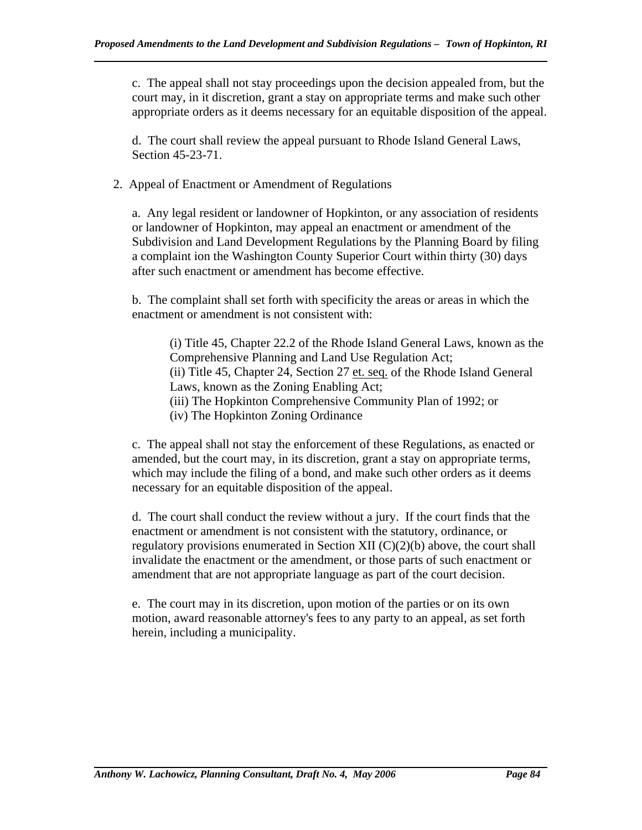c. The appeal shall not stay proceedings upon the decision appealed from, but the court may, in it discretion, grant a stay on appropriate terms and make such other appropriate orders as it deems necessary for an equitable disposition of the appeal.

d. The court shall review the appeal pursuant to Rhode Island General Laws, Section 45-23-71.

2. Appeal of Enactment or Amendment of Regulations

a. Any legal resident or landowner of Hopkinton, or any association of residents or landowner of Hopkinton, may appeal an enactment or amendment of the Subdivision and Land Development Regulations by the Planning Board by filing a complaint ion the Washington County Superior Court within thirty (30) days after such enactment or amendment has become effective.

b. The complaint shall set forth with specificity the areas or areas in which the enactment or amendment is not consistent with:

(i) Title 45, Chapter 22.2 of the Rhode Island General Laws, known as the Comprehensive Planning and Land Use Regulation Act; (ii) Title 45, Chapter 24, Section 27 et. seq. of the Rhode Island General Laws, known as the Zoning Enabling Act; (iii) The Hopkinton Comprehensive Community Plan of 1992; or (iv) The Hopkinton Zoning Ordinance

c. The appeal shall not stay the enforcement of these Regulations, as enacted or amended, but the court may, in its discretion, grant a stay on appropriate terms, which may include the filing of a bond, and make such other orders as it deems necessary for an equitable disposition of the appeal.

d. The court shall conduct the review without a jury. If the court finds that the enactment or amendment is not consistent with the statutory, ordinance, or regulatory provisions enumerated in Section XII (C)(2)(b) above, the court shall invalidate the enactment or the amendment, or those parts of such enactment or amendment that are not appropriate language as part of the court decision.

e. The court may in its discretion, upon motion of the parties or on its own motion, award reasonable attorney's fees to any party to an appeal, as set forth herein, including a municipality.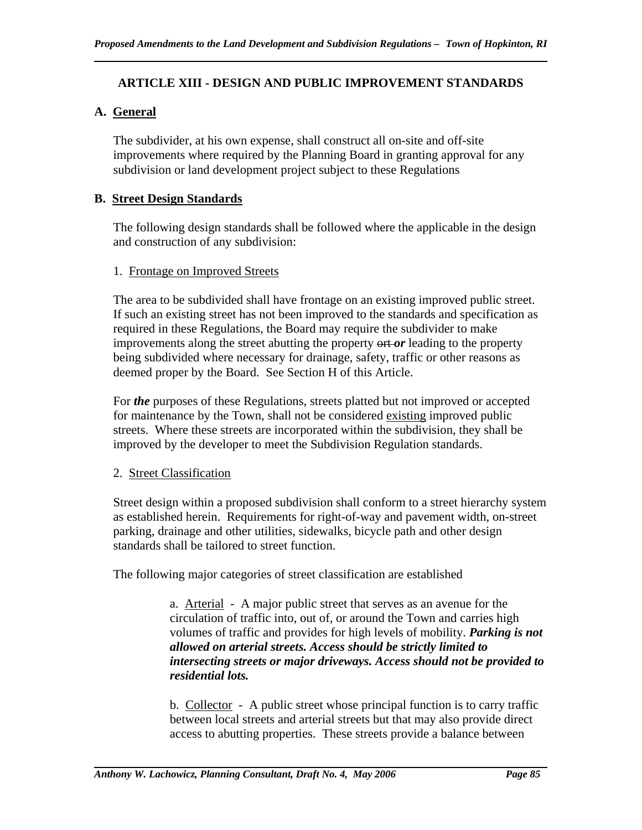# **ARTICLE XIII - DESIGN AND PUBLIC IMPROVEMENT STANDARDS**

# **A. General**

The subdivider, at his own expense, shall construct all on-site and off-site improvements where required by the Planning Board in granting approval for any subdivision or land development project subject to these Regulations

## **B. Street Design Standards**

The following design standards shall be followed where the applicable in the design and construction of any subdivision:

#### 1. Frontage on Improved Streets

The area to be subdivided shall have frontage on an existing improved public street. If such an existing street has not been improved to the standards and specification as required in these Regulations, the Board may require the subdivider to make improvements along the street abutting the property ort *or* leading to the property being subdivided where necessary for drainage, safety, traffic or other reasons as deemed proper by the Board. See Section H of this Article.

For *the* purposes of these Regulations, streets platted but not improved or accepted for maintenance by the Town, shall not be considered existing improved public streets. Where these streets are incorporated within the subdivision, they shall be improved by the developer to meet the Subdivision Regulation standards.

## 2. Street Classification

Street design within a proposed subdivision shall conform to a street hierarchy system as established herein. Requirements for right-of-way and pavement width, on-street parking, drainage and other utilities, sidewalks, bicycle path and other design standards shall be tailored to street function.

The following major categories of street classification are established

a. Arterial - A major public street that serves as an avenue for the circulation of traffic into, out of, or around the Town and carries high volumes of traffic and provides for high levels of mobility. *Parking is not allowed on arterial streets. Access should be strictly limited to intersecting streets or major driveways. Access should not be provided to residential lots.*

b. Collector - A public street whose principal function is to carry traffic between local streets and arterial streets but that may also provide direct access to abutting properties. These streets provide a balance between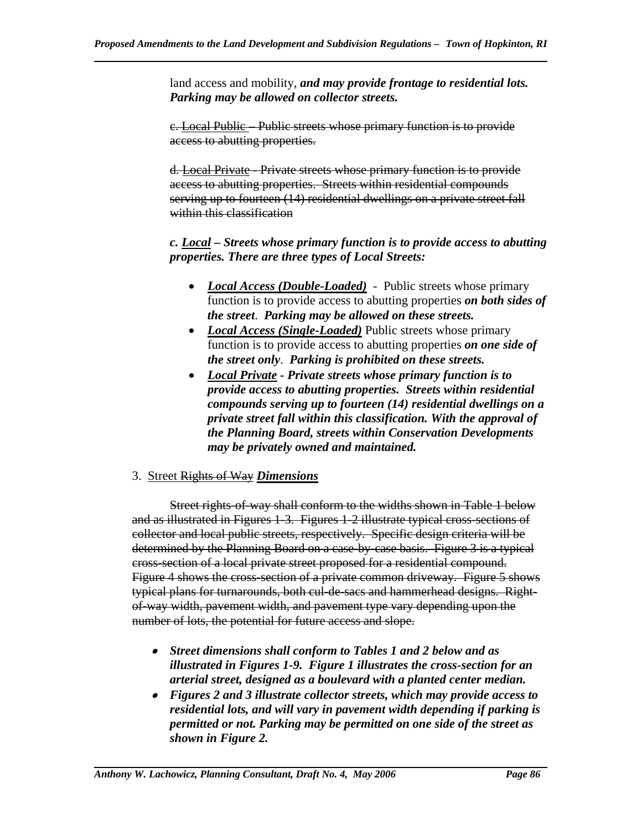land access and mobility, *and may provide frontage to residential lots. Parking may be allowed on collector streets.* 

c. Local Public – Public streets whose primary function is to provide access to abutting properties.

d. Local Private - Private streets whose primary function is to provide access to abutting properties. Streets within residential compounds serving up to fourteen (14) residential dwellings on a private street fall within this classification

*c. Local – Streets whose primary function is to provide access to abutting properties. There are three types of Local Streets:* 

- *Local Access (Double-Loaded)* Public streets whose primary function is to provide access to abutting properties *on both sides of the street*. *Parking may be allowed on these streets.*
- *Local Access (Single-Loaded)* Public streets whose primary function is to provide access to abutting properties *on one side of the street only*. *Parking is prohibited on these streets.*
- *Local Private Private streets whose primary function is to provide access to abutting properties. Streets within residential compounds serving up to fourteen (14) residential dwellings on a private street fall within this classification. With the approval of the Planning Board, streets within Conservation Developments may be privately owned and maintained.*

#### 3. Street Rights of Way *Dimensions*

Street rights-of-way shall conform to the widths shown in Table 1 below and as illustrated in Figures 1-3. Figures 1-2 illustrate typical cross-sections of collector and local public streets, respectively. Specific design criteria will be determined by the Planning Board on a case-by-case basis. Figure 3 is a typical cross-section of a local private street proposed for a residential compound. Figure 4 shows the cross-section of a private common driveway. Figure 5 shows typical plans for turnarounds, both cul-de-sacs and hammerhead designs. Rightof-way width, pavement width, and pavement type vary depending upon the number of lots, the potential for future access and slope.

- *Street dimensions shall conform to Tables 1 and 2 below and as illustrated in Figures 1-9. Figure 1 illustrates the cross-section for an arterial street, designed as a boulevard with a planted center median.*
- *Figures 2 and 3 illustrate collector streets, which may provide access to residential lots, and will vary in pavement width depending if parking is permitted or not. Parking may be permitted on one side of the street as shown in Figure 2.*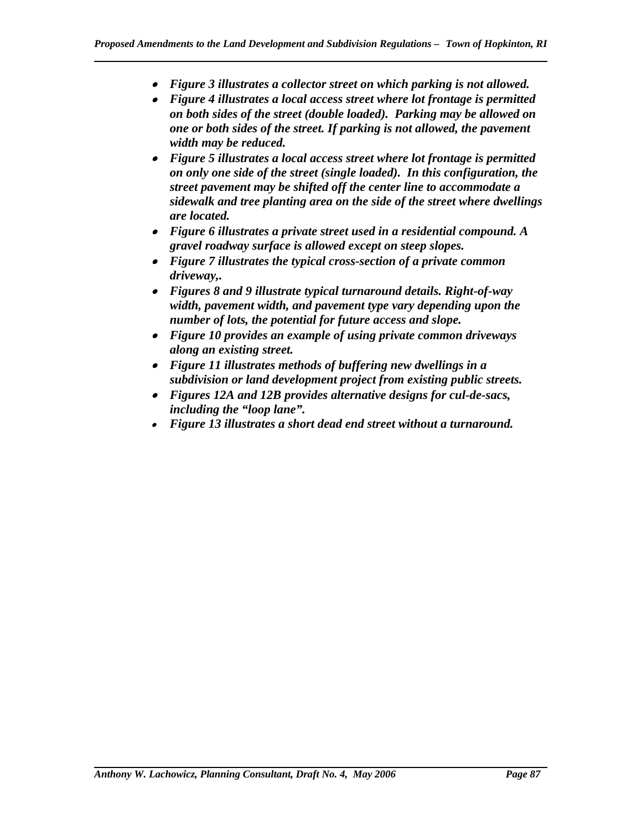- *Figure 3 illustrates a collector street on which parking is not allowed.*
- *Figure 4 illustrates a local access street where lot frontage is permitted on both sides of the street (double loaded). Parking may be allowed on one or both sides of the street. If parking is not allowed, the pavement width may be reduced.*
- *Figure 5 illustrates a local access street where lot frontage is permitted on only one side of the street (single loaded). In this configuration, the street pavement may be shifted off the center line to accommodate a sidewalk and tree planting area on the side of the street where dwellings are located.*
- *Figure 6 illustrates a private street used in a residential compound. A gravel roadway surface is allowed except on steep slopes.*
- *Figure 7 illustrates the typical cross-section of a private common driveway,.*
- *Figures 8 and 9 illustrate typical turnaround details. Right-of-way width, pavement width, and pavement type vary depending upon the number of lots, the potential for future access and slope.*
- *Figure 10 provides an example of using private common driveways along an existing street.*
- *Figure 11 illustrates methods of buffering new dwellings in a subdivision or land development project from existing public streets.*
- *Figures 12A and 12B provides alternative designs for cul-de-sacs, including the "loop lane".*
- *Figure 13 illustrates a short dead end street without a turnaround.*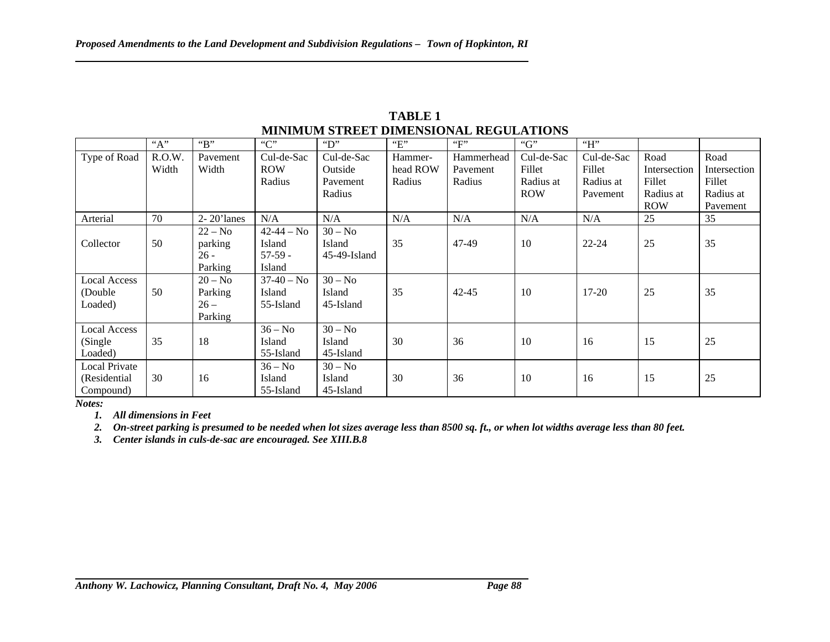| MINIMUM STREET DIMENSIONAL REGULATIONS |        |                 |                |                 |                    |            |            |            |              |              |
|----------------------------------------|--------|-----------------|----------------|-----------------|--------------------|------------|------------|------------|--------------|--------------|
|                                        | "A"    | "B"             | C              | "D"             | $E^{\prime\prime}$ | ``F"       | " $G$ "    | H          |              |              |
| Type of Road                           | R.O.W. | Pavement        | Cul-de-Sac     | Cul-de-Sac      | Hammer-            | Hammerhead | Cul-de-Sac | Cul-de-Sac | Road         | Road         |
|                                        | Width  | Width           | <b>ROW</b>     | Outside         | head ROW           | Pavement   | Fillet     | Fillet     | Intersection | Intersection |
|                                        |        |                 | Radius         | Pavement        | Radius             | Radius     | Radius at  | Radius at  | Fillet       | Fillet       |
|                                        |        |                 |                | Radius          |                    |            | <b>ROW</b> | Pavement   | Radius at    | Radius at    |
|                                        |        |                 |                |                 |                    |            |            |            | <b>ROW</b>   | Pavement     |
| Arterial                               | 70     | $2 - 20$ 'lanes | N/A            | N/A             | N/A                | N/A        | N/A        | N/A        | 25           | 35           |
|                                        |        | $22 - No$       | $42 - 44 - No$ | $30 - No$       |                    |            |            |            |              |              |
| Collector                              | 50     | parking         | Island         | Island          | 35                 | 47-49      | 10         | $22 - 24$  | 25           | 35           |
|                                        |        | $26 -$          | $57-59 -$      | $45-49$ -Island |                    |            |            |            |              |              |
|                                        |        | Parking         | Island         |                 |                    |            |            |            |              |              |
| <b>Local Access</b>                    |        | $20 - No$       | $37-40 - No$   | $30 - No$       |                    |            |            |            |              |              |
| (Double)                               | 50     | Parking         | Island         | Island          | 35                 | $42 - 45$  | 10         | $17 - 20$  | 25           | 35           |
| Loaded)                                |        | $26 -$          | 55-Island      | 45-Island       |                    |            |            |            |              |              |
|                                        |        | Parking         |                |                 |                    |            |            |            |              |              |
| <b>Local Access</b>                    |        |                 | $36 - No$      | $30 - No$       |                    |            |            |            |              |              |
| (Single)                               | 35     | 18              | Island         | Island          | 30                 | 36         | 10         | 16         | 15           | 25           |
| Loaded)                                |        |                 | 55-Island      | 45-Island       |                    |            |            |            |              |              |
| <b>Local Private</b>                   |        |                 | $36 - No$      | $30 - No$       |                    |            |            |            |              |              |
| (Residential                           | 30     | 16              | Island         | Island          | 30                 | 36         | 10         | 16         | 15           | 25           |
| Compound)                              |        |                 | 55-Island      | 45-Island       |                    |            |            |            |              |              |

**TABLE 1 MINIMUM STREET DIMENSIONAL REGULATIONS** 

*Notes:* 

*1. All dimensions in Feet* 

*2. On-street parking is presumed to be needed when lot sizes average less than 8500 sq. ft., or when lot widths average less than 80 feet.* 

*3. Center islands in culs-de-sac are encouraged. See XIII.B.8*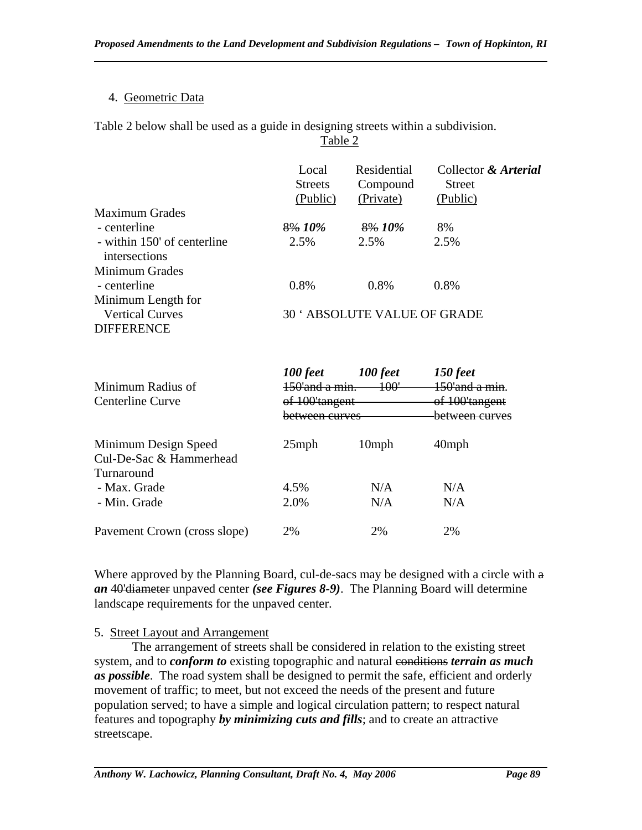Table 2

## 4. Geometric Data

Table 2 below shall be used as a guide in designing streets within a subdivision.

|                                              | Local<br><b>Streets</b><br>(Public) | Residential<br>Compound<br>(Private) | Collector & Arterial<br><b>Street</b><br>(Public) |  |  |
|----------------------------------------------|-------------------------------------|--------------------------------------|---------------------------------------------------|--|--|
| <b>Maximum Grades</b>                        |                                     |                                      |                                                   |  |  |
| - centerline                                 | 8% 10%                              | 8% 10%                               | 8%                                                |  |  |
| - within 150' of centerline<br>intersections | 2.5%                                | 2.5%                                 | 2.5%                                              |  |  |
| Minimum Grades                               |                                     |                                      |                                                   |  |  |
| - centerline                                 | 0.8%                                | 0.8%                                 | 0.8%                                              |  |  |
| Minimum Length for                           |                                     |                                      |                                                   |  |  |
| <b>Vertical Curves</b>                       | <b>30 ' ABSOLUTE VALUE OF GRADE</b> |                                      |                                                   |  |  |
| <b>DIFFERENCE</b>                            |                                     |                                      |                                                   |  |  |
|                                              | 100 feet                            | 100 feet                             | 150 feet                                          |  |  |
| Minimum Radius of                            | 150'and a min.                      | <u> 100'</u>                         | $150'$ and $a$ min                                |  |  |
|                                              | .                                   |                                      | .                                                 |  |  |

| Minimum Radius of<br>Centerline Curve                         | $150'$ and a min<br>of 100'tangent<br>between curves | $150'$ and a min<br>of 100'tangent<br><del>hetween curves</del> |          |
|---------------------------------------------------------------|------------------------------------------------------|-----------------------------------------------------------------|----------|
| Minimum Design Speed<br>Cul-De-Sac & Hammerhead<br>Turnaround | $25$ mph                                             | 10 <sub>mph</sub>                                               | $40$ mph |
| - Max. Grade                                                  | 4.5%                                                 | N/A                                                             | N/A      |
| - Min. Grade                                                  | 2.0%                                                 | N/A                                                             | N/A      |
| Pavement Crown (cross slope)                                  | 2%                                                   | 2%                                                              | 2%       |

Where approved by the Planning Board, cul-de-sacs may be designed with a circle with  $a$ *an* 40'diameter unpaved center *(see Figures 8-9)*. The Planning Board will determine landscape requirements for the unpaved center.

# 5. Street Layout and Arrangement

The arrangement of streets shall be considered in relation to the existing street system, and to *conform to* existing topographic and natural conditions *terrain as much as possible*. The road system shall be designed to permit the safe, efficient and orderly movement of traffic; to meet, but not exceed the needs of the present and future population served; to have a simple and logical circulation pattern; to respect natural features and topography *by minimizing cuts and fills*; and to create an attractive streetscape.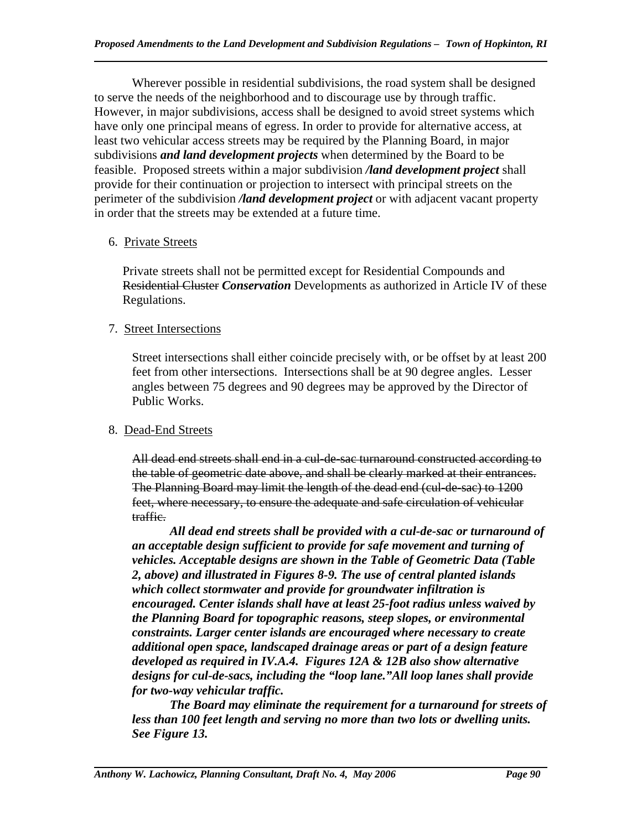Wherever possible in residential subdivisions, the road system shall be designed to serve the needs of the neighborhood and to discourage use by through traffic. However, in major subdivisions, access shall be designed to avoid street systems which have only one principal means of egress. In order to provide for alternative access, at least two vehicular access streets may be required by the Planning Board, in major subdivisions *and land development projects* when determined by the Board to be feasible. Proposed streets within a major subdivision */land development project* shall provide for their continuation or projection to intersect with principal streets on the perimeter of the subdivision */land development project* or with adjacent vacant property in order that the streets may be extended at a future time.

# 6. Private Streets

Private streets shall not be permitted except for Residential Compounds and Residential Cluster *Conservation* Developments as authorized in Article IV of these Regulations.

# 7. Street Intersections

Street intersections shall either coincide precisely with, or be offset by at least 200 feet from other intersections. Intersections shall be at 90 degree angles. Lesser angles between 75 degrees and 90 degrees may be approved by the Director of Public Works.

# 8. Dead-End Streets

All dead end streets shall end in a cul-de-sac turnaround constructed according to the table of geometric date above, and shall be clearly marked at their entrances. The Planning Board may limit the length of the dead end (cul-de-sac) to 1200 feet, where necessary, to ensure the adequate and safe circulation of vehicular traffic.

 *All dead end streets shall be provided with a cul-de-sac or turnaround of an acceptable design sufficient to provide for safe movement and turning of vehicles. Acceptable designs are shown in the Table of Geometric Data (Table 2, above) and illustrated in Figures 8-9. The use of central planted islands which collect stormwater and provide for groundwater infiltration is encouraged. Center islands shall have at least 25-foot radius unless waived by the Planning Board for topographic reasons, steep slopes, or environmental constraints. Larger center islands are encouraged where necessary to create additional open space, landscaped drainage areas or part of a design feature developed as required in IV.A.4. Figures 12A & 12B also show alternative designs for cul-de-sacs, including the "loop lane."All loop lanes shall provide for two-way vehicular traffic.* 

 *The Board may eliminate the requirement for a turnaround for streets of less than 100 feet length and serving no more than two lots or dwelling units. See Figure 13.*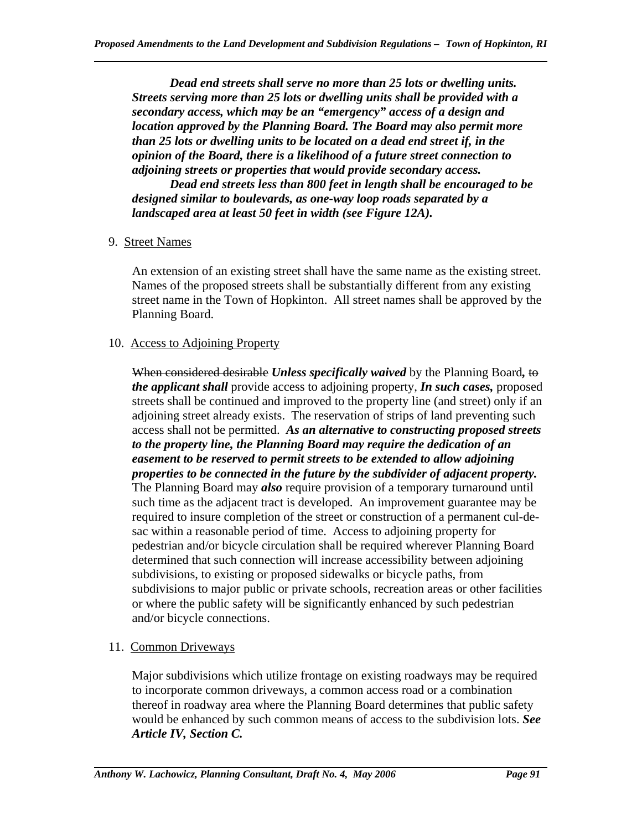*Dead end streets shall serve no more than 25 lots or dwelling units. Streets serving more than 25 lots or dwelling units shall be provided with a secondary access, which may be an "emergency" access of a design and location approved by the Planning Board. The Board may also permit more than 25 lots or dwelling units to be located on a dead end street if, in the opinion of the Board, there is a likelihood of a future street connection to adjoining streets or properties that would provide secondary access.*

*Dead end streets less than 800 feet in length shall be encouraged to be designed similar to boulevards, as one-way loop roads separated by a landscaped area at least 50 feet in width (see Figure 12A).* 

## 9. Street Names

An extension of an existing street shall have the same name as the existing street. Names of the proposed streets shall be substantially different from any existing street name in the Town of Hopkinton. All street names shall be approved by the Planning Board.

## 10. Access to Adjoining Property

When considered desirable *Unless specifically waived* by the Planning Board*,* to *the applicant shall* provide access to adjoining property, *In such cases,* proposed streets shall be continued and improved to the property line (and street) only if an adjoining street already exists. The reservation of strips of land preventing such access shall not be permitted. *As an alternative to constructing proposed streets to the property line, the Planning Board may require the dedication of an easement to be reserved to permit streets to be extended to allow adjoining properties to be connected in the future by the subdivider of adjacent property.*  The Planning Board may *also* require provision of a temporary turnaround until such time as the adjacent tract is developed. An improvement guarantee may be required to insure completion of the street or construction of a permanent cul-desac within a reasonable period of time. Access to adjoining property for pedestrian and/or bicycle circulation shall be required wherever Planning Board determined that such connection will increase accessibility between adjoining subdivisions, to existing or proposed sidewalks or bicycle paths, from subdivisions to major public or private schools, recreation areas or other facilities or where the public safety will be significantly enhanced by such pedestrian and/or bicycle connections.

## 11. Common Driveways

Major subdivisions which utilize frontage on existing roadways may be required to incorporate common driveways, a common access road or a combination thereof in roadway area where the Planning Board determines that public safety would be enhanced by such common means of access to the subdivision lots. *See Article IV, Section C.*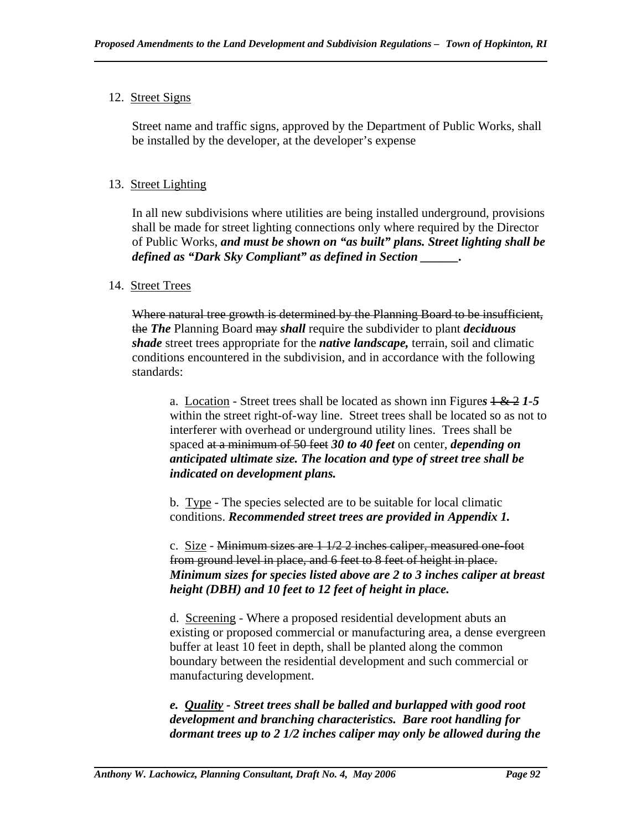# 12. Street Signs

Street name and traffic signs, approved by the Department of Public Works, shall be installed by the developer, at the developer's expense

# 13. Street Lighting

In all new subdivisions where utilities are being installed underground, provisions shall be made for street lighting connections only where required by the Director of Public Works, *and must be shown on "as built" plans. Street lighting shall be defined as "Dark Sky Compliant" as defined in Section \_\_\_\_\_\_.*

## 14. Street Trees

Where natural tree growth is determined by the Planning Board to be insufficient, the *The* Planning Board may *shall* require the subdivider to plant *deciduous shade* street trees appropriate for the *native landscape,* terrain, soil and climatic conditions encountered in the subdivision, and in accordance with the following standards:

a. Location - Street trees shall be located as shown inn Figure*s* 1 & 2 *1-5*  within the street right-of-way line. Street trees shall be located so as not to interferer with overhead or underground utility lines. Trees shall be spaced at a minimum of 50 feet *30 to 40 feet* on center, *depending on anticipated ultimate size. The location and type of street tree shall be indicated on development plans.* 

b. Type - The species selected are to be suitable for local climatic conditions. *Recommended street trees are provided in Appendix 1.* 

c. Size - Minimum sizes are  $1\frac{1}{2}$  2 inches caliper, measured one-foot from ground level in place, and 6 feet to 8 feet of height in place. *Minimum sizes for species listed above are 2 to 3 inches caliper at breast height (DBH) and 10 feet to 12 feet of height in place.* 

d. Screening - Where a proposed residential development abuts an existing or proposed commercial or manufacturing area, a dense evergreen buffer at least 10 feet in depth, shall be planted along the common boundary between the residential development and such commercial or manufacturing development.

*e. Quality - Street trees shall be balled and burlapped with good root development and branching characteristics. Bare root handling for dormant trees up to 2 1/2 inches caliper may only be allowed during the*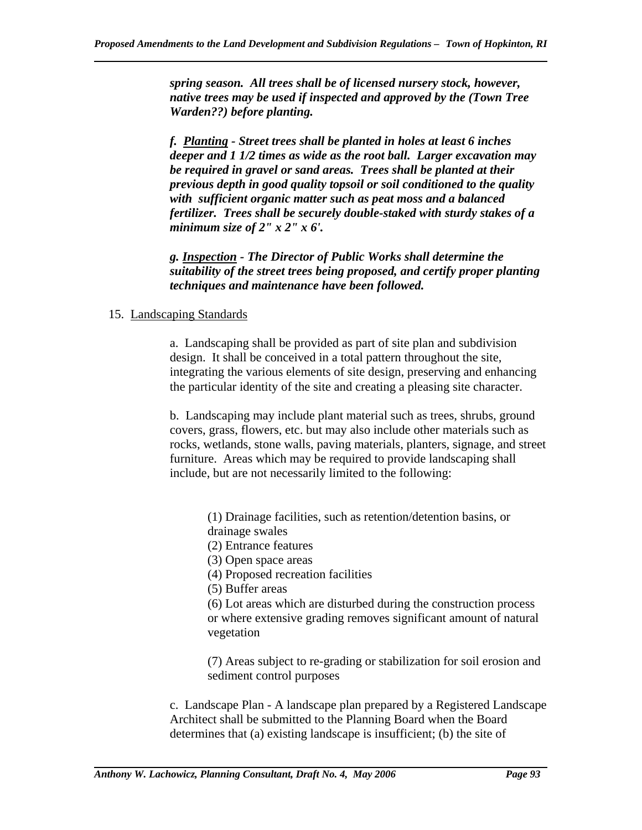*spring season. All trees shall be of licensed nursery stock, however, native trees may be used if inspected and approved by the (Town Tree Warden??) before planting.* 

*f. Planting - Street trees shall be planted in holes at least 6 inches deeper and 1 1/2 times as wide as the root ball. Larger excavation may be required in gravel or sand areas. Trees shall be planted at their previous depth in good quality topsoil or soil conditioned to the quality with sufficient organic matter such as peat moss and a balanced fertilizer. Trees shall be securely double-staked with sturdy stakes of a minimum size of 2" x 2" x 6'.* 

*g. Inspection - The Director of Public Works shall determine the suitability of the street trees being proposed, and certify proper planting techniques and maintenance have been followed.* 

## 15. Landscaping Standards

a. Landscaping shall be provided as part of site plan and subdivision design. It shall be conceived in a total pattern throughout the site, integrating the various elements of site design, preserving and enhancing the particular identity of the site and creating a pleasing site character.

b. Landscaping may include plant material such as trees, shrubs, ground covers, grass, flowers, etc. but may also include other materials such as rocks, wetlands, stone walls, paving materials, planters, signage, and street furniture. Areas which may be required to provide landscaping shall include, but are not necessarily limited to the following:

- (1) Drainage facilities, such as retention/detention basins, or drainage swales
- (2) Entrance features
- (3) Open space areas
- (4) Proposed recreation facilities
- (5) Buffer areas

(6) Lot areas which are disturbed during the construction process or where extensive grading removes significant amount of natural vegetation

(7) Areas subject to re-grading or stabilization for soil erosion and sediment control purposes

c. Landscape Plan - A landscape plan prepared by a Registered Landscape Architect shall be submitted to the Planning Board when the Board determines that (a) existing landscape is insufficient; (b) the site of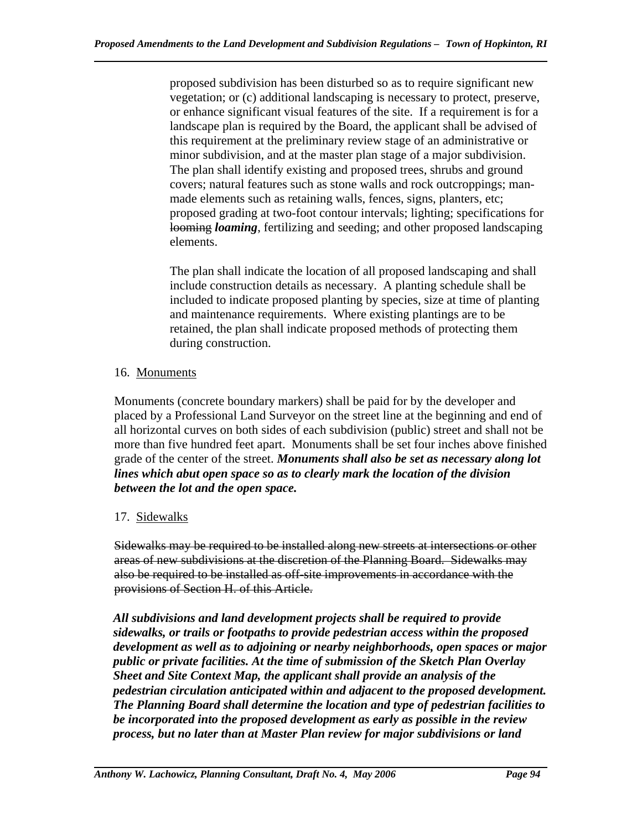proposed subdivision has been disturbed so as to require significant new vegetation; or (c) additional landscaping is necessary to protect, preserve, or enhance significant visual features of the site. If a requirement is for a landscape plan is required by the Board, the applicant shall be advised of this requirement at the preliminary review stage of an administrative or minor subdivision, and at the master plan stage of a major subdivision. The plan shall identify existing and proposed trees, shrubs and ground covers; natural features such as stone walls and rock outcroppings; manmade elements such as retaining walls, fences, signs, planters, etc; proposed grading at two-foot contour intervals; lighting; specifications for looming *loaming*, fertilizing and seeding; and other proposed landscaping elements.

The plan shall indicate the location of all proposed landscaping and shall include construction details as necessary. A planting schedule shall be included to indicate proposed planting by species, size at time of planting and maintenance requirements. Where existing plantings are to be retained, the plan shall indicate proposed methods of protecting them during construction.

# 16. Monuments

Monuments (concrete boundary markers) shall be paid for by the developer and placed by a Professional Land Surveyor on the street line at the beginning and end of all horizontal curves on both sides of each subdivision (public) street and shall not be more than five hundred feet apart. Monuments shall be set four inches above finished grade of the center of the street. *Monuments shall also be set as necessary along lot lines which abut open space so as to clearly mark the location of the division between the lot and the open space.*

# 17. Sidewalks

Sidewalks may be required to be installed along new streets at intersections or other areas of new subdivisions at the discretion of the Planning Board. Sidewalks may also be required to be installed as off-site improvements in accordance with the provisions of Section H. of this Article.

*All subdivisions and land development projects shall be required to provide sidewalks, or trails or footpaths to provide pedestrian access within the proposed development as well as to adjoining or nearby neighborhoods, open spaces or major public or private facilities. At the time of submission of the Sketch Plan Overlay Sheet and Site Context Map, the applicant shall provide an analysis of the pedestrian circulation anticipated within and adjacent to the proposed development. The Planning Board shall determine the location and type of pedestrian facilities to be incorporated into the proposed development as early as possible in the review process, but no later than at Master Plan review for major subdivisions or land*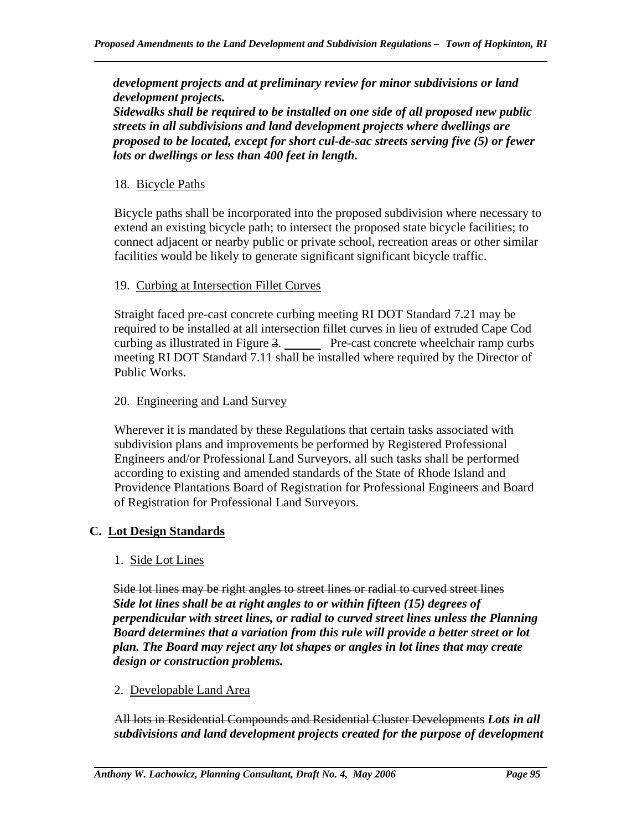*development projects and at preliminary review for minor subdivisions or land development projects.* 

*Sidewalks shall be required to be installed on one side of all proposed new public streets in all subdivisions and land development projects where dwellings are proposed to be located, except for short cul-de-sac streets serving five (5) or fewer lots or dwellings or less than 400 feet in length.* 

#### 18. Bicycle Paths

Bicycle paths shall be incorporated into the proposed subdivision where necessary to extend an existing bicycle path; to intersect the proposed state bicycle facilities; to connect adjacent or nearby public or private school, recreation areas or other similar facilities would be likely to generate significant significant bicycle traffic.

#### 19. Curbing at Intersection Fillet Curves

Straight faced pre-cast concrete curbing meeting RI DOT Standard 7.21 may be required to be installed at all intersection fillet curves in lieu of extruded Cape Cod curbing as illustrated in Figure 3. Pre-cast concrete wheelchair ramp curbs meeting RI DOT Standard 7.11 shall be installed where required by the Director of Public Works.

#### 20. Engineering and Land Survey

Wherever it is mandated by these Regulations that certain tasks associated with subdivision plans and improvements be performed by Registered Professional Engineers and/or Professional Land Surveyors, all such tasks shall be performed according to existing and amended standards of the State of Rhode Island and Providence Plantations Board of Registration for Professional Engineers and Board of Registration for Professional Land Surveyors.

## **C. Lot Design Standards**

## 1. Side Lot Lines

Side lot lines may be right angles to street lines or radial to curved street lines *Side lot lines shall be at right angles to or within fifteen (15) degrees of perpendicular with street lines, or radial to curved street lines unless the Planning Board determines that a variation from this rule will provide a better street or lot plan. The Board may reject any lot shapes or angles in lot lines that may create design or construction problems.* 

#### 2. Developable Land Area

All lots in Residential Compounds and Residential Cluster Developments *Lots in all subdivisions and land development projects created for the purpose of development*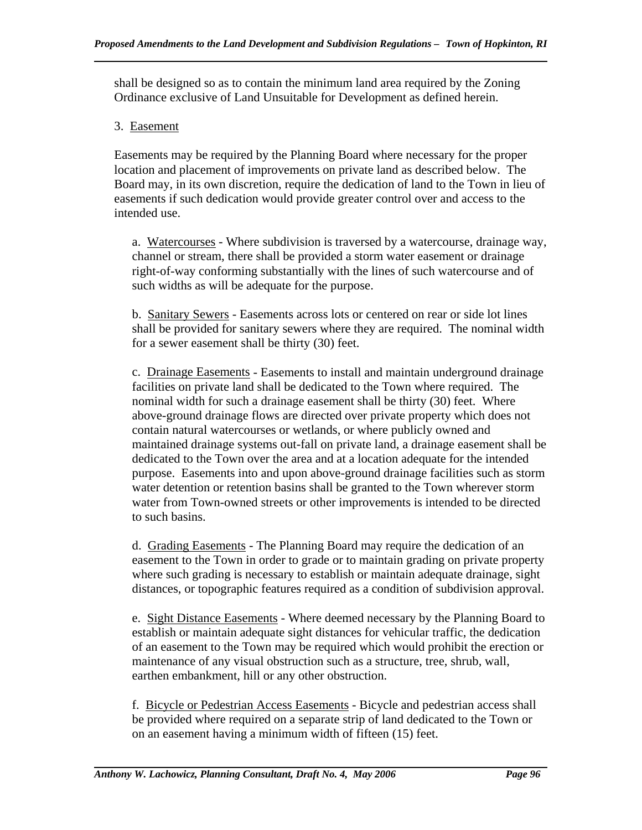shall be designed so as to contain the minimum land area required by the Zoning Ordinance exclusive of Land Unsuitable for Development as defined herein.

## 3. Easement

Easements may be required by the Planning Board where necessary for the proper location and placement of improvements on private land as described below. The Board may, in its own discretion, require the dedication of land to the Town in lieu of easements if such dedication would provide greater control over and access to the intended use.

a. Watercourses - Where subdivision is traversed by a watercourse, drainage way, channel or stream, there shall be provided a storm water easement or drainage right-of-way conforming substantially with the lines of such watercourse and of such widths as will be adequate for the purpose.

b. Sanitary Sewers - Easements across lots or centered on rear or side lot lines shall be provided for sanitary sewers where they are required. The nominal width for a sewer easement shall be thirty (30) feet.

c. Drainage Easements - Easements to install and maintain underground drainage facilities on private land shall be dedicated to the Town where required. The nominal width for such a drainage easement shall be thirty (30) feet. Where above-ground drainage flows are directed over private property which does not contain natural watercourses or wetlands, or where publicly owned and maintained drainage systems out-fall on private land, a drainage easement shall be dedicated to the Town over the area and at a location adequate for the intended purpose. Easements into and upon above-ground drainage facilities such as storm water detention or retention basins shall be granted to the Town wherever storm water from Town-owned streets or other improvements is intended to be directed to such basins.

d. Grading Easements - The Planning Board may require the dedication of an easement to the Town in order to grade or to maintain grading on private property where such grading is necessary to establish or maintain adequate drainage, sight distances, or topographic features required as a condition of subdivision approval.

e. Sight Distance Easements - Where deemed necessary by the Planning Board to establish or maintain adequate sight distances for vehicular traffic, the dedication of an easement to the Town may be required which would prohibit the erection or maintenance of any visual obstruction such as a structure, tree, shrub, wall, earthen embankment, hill or any other obstruction.

f. Bicycle or Pedestrian Access Easements - Bicycle and pedestrian access shall be provided where required on a separate strip of land dedicated to the Town or on an easement having a minimum width of fifteen (15) feet.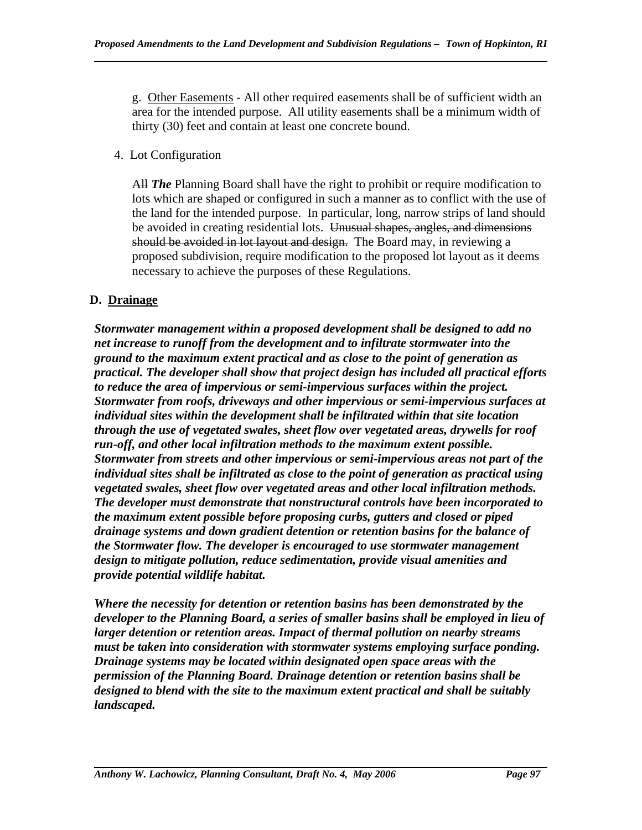g. Other Easements - All other required easements shall be of sufficient width an area for the intended purpose. All utility easements shall be a minimum width of thirty (30) feet and contain at least one concrete bound.

# 4. Lot Configuration

All *The* Planning Board shall have the right to prohibit or require modification to lots which are shaped or configured in such a manner as to conflict with the use of the land for the intended purpose. In particular, long, narrow strips of land should be avoided in creating residential lots. Unusual shapes, angles, and dimensions should be avoided in lot layout and design. The Board may, in reviewing a proposed subdivision, require modification to the proposed lot layout as it deems necessary to achieve the purposes of these Regulations.

# **D. Drainage**

*Stormwater management within a proposed development shall be designed to add no net increase to runoff from the development and to infiltrate stormwater into the ground to the maximum extent practical and as close to the point of generation as practical. The developer shall show that project design has included all practical efforts to reduce the area of impervious or semi-impervious surfaces within the project. Stormwater from roofs, driveways and other impervious or semi-impervious surfaces at individual sites within the development shall be infiltrated within that site location through the use of vegetated swales, sheet flow over vegetated areas, drywells for roof run-off, and other local infiltration methods to the maximum extent possible. Stormwater from streets and other impervious or semi-impervious areas not part of the individual sites shall be infiltrated as close to the point of generation as practical using vegetated swales, sheet flow over vegetated areas and other local infiltration methods. The developer must demonstrate that nonstructural controls have been incorporated to the maximum extent possible before proposing curbs, gutters and closed or piped drainage systems and down gradient detention or retention basins for the balance of the Stormwater flow. The developer is encouraged to use stormwater management design to mitigate pollution, reduce sedimentation, provide visual amenities and provide potential wildlife habitat.* 

*Where the necessity for detention or retention basins has been demonstrated by the developer to the Planning Board, a series of smaller basins shall be employed in lieu of larger detention or retention areas. Impact of thermal pollution on nearby streams must be taken into consideration with stormwater systems employing surface ponding. Drainage systems may be located within designated open space areas with the permission of the Planning Board. Drainage detention or retention basins shall be designed to blend with the site to the maximum extent practical and shall be suitably landscaped.*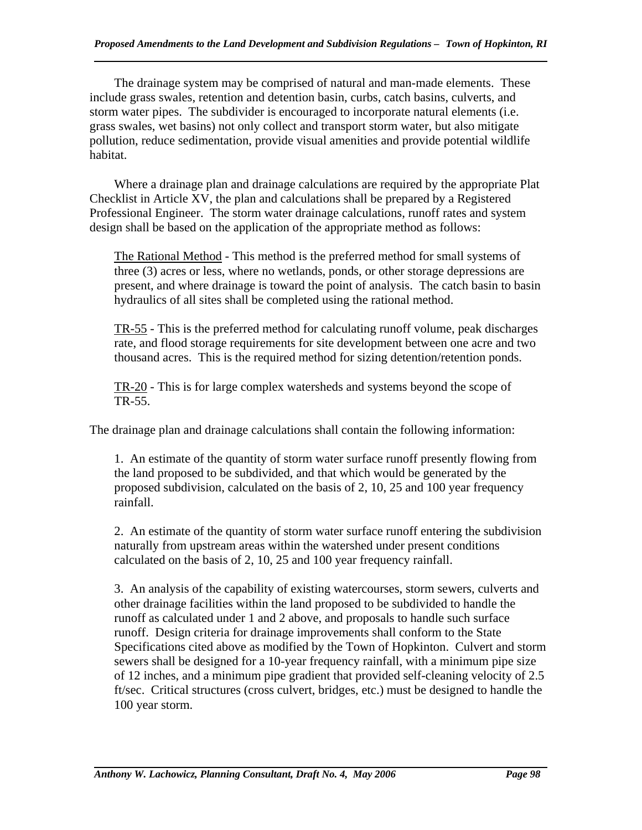The drainage system may be comprised of natural and man-made elements. These include grass swales, retention and detention basin, curbs, catch basins, culverts, and storm water pipes. The subdivider is encouraged to incorporate natural elements (i.e. grass swales, wet basins) not only collect and transport storm water, but also mitigate pollution, reduce sedimentation, provide visual amenities and provide potential wildlife habitat.

 Where a drainage plan and drainage calculations are required by the appropriate Plat Checklist in Article XV, the plan and calculations shall be prepared by a Registered Professional Engineer. The storm water drainage calculations, runoff rates and system design shall be based on the application of the appropriate method as follows:

The Rational Method - This method is the preferred method for small systems of three (3) acres or less, where no wetlands, ponds, or other storage depressions are present, and where drainage is toward the point of analysis. The catch basin to basin hydraulics of all sites shall be completed using the rational method.

TR-55 - This is the preferred method for calculating runoff volume, peak discharges rate, and flood storage requirements for site development between one acre and two thousand acres. This is the required method for sizing detention/retention ponds.

 TR-20 - This is for large complex watersheds and systems beyond the scope of TR-55.

The drainage plan and drainage calculations shall contain the following information:

1. An estimate of the quantity of storm water surface runoff presently flowing from the land proposed to be subdivided, and that which would be generated by the proposed subdivision, calculated on the basis of 2, 10, 25 and 100 year frequency rainfall.

2. An estimate of the quantity of storm water surface runoff entering the subdivision naturally from upstream areas within the watershed under present conditions calculated on the basis of 2, 10, 25 and 100 year frequency rainfall.

3. An analysis of the capability of existing watercourses, storm sewers, culverts and other drainage facilities within the land proposed to be subdivided to handle the runoff as calculated under 1 and 2 above, and proposals to handle such surface runoff. Design criteria for drainage improvements shall conform to the State Specifications cited above as modified by the Town of Hopkinton. Culvert and storm sewers shall be designed for a 10-year frequency rainfall, with a minimum pipe size of 12 inches, and a minimum pipe gradient that provided self-cleaning velocity of 2.5 ft/sec. Critical structures (cross culvert, bridges, etc.) must be designed to handle the 100 year storm.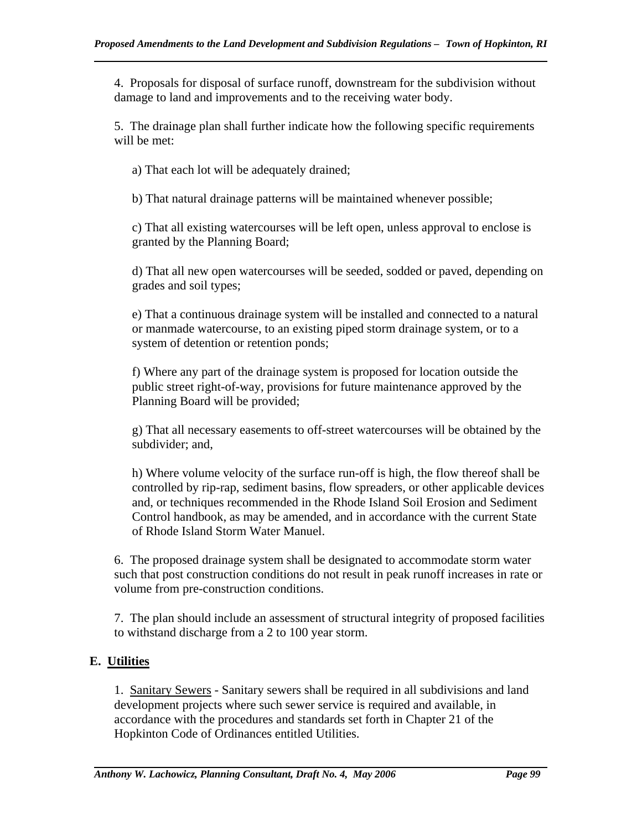4. Proposals for disposal of surface runoff, downstream for the subdivision without damage to land and improvements and to the receiving water body.

5. The drainage plan shall further indicate how the following specific requirements will be met:

a) That each lot will be adequately drained;

b) That natural drainage patterns will be maintained whenever possible;

c) That all existing watercourses will be left open, unless approval to enclose is granted by the Planning Board;

d) That all new open watercourses will be seeded, sodded or paved, depending on grades and soil types;

e) That a continuous drainage system will be installed and connected to a natural or manmade watercourse, to an existing piped storm drainage system, or to a system of detention or retention ponds;

f) Where any part of the drainage system is proposed for location outside the public street right-of-way, provisions for future maintenance approved by the Planning Board will be provided;

g) That all necessary easements to off-street watercourses will be obtained by the subdivider; and,

h) Where volume velocity of the surface run-off is high, the flow thereof shall be controlled by rip-rap, sediment basins, flow spreaders, or other applicable devices and, or techniques recommended in the Rhode Island Soil Erosion and Sediment Control handbook, as may be amended, and in accordance with the current State of Rhode Island Storm Water Manuel.

6. The proposed drainage system shall be designated to accommodate storm water such that post construction conditions do not result in peak runoff increases in rate or volume from pre-construction conditions.

7. The plan should include an assessment of structural integrity of proposed facilities to withstand discharge from a 2 to 100 year storm.

# **E. Utilities**

1. Sanitary Sewers - Sanitary sewers shall be required in all subdivisions and land development projects where such sewer service is required and available, in accordance with the procedures and standards set forth in Chapter 21 of the Hopkinton Code of Ordinances entitled Utilities.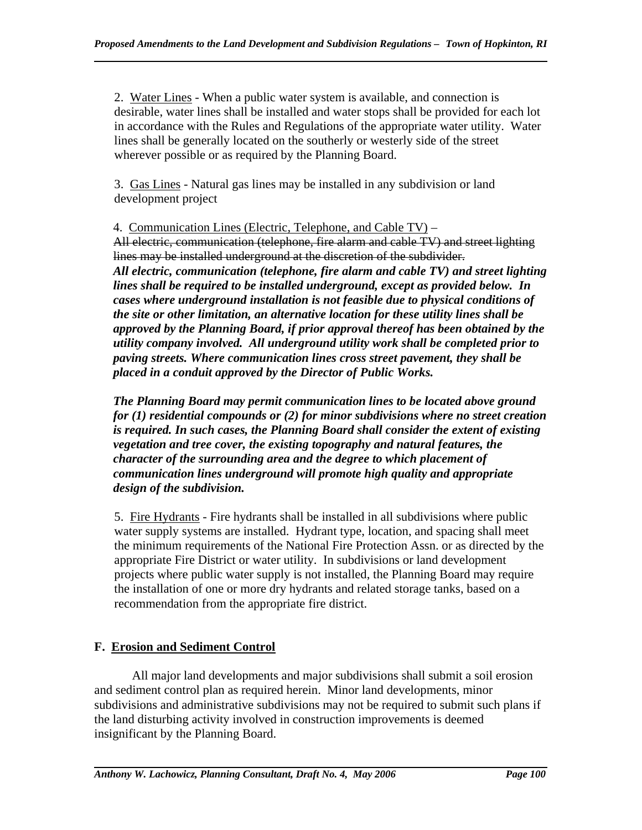2. Water Lines - When a public water system is available, and connection is desirable, water lines shall be installed and water stops shall be provided for each lot in accordance with the Rules and Regulations of the appropriate water utility. Water lines shall be generally located on the southerly or westerly side of the street wherever possible or as required by the Planning Board.

3. Gas Lines - Natural gas lines may be installed in any subdivision or land development project

4. Communication Lines (Electric, Telephone, and Cable TV) – All electric, communication (telephone, fire alarm and cable TV) and street lighting lines may be installed underground at the discretion of the subdivider. *All electric, communication (telephone, fire alarm and cable TV) and street lighting lines shall be required to be installed underground, except as provided below. In cases where underground installation is not feasible due to physical conditions of the site or other limitation, an alternative location for these utility lines shall be approved by the Planning Board, if prior approval thereof has been obtained by the utility company involved. All underground utility work shall be completed prior to paving streets. Where communication lines cross street pavement, they shall be placed in a conduit approved by the Director of Public Works.* 

*The Planning Board may permit communication lines to be located above ground for (1) residential compounds or (2) for minor subdivisions where no street creation is required. In such cases, the Planning Board shall consider the extent of existing vegetation and tree cover, the existing topography and natural features, the character of the surrounding area and the degree to which placement of communication lines underground will promote high quality and appropriate design of the subdivision.* 

5. Fire Hydrants - Fire hydrants shall be installed in all subdivisions where public water supply systems are installed. Hydrant type, location, and spacing shall meet the minimum requirements of the National Fire Protection Assn. or as directed by the appropriate Fire District or water utility. In subdivisions or land development projects where public water supply is not installed, the Planning Board may require the installation of one or more dry hydrants and related storage tanks, based on a recommendation from the appropriate fire district.

# **F. Erosion and Sediment Control**

 All major land developments and major subdivisions shall submit a soil erosion and sediment control plan as required herein. Minor land developments, minor subdivisions and administrative subdivisions may not be required to submit such plans if the land disturbing activity involved in construction improvements is deemed insignificant by the Planning Board.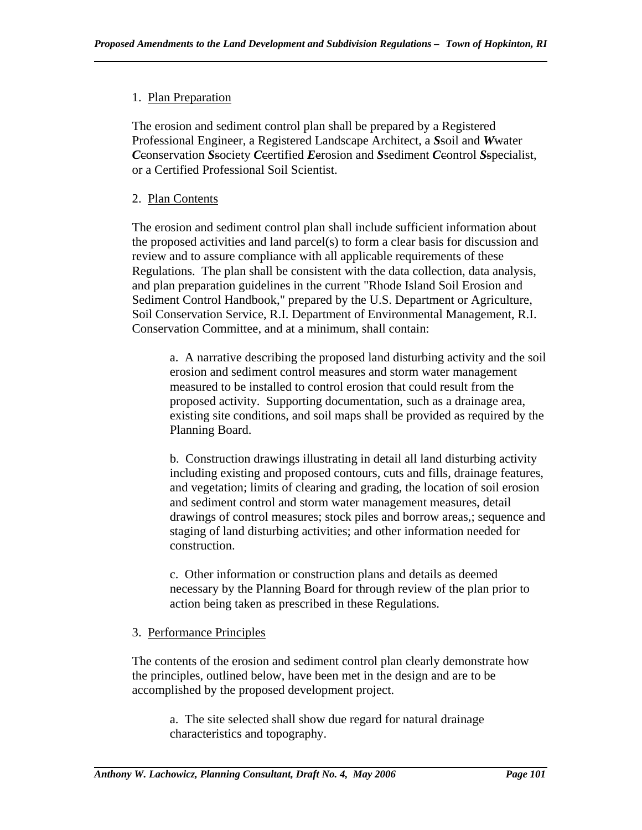# 1. Plan Preparation

The erosion and sediment control plan shall be prepared by a Registered Professional Engineer, a Registered Landscape Architect, a *S*soil and *W*water *C*conservation *S*society *C*certified *E*erosion and *S*sediment *C*control *S*specialist, or a Certified Professional Soil Scientist.

# 2. Plan Contents

The erosion and sediment control plan shall include sufficient information about the proposed activities and land parcel(s) to form a clear basis for discussion and review and to assure compliance with all applicable requirements of these Regulations. The plan shall be consistent with the data collection, data analysis, and plan preparation guidelines in the current "Rhode Island Soil Erosion and Sediment Control Handbook," prepared by the U.S. Department or Agriculture, Soil Conservation Service, R.I. Department of Environmental Management, R.I. Conservation Committee, and at a minimum, shall contain:

a. A narrative describing the proposed land disturbing activity and the soil erosion and sediment control measures and storm water management measured to be installed to control erosion that could result from the proposed activity. Supporting documentation, such as a drainage area, existing site conditions, and soil maps shall be provided as required by the Planning Board.

b. Construction drawings illustrating in detail all land disturbing activity including existing and proposed contours, cuts and fills, drainage features, and vegetation; limits of clearing and grading, the location of soil erosion and sediment control and storm water management measures, detail drawings of control measures; stock piles and borrow areas,; sequence and staging of land disturbing activities; and other information needed for construction.

c. Other information or construction plans and details as deemed necessary by the Planning Board for through review of the plan prior to action being taken as prescribed in these Regulations.

## 3. Performance Principles

The contents of the erosion and sediment control plan clearly demonstrate how the principles, outlined below, have been met in the design and are to be accomplished by the proposed development project.

a. The site selected shall show due regard for natural drainage characteristics and topography.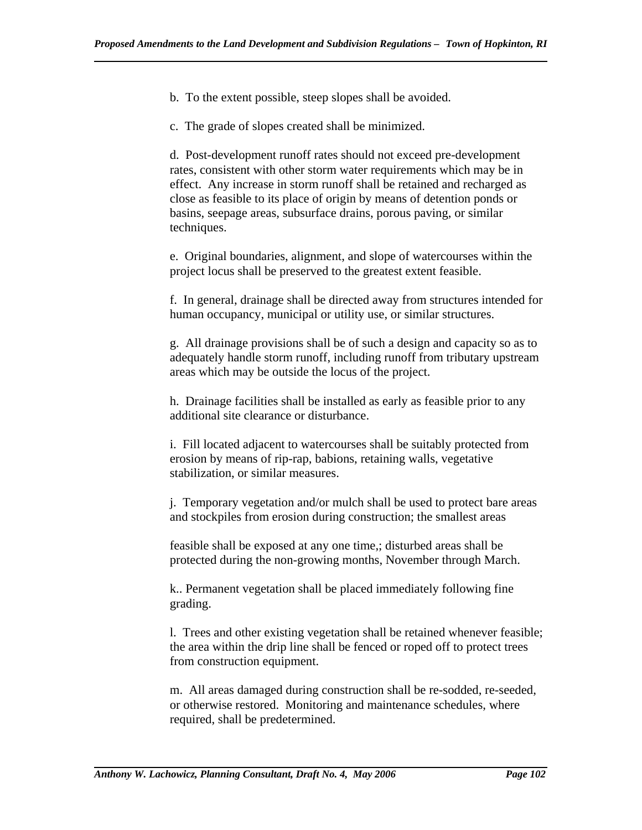b. To the extent possible, steep slopes shall be avoided.

c. The grade of slopes created shall be minimized.

d. Post-development runoff rates should not exceed pre-development rates, consistent with other storm water requirements which may be in effect. Any increase in storm runoff shall be retained and recharged as close as feasible to its place of origin by means of detention ponds or basins, seepage areas, subsurface drains, porous paving, or similar techniques.

e. Original boundaries, alignment, and slope of watercourses within the project locus shall be preserved to the greatest extent feasible.

f. In general, drainage shall be directed away from structures intended for human occupancy, municipal or utility use, or similar structures.

g. All drainage provisions shall be of such a design and capacity so as to adequately handle storm runoff, including runoff from tributary upstream areas which may be outside the locus of the project.

h. Drainage facilities shall be installed as early as feasible prior to any additional site clearance or disturbance.

i. Fill located adjacent to watercourses shall be suitably protected from erosion by means of rip-rap, babions, retaining walls, vegetative stabilization, or similar measures.

j. Temporary vegetation and/or mulch shall be used to protect bare areas and stockpiles from erosion during construction; the smallest areas

feasible shall be exposed at any one time,; disturbed areas shall be protected during the non-growing months, November through March.

k.. Permanent vegetation shall be placed immediately following fine grading.

l. Trees and other existing vegetation shall be retained whenever feasible; the area within the drip line shall be fenced or roped off to protect trees from construction equipment.

m. All areas damaged during construction shall be re-sodded, re-seeded, or otherwise restored. Monitoring and maintenance schedules, where required, shall be predetermined.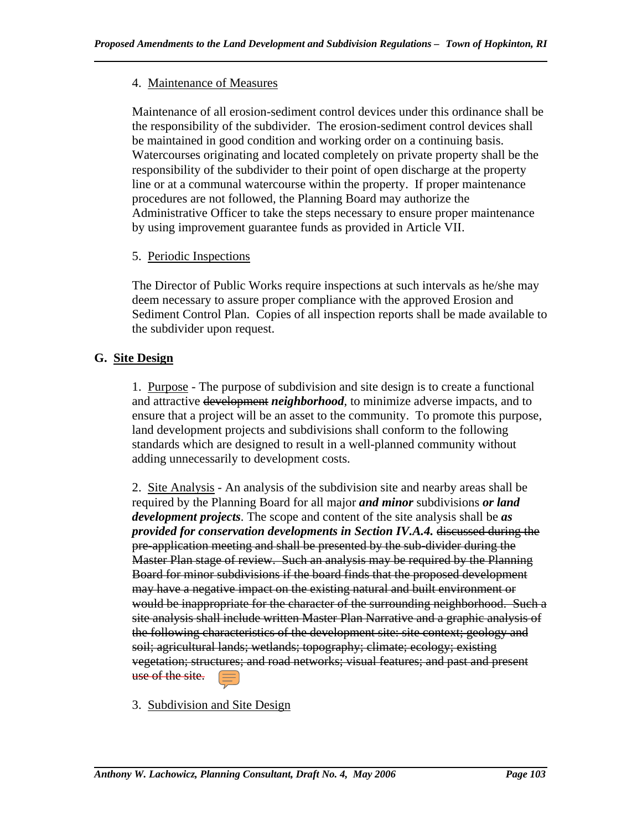## 4. Maintenance of Measures

Maintenance of all erosion-sediment control devices under this ordinance shall be the responsibility of the subdivider. The erosion-sediment control devices shall be maintained in good condition and working order on a continuing basis. Watercourses originating and located completely on private property shall be the responsibility of the subdivider to their point of open discharge at the property line or at a communal watercourse within the property. If proper maintenance procedures are not followed, the Planning Board may authorize the Administrative Officer to take the steps necessary to ensure proper maintenance by using improvement guarantee funds as provided in Article VII.

# 5. Periodic Inspections

The Director of Public Works require inspections at such intervals as he/she may deem necessary to assure proper compliance with the approved Erosion and Sediment Control Plan. Copies of all inspection reports shall be made available to the subdivider upon request.

# **G. Site Design**

1. Purpose - The purpose of subdivision and site design is to create a functional and attractive development *neighborhood*, to minimize adverse impacts, and to ensure that a project will be an asset to the community. To promote this purpose, land development projects and subdivisions shall conform to the following standards which are designed to result in a well-planned community without adding unnecessarily to development costs.

2. Site Analysis - An analysis of the subdivision site and nearby areas shall be required by the Planning Board for all major *and minor* subdivisions *or land development projects*. The scope and content of the site analysis shall be *as provided for conservation developments in Section IV.A.4.* discussed during the pre-application meeting and shall be presented by the sub-divider during the Master Plan stage of review. Such an analysis may be required by the Planning Board for minor subdivisions if the board finds that the proposed development may have a negative impact on the existing natural and built environment or would be inappropriate for the character of the surrounding neighborhood. Such a site analysis shall include written Master Plan Narrative and a graphic analysis of the following characteristics of the development site: site context; geology and soil; agricultural lands; wetlands; topography; climate; ecology; existing vegetation; structures; and road networks; visual features; and past and present use of the site.

3. Subdivision and Site Design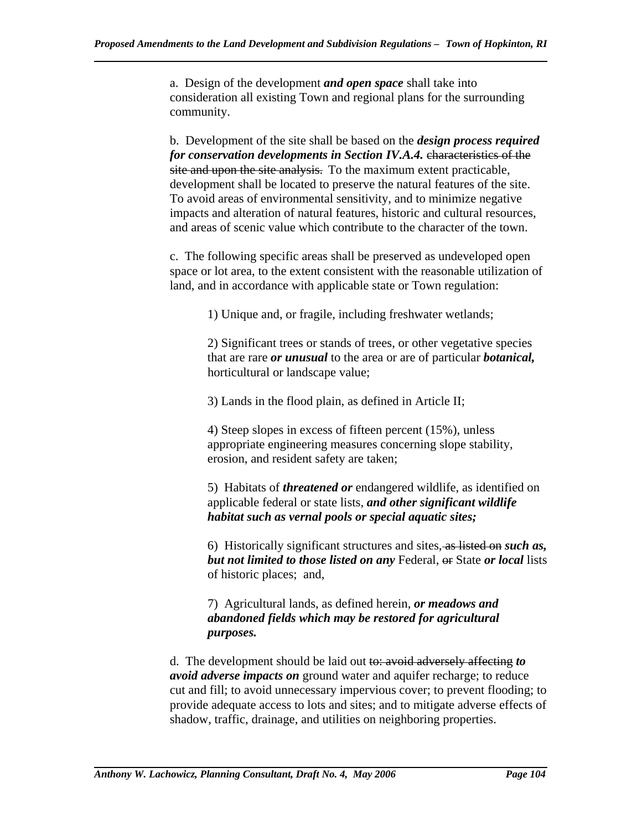a. Design of the development *and open space* shall take into consideration all existing Town and regional plans for the surrounding community.

b. Development of the site shall be based on the *design process required for conservation developments in Section IV.A.4.* characteristics of the site and upon the site analysis. To the maximum extent practicable, development shall be located to preserve the natural features of the site. To avoid areas of environmental sensitivity, and to minimize negative impacts and alteration of natural features, historic and cultural resources, and areas of scenic value which contribute to the character of the town.

c. The following specific areas shall be preserved as undeveloped open space or lot area, to the extent consistent with the reasonable utilization of land, and in accordance with applicable state or Town regulation:

1) Unique and, or fragile, including freshwater wetlands;

2) Significant trees or stands of trees, or other vegetative species that are rare *or unusual* to the area or are of particular *botanical,*  horticultural or landscape value;

3) Lands in the flood plain, as defined in Article II;

4) Steep slopes in excess of fifteen percent (15%), unless appropriate engineering measures concerning slope stability, erosion, and resident safety are taken;

5) Habitats of *threatened or* endangered wildlife, as identified on applicable federal or state lists, *and other significant wildlife habitat such as vernal pools or special aquatic sites;* 

6) Historically significant structures and sites, as listed on *such as, but not limited to those listed on any* Federal, or State *or local* lists of historic places; and,

7) Agricultural lands, as defined herein, *or meadows and abandoned fields which may be restored for agricultural purposes.*

d. The development should be laid out to: avoid adversely affecting *to avoid adverse impacts on* ground water and aquifer recharge; to reduce cut and fill; to avoid unnecessary impervious cover; to prevent flooding; to provide adequate access to lots and sites; and to mitigate adverse effects of shadow, traffic, drainage, and utilities on neighboring properties.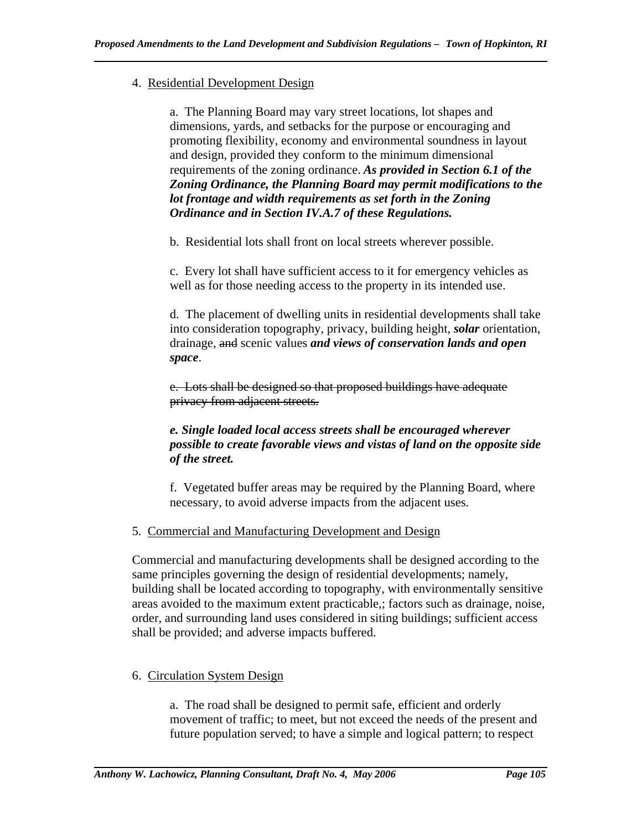## 4. Residential Development Design

a. The Planning Board may vary street locations, lot shapes and dimensions, yards, and setbacks for the purpose or encouraging and promoting flexibility, economy and environmental soundness in layout and design, provided they conform to the minimum dimensional requirements of the zoning ordinance. *As provided in Section 6.1 of the Zoning Ordinance, the Planning Board may permit modifications to the lot frontage and width requirements as set forth in the Zoning Ordinance and in Section IV.A.7 of these Regulations.*

b. Residential lots shall front on local streets wherever possible.

c. Every lot shall have sufficient access to it for emergency vehicles as well as for those needing access to the property in its intended use.

d. The placement of dwelling units in residential developments shall take into consideration topography, privacy, building height, *solar* orientation, drainage, and scenic values *and views of conservation lands and open space*.

e. Lots shall be designed so that proposed buildings have adequate privacy from adjacent streets.

## *e. Single loaded local access streets shall be encouraged wherever possible to create favorable views and vistas of land on the opposite side of the street.*

f. Vegetated buffer areas may be required by the Planning Board, where necessary, to avoid adverse impacts from the adjacent uses.

## 5. Commercial and Manufacturing Development and Design

Commercial and manufacturing developments shall be designed according to the same principles governing the design of residential developments; namely, building shall be located according to topography, with environmentally sensitive areas avoided to the maximum extent practicable,; factors such as drainage, noise, order, and surrounding land uses considered in siting buildings; sufficient access shall be provided; and adverse impacts buffered.

## 6. Circulation System Design

a. The road shall be designed to permit safe, efficient and orderly movement of traffic; to meet, but not exceed the needs of the present and future population served; to have a simple and logical pattern; to respect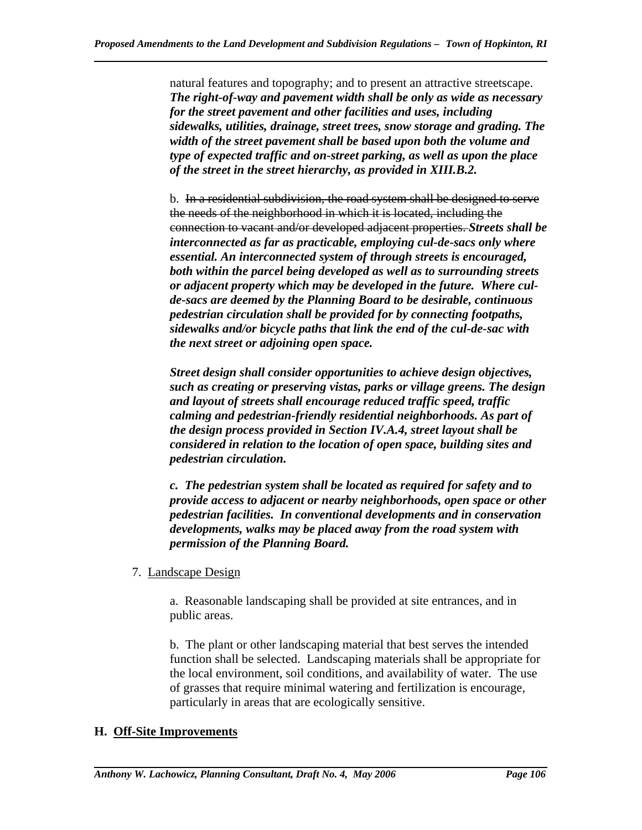natural features and topography; and to present an attractive streetscape. *The right-of-way and pavement width shall be only as wide as necessary for the street pavement and other facilities and uses, including sidewalks, utilities, drainage, street trees, snow storage and grading. The width of the street pavement shall be based upon both the volume and type of expected traffic and on-street parking, as well as upon the place of the street in the street hierarchy, as provided in XIII.B.2.* 

b. In a residential subdivision, the road system shall be designed to serve the needs of the neighborhood in which it is located, including the connection to vacant and/or developed adjacent properties. *Streets shall be interconnected as far as practicable, employing cul-de-sacs only where essential. An interconnected system of through streets is encouraged, both within the parcel being developed as well as to surrounding streets or adjacent property which may be developed in the future. Where culde-sacs are deemed by the Planning Board to be desirable, continuous pedestrian circulation shall be provided for by connecting footpaths, sidewalks and/or bicycle paths that link the end of the cul-de-sac with the next street or adjoining open space.* 

*Street design shall consider opportunities to achieve design objectives, such as creating or preserving vistas, parks or village greens. The design and layout of streets shall encourage reduced traffic speed, traffic calming and pedestrian-friendly residential neighborhoods. As part of the design process provided in Section IV.A.4, street layout shall be considered in relation to the location of open space, building sites and pedestrian circulation.* 

*c. The pedestrian system shall be located as required for safety and to provide access to adjacent or nearby neighborhoods, open space or other pedestrian facilities. In conventional developments and in conservation developments, walks may be placed away from the road system with permission of the Planning Board.* 

7. Landscape Design

a. Reasonable landscaping shall be provided at site entrances, and in public areas.

b. The plant or other landscaping material that best serves the intended function shall be selected. Landscaping materials shall be appropriate for the local environment, soil conditions, and availability of water. The use of grasses that require minimal watering and fertilization is encourage, particularly in areas that are ecologically sensitive.

## **H. Off-Site Improvements**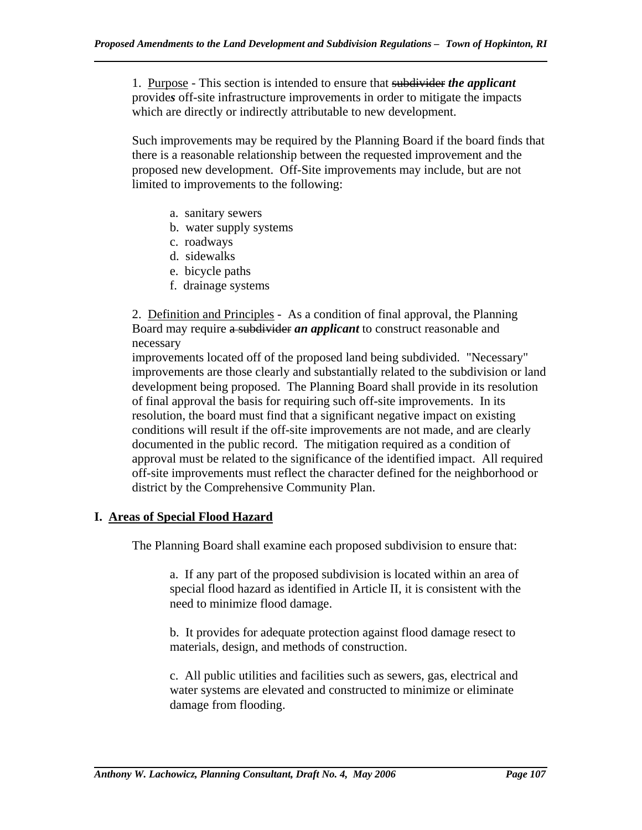1. Purpose - This section is intended to ensure that subdivider *the applicant*  provide*s* off-site infrastructure improvements in order to mitigate the impacts which are directly or indirectly attributable to new development.

Such improvements may be required by the Planning Board if the board finds that there is a reasonable relationship between the requested improvement and the proposed new development. Off-Site improvements may include, but are not limited to improvements to the following:

- a. sanitary sewers
- b. water supply systems
- c. roadways
- d. sidewalks
- e. bicycle paths
- f. drainage systems

2. Definition and Principles - As a condition of final approval, the Planning Board may require a subdivider *an applicant* to construct reasonable and necessary

improvements located off of the proposed land being subdivided. "Necessary" improvements are those clearly and substantially related to the subdivision or land development being proposed. The Planning Board shall provide in its resolution of final approval the basis for requiring such off-site improvements. In its resolution, the board must find that a significant negative impact on existing conditions will result if the off-site improvements are not made, and are clearly documented in the public record. The mitigation required as a condition of approval must be related to the significance of the identified impact. All required off-site improvements must reflect the character defined for the neighborhood or district by the Comprehensive Community Plan.

## **I. Areas of Special Flood Hazard**

The Planning Board shall examine each proposed subdivision to ensure that:

a. If any part of the proposed subdivision is located within an area of special flood hazard as identified in Article II, it is consistent with the need to minimize flood damage.

b. It provides for adequate protection against flood damage resect to materials, design, and methods of construction.

c. All public utilities and facilities such as sewers, gas, electrical and water systems are elevated and constructed to minimize or eliminate damage from flooding.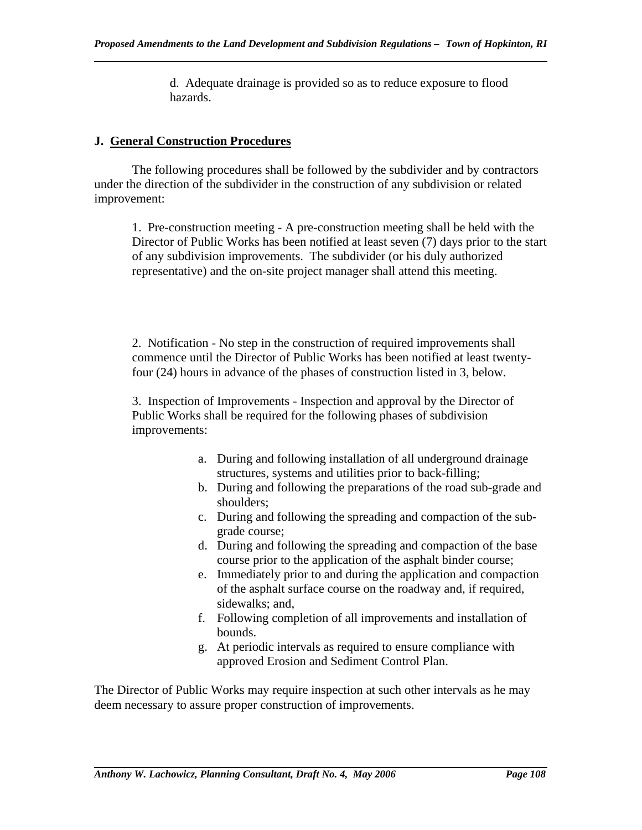d. Adequate drainage is provided so as to reduce exposure to flood hazards.

## **J. General Construction Procedures**

 The following procedures shall be followed by the subdivider and by contractors under the direction of the subdivider in the construction of any subdivision or related improvement:

1. Pre-construction meeting - A pre-construction meeting shall be held with the Director of Public Works has been notified at least seven (7) days prior to the start of any subdivision improvements. The subdivider (or his duly authorized representative) and the on-site project manager shall attend this meeting.

2. Notification - No step in the construction of required improvements shall commence until the Director of Public Works has been notified at least twentyfour (24) hours in advance of the phases of construction listed in 3, below.

3. Inspection of Improvements - Inspection and approval by the Director of Public Works shall be required for the following phases of subdivision improvements:

- a. During and following installation of all underground drainage structures, systems and utilities prior to back-filling;
- b. During and following the preparations of the road sub-grade and shoulders;
- c. During and following the spreading and compaction of the subgrade course;
- d. During and following the spreading and compaction of the base course prior to the application of the asphalt binder course;
- e. Immediately prior to and during the application and compaction of the asphalt surface course on the roadway and, if required, sidewalks; and,
- f. Following completion of all improvements and installation of bounds.
- g. At periodic intervals as required to ensure compliance with approved Erosion and Sediment Control Plan.

The Director of Public Works may require inspection at such other intervals as he may deem necessary to assure proper construction of improvements.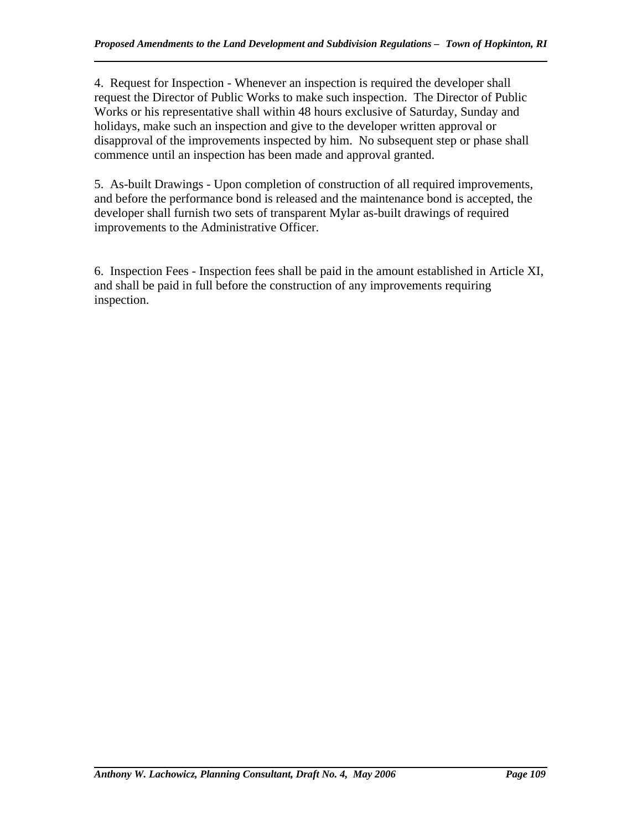4. Request for Inspection - Whenever an inspection is required the developer shall request the Director of Public Works to make such inspection. The Director of Public Works or his representative shall within 48 hours exclusive of Saturday, Sunday and holidays, make such an inspection and give to the developer written approval or disapproval of the improvements inspected by him. No subsequent step or phase shall commence until an inspection has been made and approval granted.

5. As-built Drawings - Upon completion of construction of all required improvements, and before the performance bond is released and the maintenance bond is accepted, the developer shall furnish two sets of transparent Mylar as-built drawings of required improvements to the Administrative Officer.

6. Inspection Fees - Inspection fees shall be paid in the amount established in Article XI, and shall be paid in full before the construction of any improvements requiring inspection.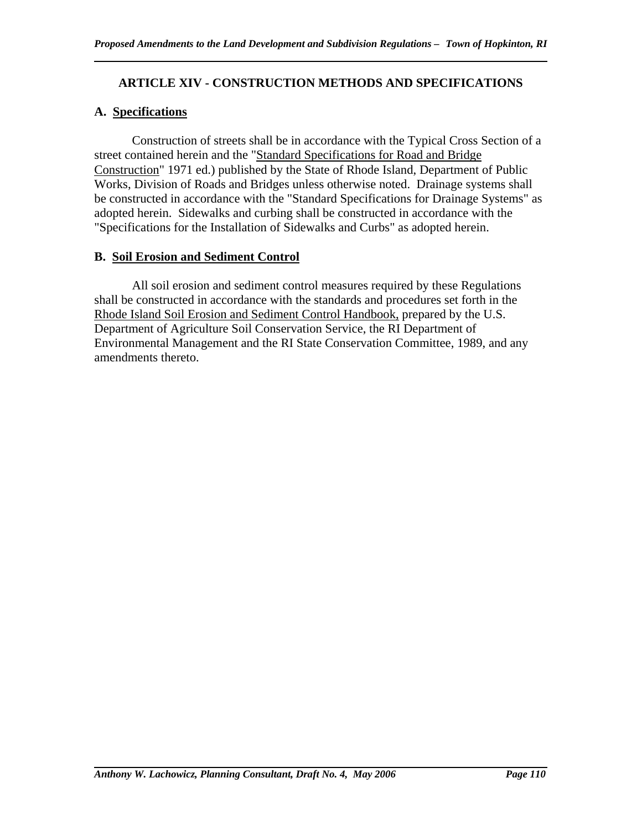## **ARTICLE XIV - CONSTRUCTION METHODS AND SPECIFICATIONS**

#### **A. Specifications**

 Construction of streets shall be in accordance with the Typical Cross Section of a street contained herein and the "Standard Specifications for Road and Bridge Construction" 1971 ed.) published by the State of Rhode Island, Department of Public Works, Division of Roads and Bridges unless otherwise noted. Drainage systems shall be constructed in accordance with the "Standard Specifications for Drainage Systems" as adopted herein. Sidewalks and curbing shall be constructed in accordance with the "Specifications for the Installation of Sidewalks and Curbs" as adopted herein.

#### **B. Soil Erosion and Sediment Control**

 All soil erosion and sediment control measures required by these Regulations shall be constructed in accordance with the standards and procedures set forth in the Rhode Island Soil Erosion and Sediment Control Handbook, prepared by the U.S. Department of Agriculture Soil Conservation Service, the RI Department of Environmental Management and the RI State Conservation Committee, 1989, and any amendments thereto.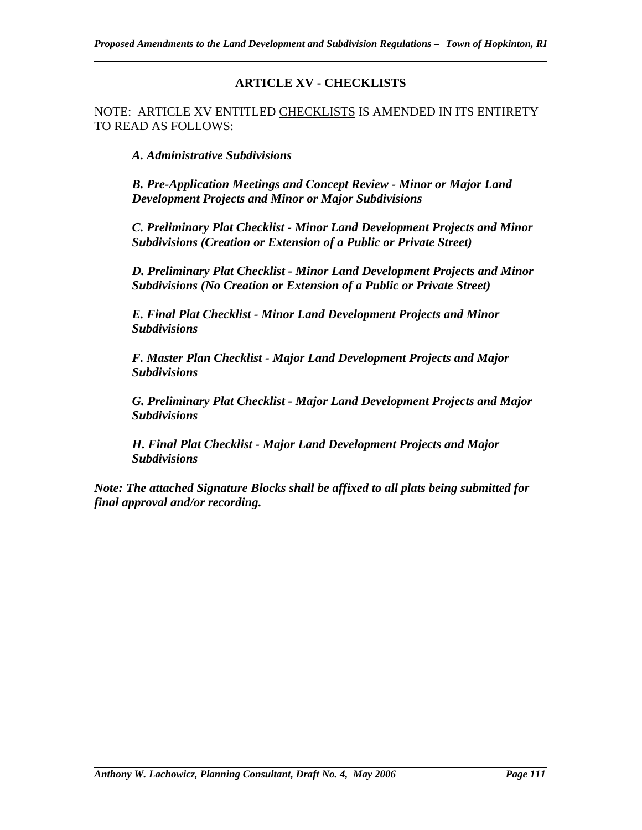## **ARTICLE XV - CHECKLISTS**

NOTE: ARTICLE XV ENTITLED CHECKLISTS IS AMENDED IN ITS ENTIRETY TO READ AS FOLLOWS:

*A. Administrative Subdivisions* 

*B. Pre-Application Meetings and Concept Review - Minor or Major Land Development Projects and Minor or Major Subdivisions* 

*C. Preliminary Plat Checklist - Minor Land Development Projects and Minor Subdivisions (Creation or Extension of a Public or Private Street)* 

*D. Preliminary Plat Checklist - Minor Land Development Projects and Minor Subdivisions (No Creation or Extension of a Public or Private Street)* 

*E. Final Plat Checklist - Minor Land Development Projects and Minor Subdivisions* 

*F. Master Plan Checklist - Major Land Development Projects and Major Subdivisions* 

*G. Preliminary Plat Checklist - Major Land Development Projects and Major Subdivisions* 

*H. Final Plat Checklist - Major Land Development Projects and Major Subdivisions* 

*Note: The attached Signature Blocks shall be affixed to all plats being submitted for final approval and/or recording.*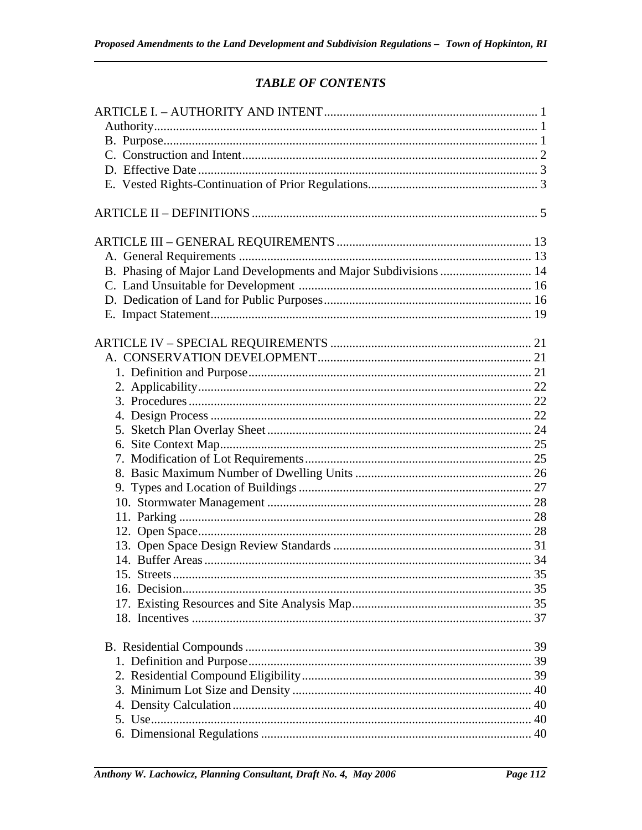# **TABLE OF CONTENTS**

| B. Phasing of Major Land Developments and Major Subdivisions  14 |  |
|------------------------------------------------------------------|--|
|                                                                  |  |
|                                                                  |  |
|                                                                  |  |
|                                                                  |  |
|                                                                  |  |
|                                                                  |  |
|                                                                  |  |
|                                                                  |  |
|                                                                  |  |
|                                                                  |  |
|                                                                  |  |
|                                                                  |  |
|                                                                  |  |
|                                                                  |  |
|                                                                  |  |
|                                                                  |  |
|                                                                  |  |
|                                                                  |  |
|                                                                  |  |
|                                                                  |  |
|                                                                  |  |
|                                                                  |  |
|                                                                  |  |
|                                                                  |  |
|                                                                  |  |
|                                                                  |  |
|                                                                  |  |
|                                                                  |  |
|                                                                  |  |
|                                                                  |  |
|                                                                  |  |
|                                                                  |  |
|                                                                  |  |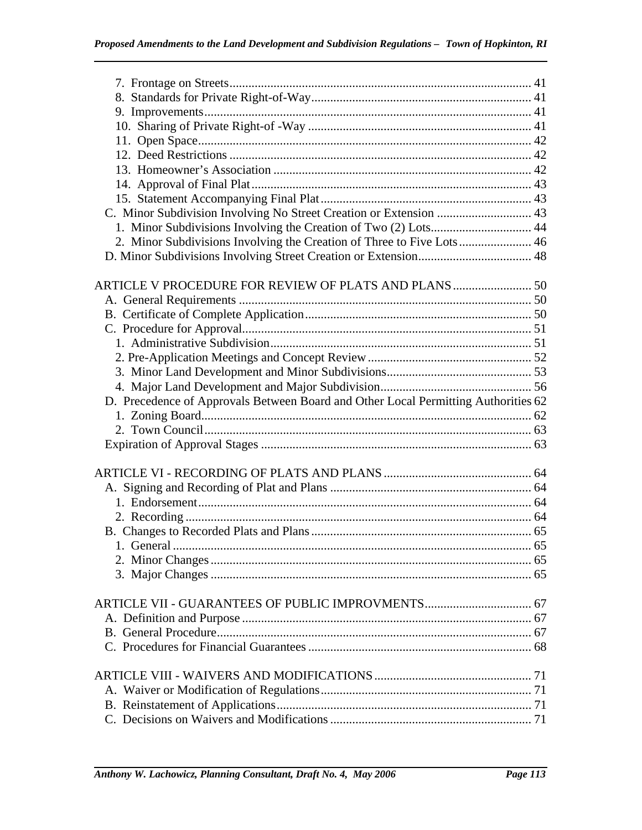| C. Minor Subdivision Involving No Street Creation or Extension  43                 |  |
|------------------------------------------------------------------------------------|--|
| 1. Minor Subdivisions Involving the Creation of Two (2) Lots 44                    |  |
| 2. Minor Subdivisions Involving the Creation of Three to Five Lots 46              |  |
|                                                                                    |  |
|                                                                                    |  |
|                                                                                    |  |
|                                                                                    |  |
|                                                                                    |  |
|                                                                                    |  |
|                                                                                    |  |
|                                                                                    |  |
|                                                                                    |  |
|                                                                                    |  |
| D. Precedence of Approvals Between Board and Other Local Permitting Authorities 62 |  |
|                                                                                    |  |
|                                                                                    |  |
|                                                                                    |  |
|                                                                                    |  |
|                                                                                    |  |
|                                                                                    |  |
|                                                                                    |  |
|                                                                                    |  |
|                                                                                    |  |
|                                                                                    |  |
|                                                                                    |  |
|                                                                                    |  |
|                                                                                    |  |
|                                                                                    |  |
|                                                                                    |  |
|                                                                                    |  |
|                                                                                    |  |
|                                                                                    |  |
|                                                                                    |  |
|                                                                                    |  |
|                                                                                    |  |
|                                                                                    |  |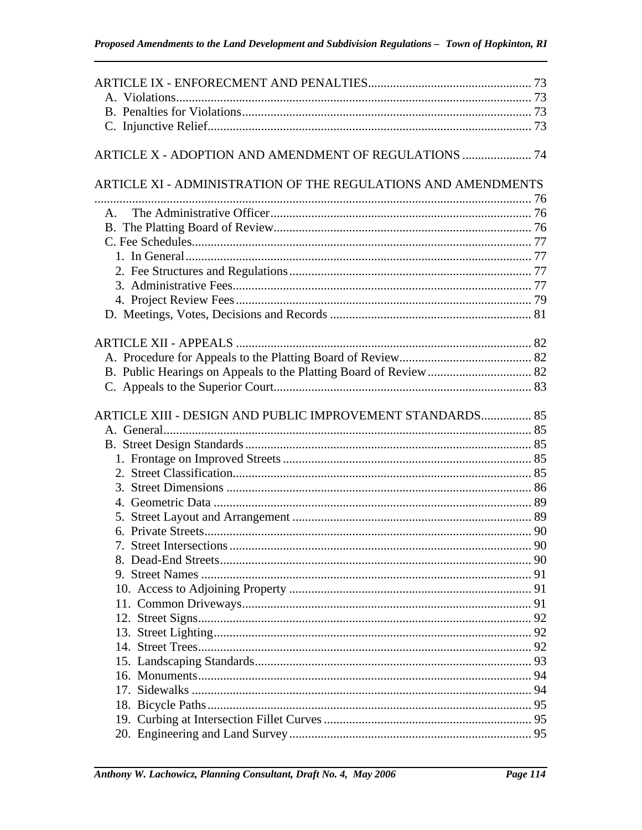| ARTICLE XI - ADMINISTRATION OF THE REGULATIONS AND AMENDMENTS |  |
|---------------------------------------------------------------|--|
|                                                               |  |
|                                                               |  |
|                                                               |  |
|                                                               |  |
|                                                               |  |
|                                                               |  |
|                                                               |  |
|                                                               |  |
|                                                               |  |
|                                                               |  |
|                                                               |  |
|                                                               |  |
|                                                               |  |
| ARTICLE XIII - DESIGN AND PUBLIC IMPROVEMENT STANDARDS 85     |  |
|                                                               |  |
|                                                               |  |
|                                                               |  |
|                                                               |  |
|                                                               |  |
|                                                               |  |
|                                                               |  |
|                                                               |  |
|                                                               |  |
|                                                               |  |
|                                                               |  |
|                                                               |  |
|                                                               |  |
|                                                               |  |
|                                                               |  |
|                                                               |  |
|                                                               |  |
|                                                               |  |
|                                                               |  |
|                                                               |  |
|                                                               |  |
|                                                               |  |